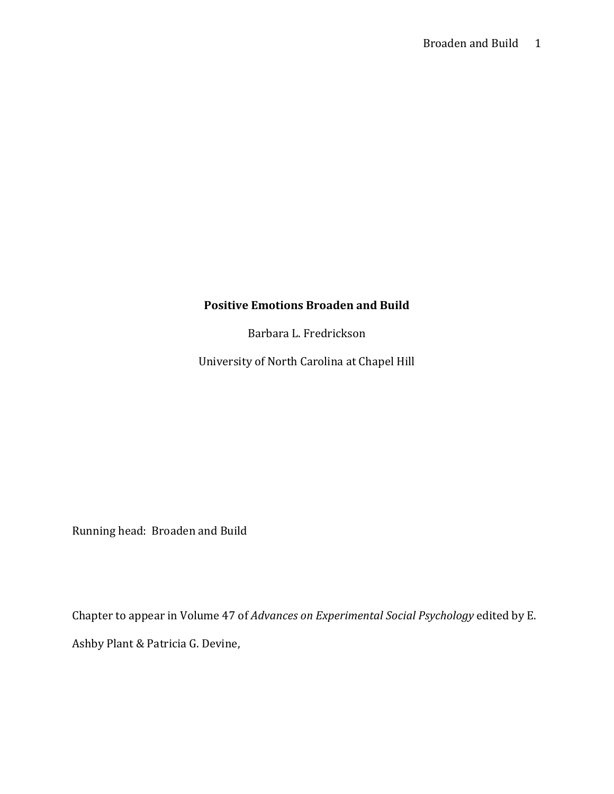# **Positive Emotions Broaden and Build**

Barbara L. Fredrickson

University of North Carolina at Chapel Hill

Running head: Broaden and Build

Chapter to appear in Volume 47 of *Advances on Experimental Social Psychology* edited by E. Ashby Plant & Patricia G. Devine,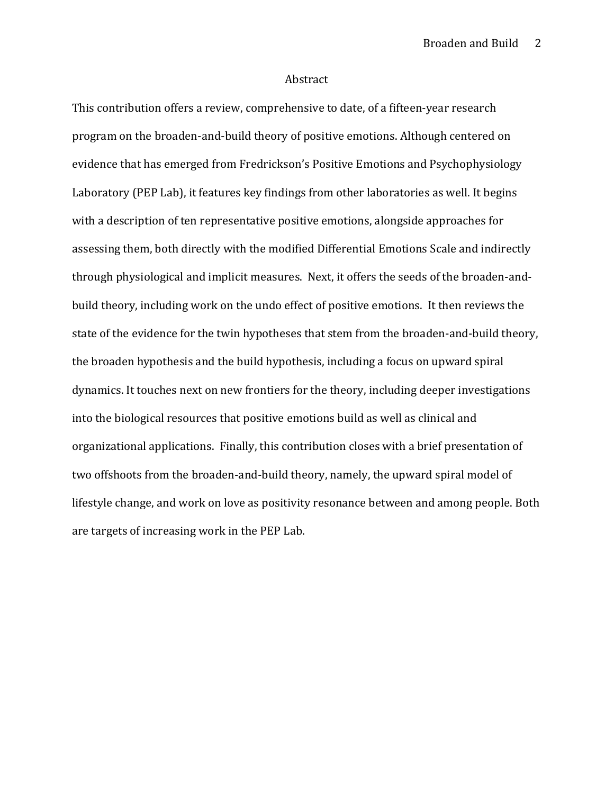#### Abstract

This contribution offers a review, comprehensive to date, of a fifteen-year research program on the broaden-and-build theory of positive emotions. Although centered on evidence that has emerged from Fredrickson's Positive Emotions and Psychophysiology Laboratory (PEP Lab), it features key findings from other laboratories as well. It begins with a description of ten representative positive emotions, alongside approaches for assessing them, both directly with the modified Differential Emotions Scale and indirectly through physiological and implicit measures. Next, it offers the seeds of the broaden-andbuild theory, including work on the undo effect of positive emotions. It then reviews the state of the evidence for the twin hypotheses that stem from the broaden-and-build theory, the broaden hypothesis and the build hypothesis, including a focus on upward spiral dynamics. It touches next on new frontiers for the theory, including deeper investigations into the biological resources that positive emotions build as well as clinical and organizational applications. Finally, this contribution closes with a brief presentation of two offshoots from the broaden-and-build theory, namely, the upward spiral model of lifestyle change, and work on love as positivity resonance between and among people. Both are targets of increasing work in the PEP Lab.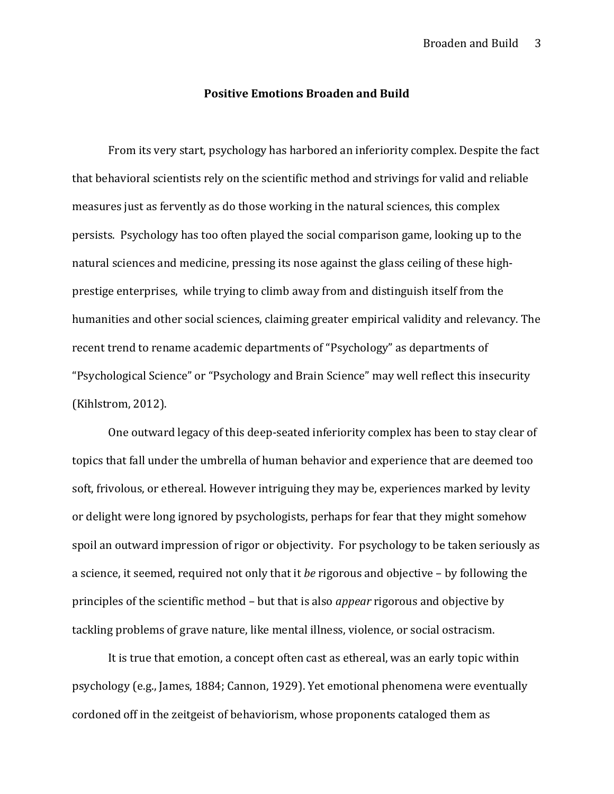### **Positive Emotions Broaden and Build**

From its very start, psychology has harbored an inferiority complex. Despite the fact that behavioral scientists rely on the scientific method and strivings for valid and reliable measures just as fervently as do those working in the natural sciences, this complex persists. Psychology has too often played the social comparison game, looking up to the natural sciences and medicine, pressing its nose against the glass ceiling of these highprestige enterprises, while trying to climb away from and distinguish itself from the humanities and other social sciences, claiming greater empirical validity and relevancy. The recent trend to rename academic departments of "Psychology" as departments of "Psychological Science" or "Psychology and Brain Science" may well reflect this insecurity (Kihlstrom, 2012).

One outward legacy of this deep-seated inferiority complex has been to stay clear of topics that fall under the umbrella of human behavior and experience that are deemed too soft, frivolous, or ethereal. However intriguing they may be, experiences marked by levity or delight were long ignored by psychologists, perhaps for fear that they might somehow spoil an outward impression of rigor or objectivity. For psychology to be taken seriously as a science, it seemed, required not only that it *be* rigorous and objective – by following the principles of the scientific method – but that is also *appear* rigorous and objective by tackling problems of grave nature, like mental illness, violence, or social ostracism.

It is true that emotion, a concept often cast as ethereal, was an early topic within psychology (e.g., James, 1884; Cannon, 1929). Yet emotional phenomena were eventually cordoned off in the zeitgeist of behaviorism, whose proponents cataloged them as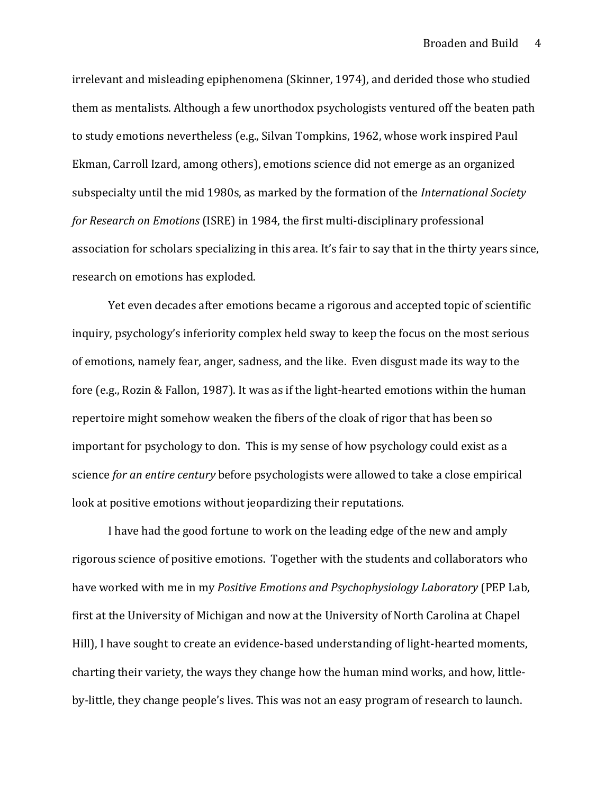irrelevant and misleading epiphenomena (Skinner, 1974), and derided those who studied them as mentalists. Although a few unorthodox psychologists ventured off the beaten path to study emotions nevertheless (e.g., Silvan Tompkins, 1962, whose work inspired Paul Ekman, Carroll Izard, among others), emotions science did not emerge as an organized subspecialty until the mid 1980s, as marked by the formation of the *International Society for Research on Emotions* (ISRE) in 1984, the first multi-disciplinary professional association for scholars specializing in this area. It's fair to say that in the thirty years since, research on emotions has exploded.

Yet even decades after emotions became a rigorous and accepted topic of scientific inquiry, psychology's inferiority complex held sway to keep the focus on the most serious of emotions, namely fear, anger, sadness, and the like. Even disgust made its way to the fore (e.g., Rozin & Fallon, 1987). It was as if the light-hearted emotions within the human repertoire might somehow weaken the fibers of the cloak of rigor that has been so important for psychology to don. This is my sense of how psychology could exist as a science *for an entire century* before psychologists were allowed to take a close empirical look at positive emotions without jeopardizing their reputations.

I have had the good fortune to work on the leading edge of the new and amply rigorous science of positive emotions. Together with the students and collaborators who have worked with me in my *Positive Emotions and Psychophysiology Laboratory* (PEP Lab, first at the University of Michigan and now at the University of North Carolina at Chapel Hill), I have sought to create an evidence-based understanding of light-hearted moments, charting their variety, the ways they change how the human mind works, and how, littleby-little, they change people's lives. This was not an easy program of research to launch.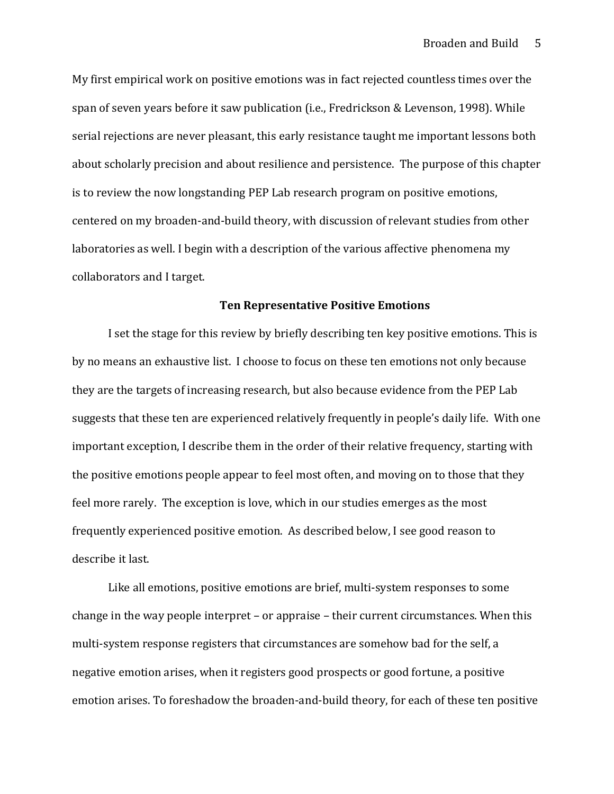My first empirical work on positive emotions was in fact rejected countless times over the span of seven years before it saw publication (i.e., Fredrickson & Levenson, 1998). While serial rejections are never pleasant, this early resistance taught me important lessons both about scholarly precision and about resilience and persistence. The purpose of this chapter is to review the now longstanding PEP Lab research program on positive emotions, centered on my broaden-and-build theory, with discussion of relevant studies from other laboratories as well. I begin with a description of the various affective phenomena my collaborators and I target.

### **Ten Representative Positive Emotions**

I set the stage for this review by briefly describing ten key positive emotions. This is by no means an exhaustive list. I choose to focus on these ten emotions not only because they are the targets of increasing research, but also because evidence from the PEP Lab suggests that these ten are experienced relatively frequently in people's daily life. With one important exception, I describe them in the order of their relative frequency, starting with the positive emotions people appear to feel most often, and moving on to those that they feel more rarely. The exception is love, which in our studies emerges as the most frequently experienced positive emotion. As described below, I see good reason to describe it last.

Like all emotions, positive emotions are brief, multi-system responses to some change in the way people interpret – or appraise – their current circumstances. When this multi-system response registers that circumstances are somehow bad for the self, a negative emotion arises, when it registers good prospects or good fortune, a positive emotion arises. To foreshadow the broaden-and-build theory, for each of these ten positive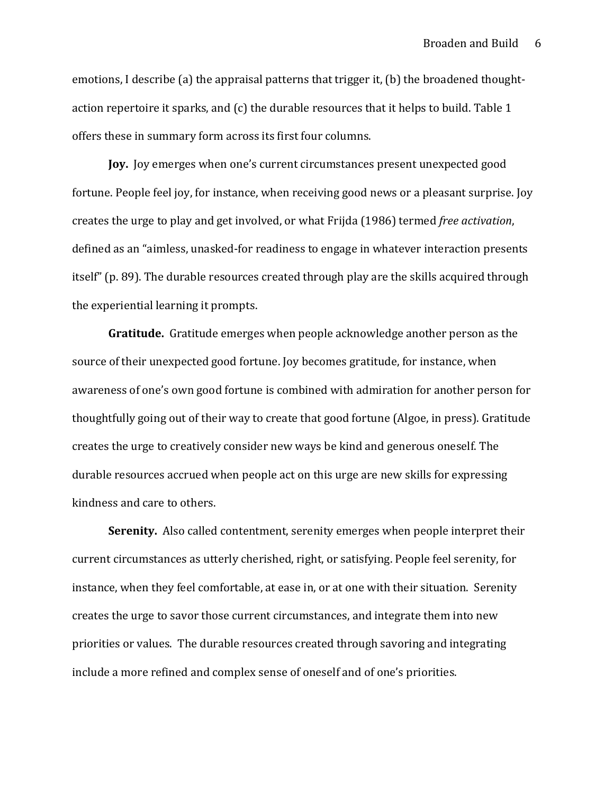emotions, I describe (a) the appraisal patterns that trigger it, (b) the broadened thoughtaction repertoire it sparks, and (c) the durable resources that it helps to build. Table 1 offers these in summary form across its first four columns.

**Joy.** Joy emerges when one's current circumstances present unexpected good fortune. People feel joy, for instance, when receiving good news or a pleasant surprise. Joy creates the urge to play and get involved, or what Frijda (1986) termed *free activation*, defined as an "aimless, unasked-for readiness to engage in whatever interaction presents itself" (p. 89). The durable resources created through play are the skills acquired through the experiential learning it prompts.

**Gratitude.** Gratitude emerges when people acknowledge another person as the source of their unexpected good fortune. Joy becomes gratitude, for instance, when awareness of one's own good fortune is combined with admiration for another person for thoughtfully going out of their way to create that good fortune (Algoe, in press). Gratitude creates the urge to creatively consider new ways be kind and generous oneself. The durable resources accrued when people act on this urge are new skills for expressing kindness and care to others.

**Serenity.** Also called contentment, serenity emerges when people interpret their current circumstances as utterly cherished, right, or satisfying. People feel serenity, for instance, when they feel comfortable, at ease in, or at one with their situation. Serenity creates the urge to savor those current circumstances, and integrate them into new priorities or values. The durable resources created through savoring and integrating include a more refined and complex sense of oneself and of one's priorities.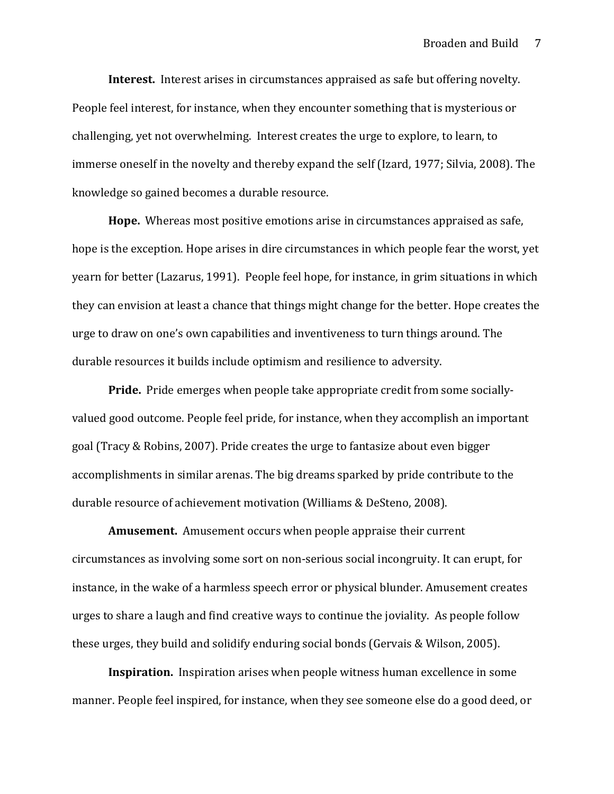**Interest.** Interest arises in circumstances appraised as safe but offering novelty. People feel interest, for instance, when they encounter something that is mysterious or challenging, yet not overwhelming. Interest creates the urge to explore, to learn, to immerse oneself in the novelty and thereby expand the self (Izard, 1977; Silvia, 2008). The knowledge so gained becomes a durable resource.

**Hope.** Whereas most positive emotions arise in circumstances appraised as safe, hope is the exception. Hope arises in dire circumstances in which people fear the worst, yet yearn for better (Lazarus, 1991). People feel hope, for instance, in grim situations in which they can envision at least a chance that things might change for the better. Hope creates the urge to draw on one's own capabilities and inventiveness to turn things around. The durable resources it builds include optimism and resilience to adversity.

**Pride.** Pride emerges when people take appropriate credit from some sociallyvalued good outcome. People feel pride, for instance, when they accomplish an important goal (Tracy & Robins, 2007). Pride creates the urge to fantasize about even bigger accomplishments in similar arenas. The big dreams sparked by pride contribute to the durable resource of achievement motivation (Williams & DeSteno, 2008).

**Amusement.** Amusement occurs when people appraise their current circumstances as involving some sort on non-serious social incongruity. It can erupt, for instance, in the wake of a harmless speech error or physical blunder. Amusement creates urges to share a laugh and find creative ways to continue the joviality. As people follow these urges, they build and solidify enduring social bonds (Gervais & Wilson, 2005).

**Inspiration.** Inspiration arises when people witness human excellence in some manner. People feel inspired, for instance, when they see someone else do a good deed, or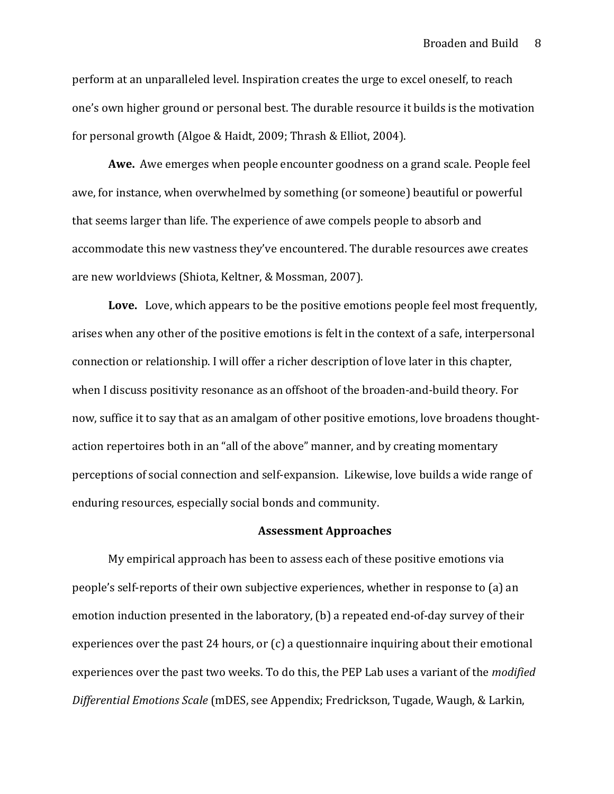perform at an unparalleled level. Inspiration creates the urge to excel oneself, to reach one's own higher ground or personal best. The durable resource it builds is the motivation for personal growth (Algoe & Haidt, 2009; Thrash & Elliot, 2004).

**Awe.** Awe emerges when people encounter goodness on a grand scale. People feel awe, for instance, when overwhelmed by something (or someone) beautiful or powerful that seems larger than life. The experience of awe compels people to absorb and accommodate this new vastness they've encountered. The durable resources awe creates are new worldviews (Shiota, Keltner, & Mossman, 2007).

**Love.** Love, which appears to be the positive emotions people feel most frequently, arises when any other of the positive emotions is felt in the context of a safe, interpersonal connection or relationship. I will offer a richer description of love later in this chapter, when I discuss positivity resonance as an offshoot of the broaden-and-build theory. For now, suffice it to say that as an amalgam of other positive emotions, love broadens thoughtaction repertoires both in an "all of the above" manner, and by creating momentary perceptions of social connection and self-expansion. Likewise, love builds a wide range of enduring resources, especially social bonds and community.

### **Assessment Approaches**

My empirical approach has been to assess each of these positive emotions via people's self-reports of their own subjective experiences, whether in response to (a) an emotion induction presented in the laboratory, (b) a repeated end-of-day survey of their experiences over the past 24 hours, or (c) a questionnaire inquiring about their emotional experiences over the past two weeks. To do this, the PEP Lab uses a variant of the *modified Differential Emotions Scale* (mDES, see Appendix; Fredrickson, Tugade, Waugh, & Larkin,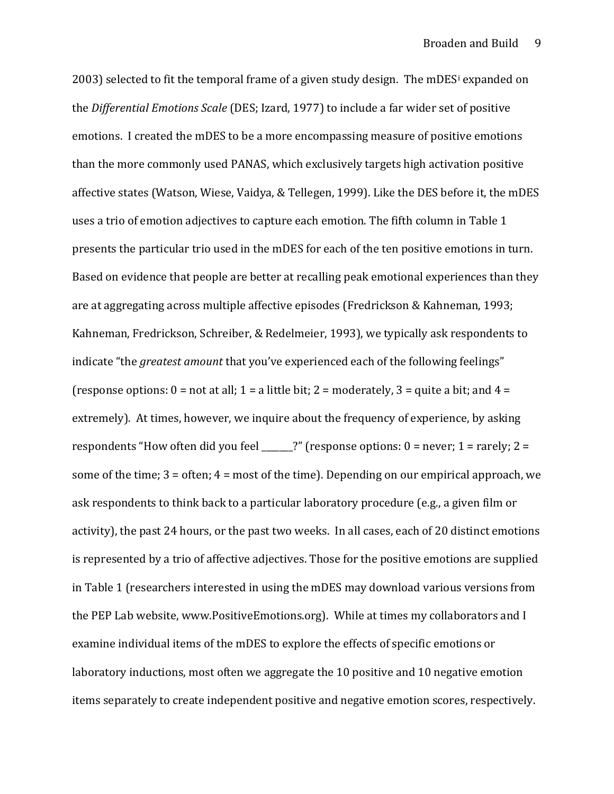2003) selected to f[i](#page-85-0)t the temporal frame of a given study design. The mDES<sup>i</sup> expanded on the *Differential Emotions Scale* (DES; Izard, 1977) to include a far wider set of positive emotions. I created the mDES to be a more encompassing measure of positive emotions than the more commonly used PANAS, which exclusively targets high activation positive affective states (Watson, Wiese, Vaidya, & Tellegen, 1999). Like the DES before it, the mDES uses a trio of emotion adjectives to capture each emotion. The fifth column in Table 1 presents the particular trio used in the mDES for each of the ten positive emotions in turn. Based on evidence that people are better at recalling peak emotional experiences than they are at aggregating across multiple affective episodes (Fredrickson & Kahneman, 1993; Kahneman, Fredrickson, Schreiber, & Redelmeier, 1993), we typically ask respondents to indicate "the *greatest amount* that you've experienced each of the following feelings" (response options:  $0 =$  not at all;  $1 =$  a little bit;  $2 =$  moderately,  $3 =$  quite a bit; and  $4 =$ extremely). At times, however, we inquire about the frequency of experience, by asking respondents "How often did you feel \_\_\_\_\_?" (response options:  $0 =$  never;  $1 =$  rarely;  $2 =$ some of the time; 3 = often; 4 = most of the time). Depending on our empirical approach, we ask respondents to think back to a particular laboratory procedure (e.g., a given film or activity), the past 24 hours, or the past two weeks. In all cases, each of 20 distinct emotions is represented by a trio of affective adjectives. Those for the positive emotions are supplied in Table 1 (researchers interested in using the mDES may download various versions from the PEP Lab website, www.PositiveEmotions.org). While at times my collaborators and I examine individual items of the mDES to explore the effects of specific emotions or laboratory inductions, most often we aggregate the 10 positive and 10 negative emotion items separately to create independent positive and negative emotion scores, respectively.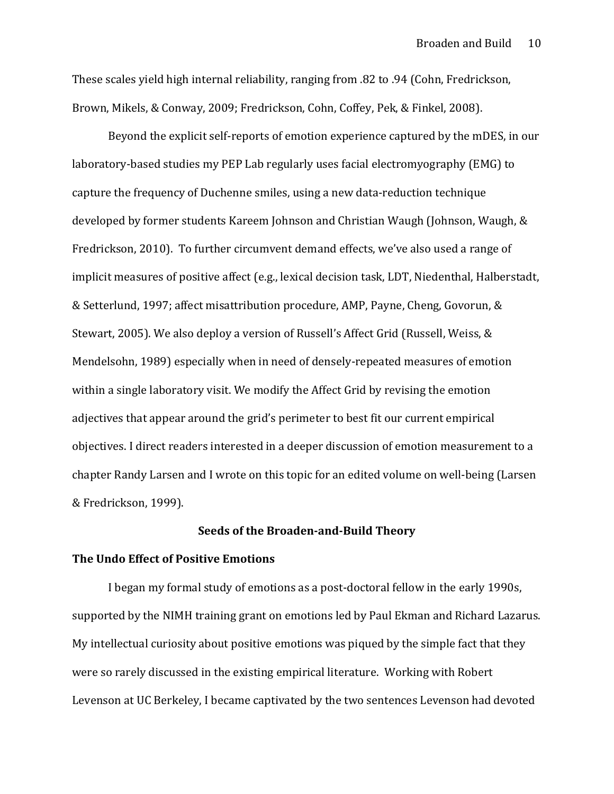These scales yield high internal reliability, ranging from .82 to .94 (Cohn, Fredrickson, Brown, Mikels, & Conway, 2009; Fredrickson, Cohn, Coffey, Pek, & Finkel, 2008).

Beyond the explicit self-reports of emotion experience captured by the mDES, in our laboratory-based studies my PEP Lab regularly uses facial electromyography (EMG) to capture the frequency of Duchenne smiles, using a new data-reduction technique developed by former students Kareem Johnson and Christian Waugh (Johnson, Waugh, & Fredrickson, 2010). To further circumvent demand effects, we've also used a range of implicit measures of positive affect (e.g., lexical decision task, LDT, Niedenthal, Halberstadt, & Setterlund, 1997; affect misattribution procedure, AMP, Payne, Cheng, Govorun, & Stewart, 2005). We also deploy a version of Russell's Affect Grid (Russell, Weiss, & Mendelsohn, 1989) especially when in need of densely-repeated measures of emotion within a single laboratory visit. We modify the Affect Grid by revising the emotion adjectives that appear around the grid's perimeter to best fit our current empirical objectives. I direct readers interested in a deeper discussion of emotion measurement to a chapter Randy Larsen and I wrote on this topic for an edited volume on well-being (Larsen & Fredrickson, 1999).

### **Seeds of the Broaden-and-Build Theory**

### **The Undo Effect of Positive Emotions**

I began my formal study of emotions as a post-doctoral fellow in the early 1990s, supported by the NIMH training grant on emotions led by Paul Ekman and Richard Lazarus. My intellectual curiosity about positive emotions was piqued by the simple fact that they were so rarely discussed in the existing empirical literature. Working with Robert Levenson at UC Berkeley, I became captivated by the two sentences Levenson had devoted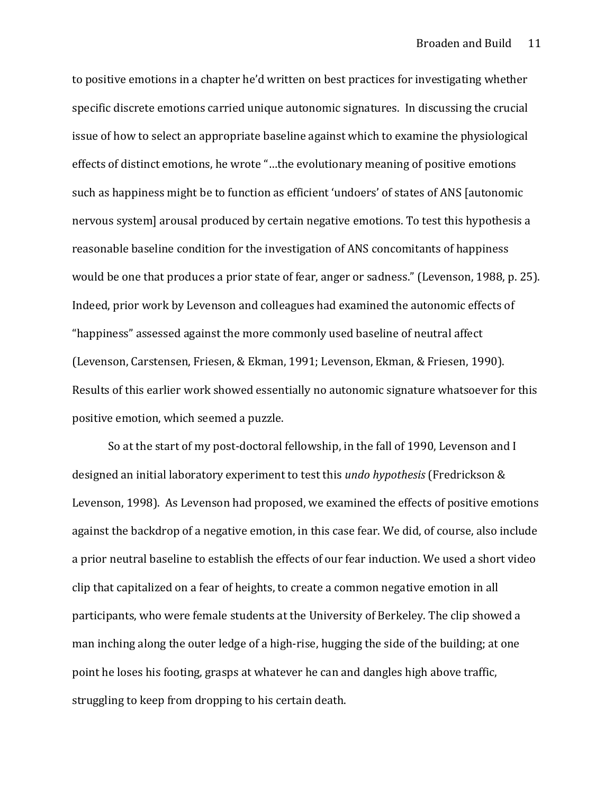to positive emotions in a chapter he'd written on best practices for investigating whether specific discrete emotions carried unique autonomic signatures. In discussing the crucial issue of how to select an appropriate baseline against which to examine the physiological effects of distinct emotions, he wrote "…the evolutionary meaning of positive emotions such as happiness might be to function as efficient 'undoers' of states of ANS [autonomic nervous system] arousal produced by certain negative emotions. To test this hypothesis a reasonable baseline condition for the investigation of ANS concomitants of happiness would be one that produces a prior state of fear, anger or sadness." (Levenson, 1988, p. 25). Indeed, prior work by Levenson and colleagues had examined the autonomic effects of "happiness" assessed against the more commonly used baseline of neutral affect (Levenson, Carstensen, Friesen, & Ekman, 1991; Levenson, Ekman, & Friesen, 1990). Results of this earlier work showed essentially no autonomic signature whatsoever for this positive emotion, which seemed a puzzle.

So at the start of my post-doctoral fellowship, in the fall of 1990, Levenson and I designed an initial laboratory experiment to test this *undo hypothesis* (Fredrickson & Levenson, 1998). As Levenson had proposed, we examined the effects of positive emotions against the backdrop of a negative emotion, in this case fear. We did, of course, also include a prior neutral baseline to establish the effects of our fear induction. We used a short video clip that capitalized on a fear of heights, to create a common negative emotion in all participants, who were female students at the University of Berkeley. The clip showed a man inching along the outer ledge of a high-rise, hugging the side of the building; at one point he loses his footing, grasps at whatever he can and dangles high above traffic, struggling to keep from dropping to his certain death.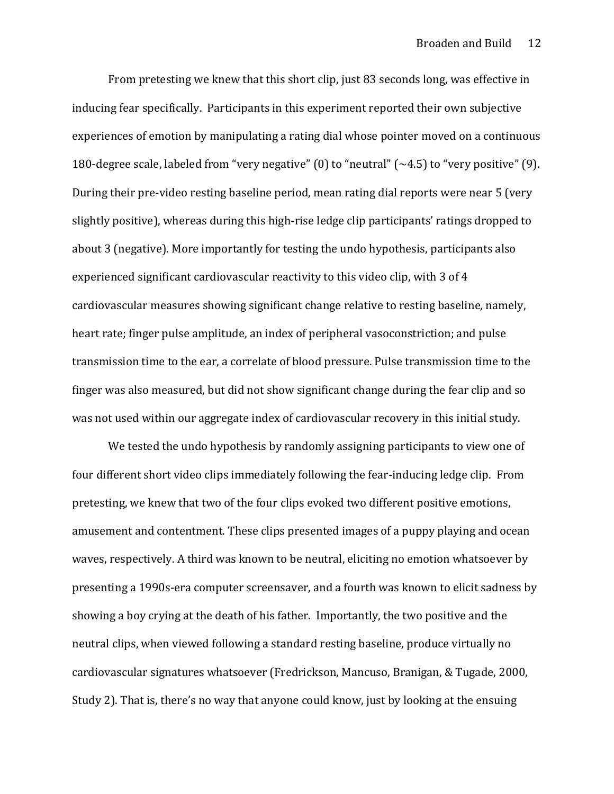From pretesting we knew that this short clip, just 83 seconds long, was effective in inducing fear specifically. Participants in this experiment reported their own subjective experiences of emotion by manipulating a rating dial whose pointer moved on a continuous 180-degree scale, labeled from "very negative"  $(0)$  to "neutral"  $(\sim 4.5)$  to "very positive"  $(9)$ . During their pre-video resting baseline period, mean rating dial reports were near 5 (very slightly positive), whereas during this high-rise ledge clip participants' ratings dropped to about 3 (negative). More importantly for testing the undo hypothesis, participants also experienced significant cardiovascular reactivity to this video clip, with 3 of 4 cardiovascular measures showing significant change relative to resting baseline, namely, heart rate; finger pulse amplitude, an index of peripheral vasoconstriction; and pulse transmission time to the ear, a correlate of blood pressure. Pulse transmission time to the finger was also measured, but did not show significant change during the fear clip and so was not used within our aggregate index of cardiovascular recovery in this initial study.

We tested the undo hypothesis by randomly assigning participants to view one of four different short video clips immediately following the fear-inducing ledge clip. From pretesting, we knew that two of the four clips evoked two different positive emotions, amusement and contentment. These clips presented images of a puppy playing and ocean waves, respectively. A third was known to be neutral, eliciting no emotion whatsoever by presenting a 1990s-era computer screensaver, and a fourth was known to elicit sadness by showing a boy crying at the death of his father. Importantly, the two positive and the neutral clips, when viewed following a standard resting baseline, produce virtually no cardiovascular signatures whatsoever (Fredrickson, Mancuso, Branigan, & Tugade, 2000, Study 2). That is, there's no way that anyone could know, just by looking at the ensuing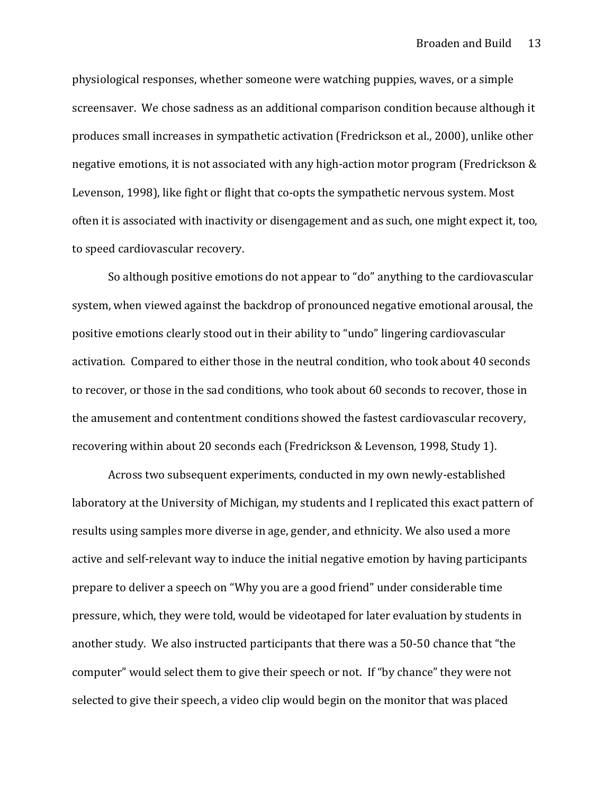physiological responses, whether someone were watching puppies, waves, or a simple screensaver. We chose sadness as an additional comparison condition because although it produces small increases in sympathetic activation (Fredrickson et al., 2000), unlike other negative emotions, it is not associated with any high-action motor program (Fredrickson & Levenson, 1998), like fight or flight that co-opts the sympathetic nervous system. Most often it is associated with inactivity or disengagement and as such, one might expect it, too, to speed cardiovascular recovery.

So although positive emotions do not appear to "do" anything to the cardiovascular system, when viewed against the backdrop of pronounced negative emotional arousal, the positive emotions clearly stood out in their ability to "undo" lingering cardiovascular activation. Compared to either those in the neutral condition, who took about 40 seconds to recover, or those in the sad conditions, who took about 60 seconds to recover, those in the amusement and contentment conditions showed the fastest cardiovascular recovery, recovering within about 20 seconds each (Fredrickson & Levenson, 1998, Study 1).

Across two subsequent experiments, conducted in my own newly-established laboratory at the University of Michigan, my students and I replicated this exact pattern of results using samples more diverse in age, gender, and ethnicity. We also used a more active and self-relevant way to induce the initial negative emotion by having participants prepare to deliver a speech on "Why you are a good friend" under considerable time pressure, which, they were told, would be videotaped for later evaluation by students in another study. We also instructed participants that there was a 50-50 chance that "the computer" would select them to give their speech or not. If "by chance" they were not selected to give their speech, a video clip would begin on the monitor that was placed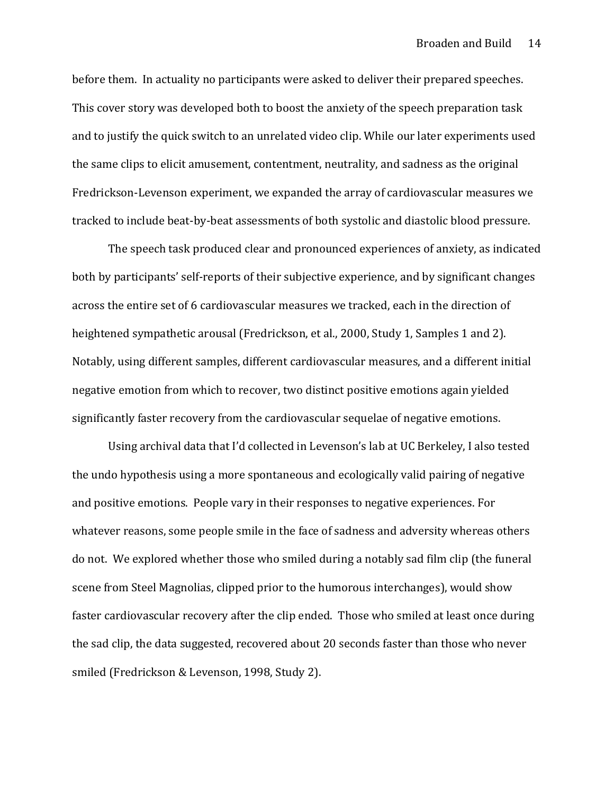before them. In actuality no participants were asked to deliver their prepared speeches. This cover story was developed both to boost the anxiety of the speech preparation task and to justify the quick switch to an unrelated video clip. While our later experiments used the same clips to elicit amusement, contentment, neutrality, and sadness as the original Fredrickson-Levenson experiment, we expanded the array of cardiovascular measures we tracked to include beat-by-beat assessments of both systolic and diastolic blood pressure.

The speech task produced clear and pronounced experiences of anxiety, as indicated both by participants' self-reports of their subjective experience, and by significant changes across the entire set of 6 cardiovascular measures we tracked, each in the direction of heightened sympathetic arousal (Fredrickson, et al., 2000, Study 1, Samples 1 and 2). Notably, using different samples, different cardiovascular measures, and a different initial negative emotion from which to recover, two distinct positive emotions again yielded significantly faster recovery from the cardiovascular sequelae of negative emotions.

Using archival data that I'd collected in Levenson's lab at UC Berkeley, I also tested the undo hypothesis using a more spontaneous and ecologically valid pairing of negative and positive emotions. People vary in their responses to negative experiences. For whatever reasons, some people smile in the face of sadness and adversity whereas others do not. We explored whether those who smiled during a notably sad film clip (the funeral scene from Steel Magnolias, clipped prior to the humorous interchanges), would show faster cardiovascular recovery after the clip ended. Those who smiled at least once during the sad clip, the data suggested, recovered about 20 seconds faster than those who never smiled (Fredrickson & Levenson, 1998, Study 2).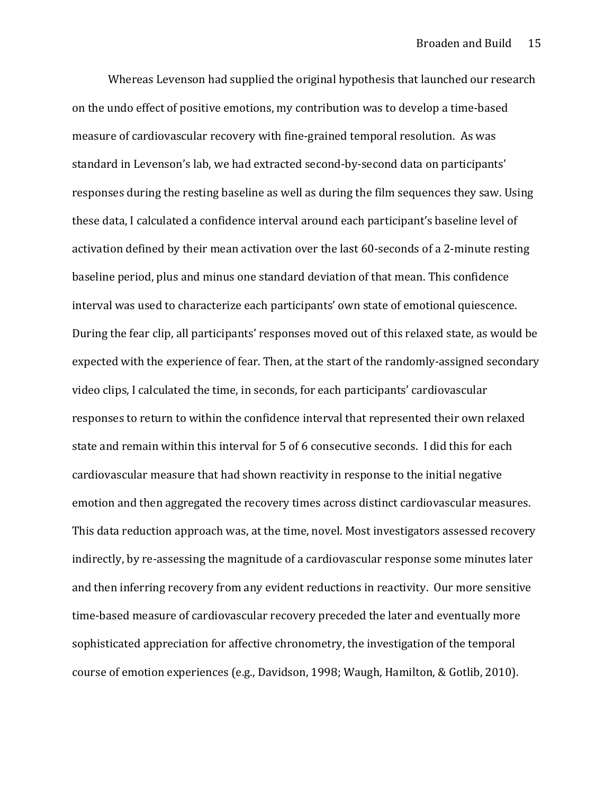Whereas Levenson had supplied the original hypothesis that launched our research on the undo effect of positive emotions, my contribution was to develop a time-based measure of cardiovascular recovery with fine-grained temporal resolution. As was standard in Levenson's lab, we had extracted second-by-second data on participants' responses during the resting baseline as well as during the film sequences they saw. Using these data, I calculated a confidence interval around each participant's baseline level of activation defined by their mean activation over the last 60-seconds of a 2-minute resting baseline period, plus and minus one standard deviation of that mean. This confidence interval was used to characterize each participants' own state of emotional quiescence. During the fear clip, all participants' responses moved out of this relaxed state, as would be expected with the experience of fear. Then, at the start of the randomly-assigned secondary video clips, I calculated the time, in seconds, for each participants' cardiovascular responses to return to within the confidence interval that represented their own relaxed state and remain within this interval for 5 of 6 consecutive seconds. I did this for each cardiovascular measure that had shown reactivity in response to the initial negative emotion and then aggregated the recovery times across distinct cardiovascular measures. This data reduction approach was, at the time, novel. Most investigators assessed recovery indirectly, by re-assessing the magnitude of a cardiovascular response some minutes later and then inferring recovery from any evident reductions in reactivity. Our more sensitive time-based measure of cardiovascular recovery preceded the later and eventually more sophisticated appreciation for affective chronometry, the investigation of the temporal course of emotion experiences (e.g., Davidson, 1998; Waugh, Hamilton, & Gotlib, 2010).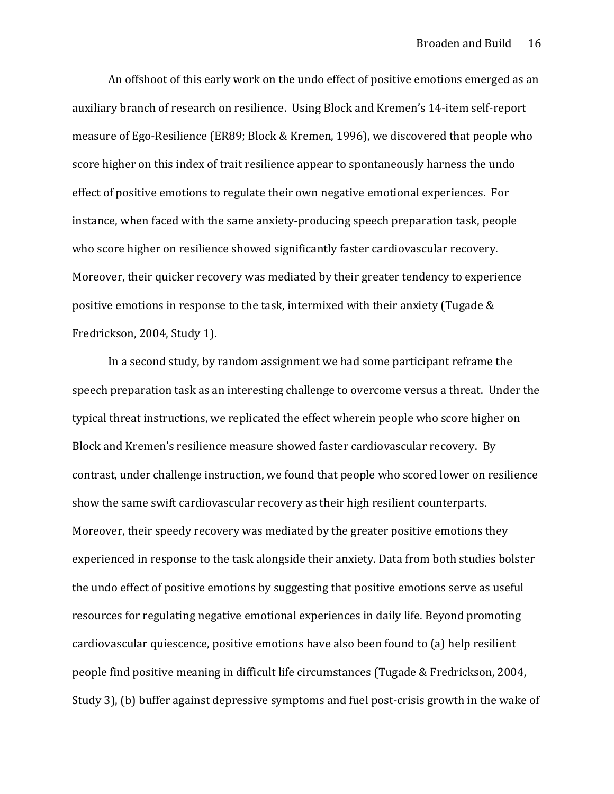An offshoot of this early work on the undo effect of positive emotions emerged as an auxiliary branch of research on resilience. Using Block and Kremen's 14-item self-report measure of Ego-Resilience (ER89; Block & Kremen, 1996), we discovered that people who score higher on this index of trait resilience appear to spontaneously harness the undo effect of positive emotions to regulate their own negative emotional experiences. For instance, when faced with the same anxiety-producing speech preparation task, people who score higher on resilience showed significantly faster cardiovascular recovery. Moreover, their quicker recovery was mediated by their greater tendency to experience positive emotions in response to the task, intermixed with their anxiety (Tugade & Fredrickson, 2004, Study 1).

In a second study, by random assignment we had some participant reframe the speech preparation task as an interesting challenge to overcome versus a threat. Under the typical threat instructions, we replicated the effect wherein people who score higher on Block and Kremen's resilience measure showed faster cardiovascular recovery. By contrast, under challenge instruction, we found that people who scored lower on resilience show the same swift cardiovascular recovery as their high resilient counterparts. Moreover, their speedy recovery was mediated by the greater positive emotions they experienced in response to the task alongside their anxiety. Data from both studies bolster the undo effect of positive emotions by suggesting that positive emotions serve as useful resources for regulating negative emotional experiences in daily life. Beyond promoting cardiovascular quiescence, positive emotions have also been found to (a) help resilient people find positive meaning in difficult life circumstances (Tugade & Fredrickson, 2004, Study 3), (b) buffer against depressive symptoms and fuel post-crisis growth in the wake of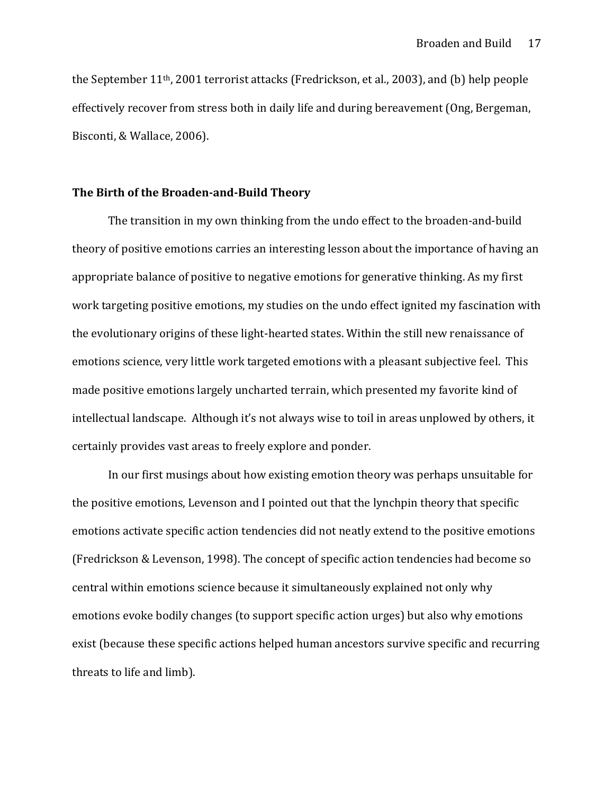the September 11th, 2001 terrorist attacks (Fredrickson, et al., 2003), and (b) help people effectively recover from stress both in daily life and during bereavement (Ong, Bergeman, Bisconti, & Wallace, 2006).

#### **The Birth of the Broaden-and-Build Theory**

The transition in my own thinking from the undo effect to the broaden-and-build theory of positive emotions carries an interesting lesson about the importance of having an appropriate balance of positive to negative emotions for generative thinking. As my first work targeting positive emotions, my studies on the undo effect ignited my fascination with the evolutionary origins of these light-hearted states. Within the still new renaissance of emotions science, very little work targeted emotions with a pleasant subjective feel. This made positive emotions largely uncharted terrain, which presented my favorite kind of intellectual landscape. Although it's not always wise to toil in areas unplowed by others, it certainly provides vast areas to freely explore and ponder.

In our first musings about how existing emotion theory was perhaps unsuitable for the positive emotions, Levenson and I pointed out that the lynchpin theory that specific emotions activate specific action tendencies did not neatly extend to the positive emotions (Fredrickson & Levenson, 1998). The concept of specific action tendencies had become so central within emotions science because it simultaneously explained not only why emotions evoke bodily changes (to support specific action urges) but also why emotions exist (because these specific actions helped human ancestors survive specific and recurring threats to life and limb).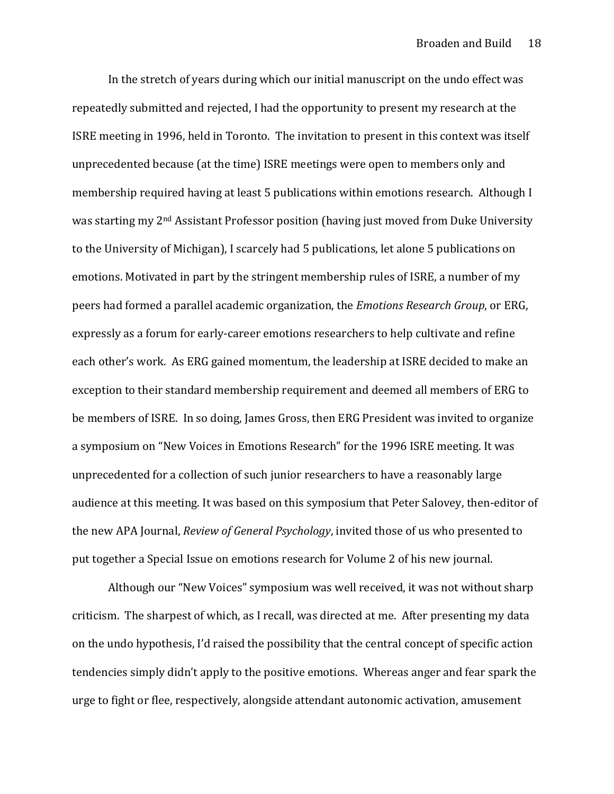In the stretch of years during which our initial manuscript on the undo effect was repeatedly submitted and rejected, I had the opportunity to present my research at the ISRE meeting in 1996, held in Toronto. The invitation to present in this context was itself unprecedented because (at the time) ISRE meetings were open to members only and membership required having at least 5 publications within emotions research. Although I was starting my 2nd Assistant Professor position (having just moved from Duke University to the University of Michigan), I scarcely had 5 publications, let alone 5 publications on emotions. Motivated in part by the stringent membership rules of ISRE, a number of my peers had formed a parallel academic organization, the *Emotions Research Group*, or ERG, expressly as a forum for early-career emotions researchers to help cultivate and refine each other's work. As ERG gained momentum, the leadership at ISRE decided to make an exception to their standard membership requirement and deemed all members of ERG to be members of ISRE. In so doing, James Gross, then ERG President was invited to organize a symposium on "New Voices in Emotions Research" for the 1996 ISRE meeting. It was unprecedented for a collection of such junior researchers to have a reasonably large audience at this meeting. It was based on this symposium that Peter Salovey, then-editor of the new APA Journal, *Review of General Psychology*, invited those of us who presented to put together a Special Issue on emotions research for Volume 2 of his new journal.

Although our "New Voices" symposium was well received, it was not without sharp criticism. The sharpest of which, as I recall, was directed at me. After presenting my data on the undo hypothesis, I'd raised the possibility that the central concept of specific action tendencies simply didn't apply to the positive emotions. Whereas anger and fear spark the urge to fight or flee, respectively, alongside attendant autonomic activation, amusement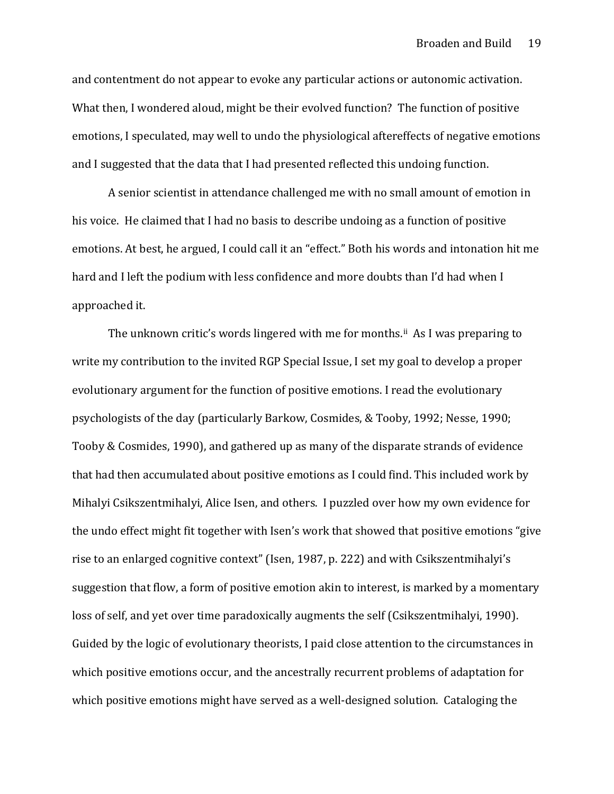and contentment do not appear to evoke any particular actions or autonomic activation. What then, I wondered aloud, might be their evolved function? The function of positive emotions, I speculated, may well to undo the physiological aftereffects of negative emotions and I suggested that the data that I had presented reflected this undoing function.

A senior scientist in attendance challenged me with no small amount of emotion in his voice. He claimed that I had no basis to describe undoing as a function of positive emotions. At best, he argued, I could call it an "effect." Both his words and intonation hit me hard and I left the podium with less confidence and more doubts than I'd had when I approached it.

The unknown critic's words lingered with me for months.<sup>ii</sup> As I was preparing to write my contribution to the invited RGP Special Issue, I set my goal to develop a proper evolutionary argument for the function of positive emotions. I read the evolutionary psychologists of the day (particularly Barkow, Cosmides, & Tooby, 1992; Nesse, 1990; Tooby & Cosmides, 1990), and gathered up as many of the disparate strands of evidence that had then accumulated about positive emotions as I could find. This included work by Mihalyi Csikszentmihalyi, Alice Isen, and others. I puzzled over how my own evidence for the undo effect might fit together with Isen's work that showed that positive emotions "give rise to an enlarged cognitive context" (Isen, 1987, p. 222) and with Csikszentmihalyi's suggestion that flow, a form of positive emotion akin to interest, is marked by a momentary loss of self, and yet over time paradoxically augments the self (Csikszentmihalyi, 1990). Guided by the logic of evolutionary theorists, I paid close attention to the circumstances in which positive emotions occur, and the ancestrally recurrent problems of adaptation for which positive emotions might have served as a well-designed solution. Cataloging the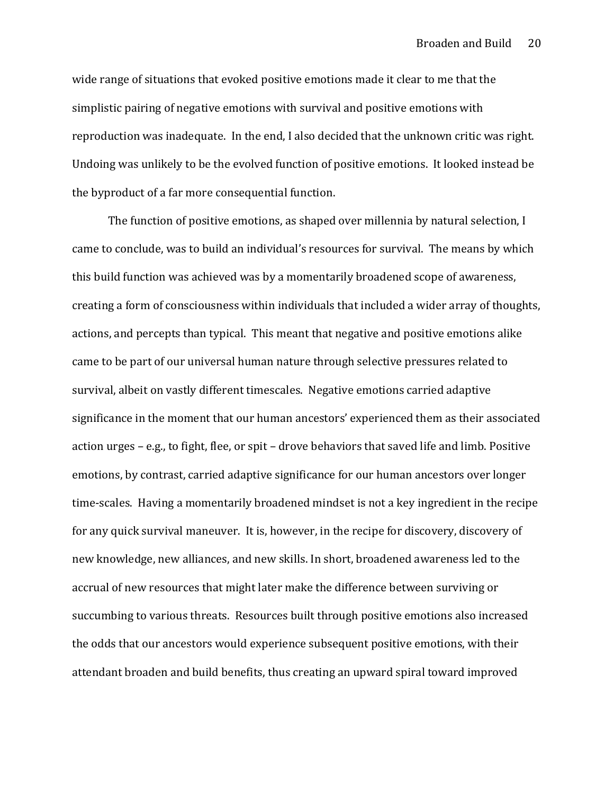wide range of situations that evoked positive emotions made it clear to me that the simplistic pairing of negative emotions with survival and positive emotions with reproduction was inadequate. In the end, I also decided that the unknown critic was right. Undoing was unlikely to be the evolved function of positive emotions. It looked instead be the byproduct of a far more consequential function.

The function of positive emotions, as shaped over millennia by natural selection, I came to conclude, was to build an individual's resources for survival. The means by which this build function was achieved was by a momentarily broadened scope of awareness, creating a form of consciousness within individuals that included a wider array of thoughts, actions, and percepts than typical. This meant that negative and positive emotions alike came to be part of our universal human nature through selective pressures related to survival, albeit on vastly different timescales. Negative emotions carried adaptive significance in the moment that our human ancestors' experienced them as their associated action urges – e.g., to fight, flee, or spit – drove behaviors that saved life and limb. Positive emotions, by contrast, carried adaptive significance for our human ancestors over longer time-scales. Having a momentarily broadened mindset is not a key ingredient in the recipe for any quick survival maneuver. It is, however, in the recipe for discovery, discovery of new knowledge, new alliances, and new skills. In short, broadened awareness led to the accrual of new resources that might later make the difference between surviving or succumbing to various threats. Resources built through positive emotions also increased the odds that our ancestors would experience subsequent positive emotions, with their attendant broaden and build benefits, thus creating an upward spiral toward improved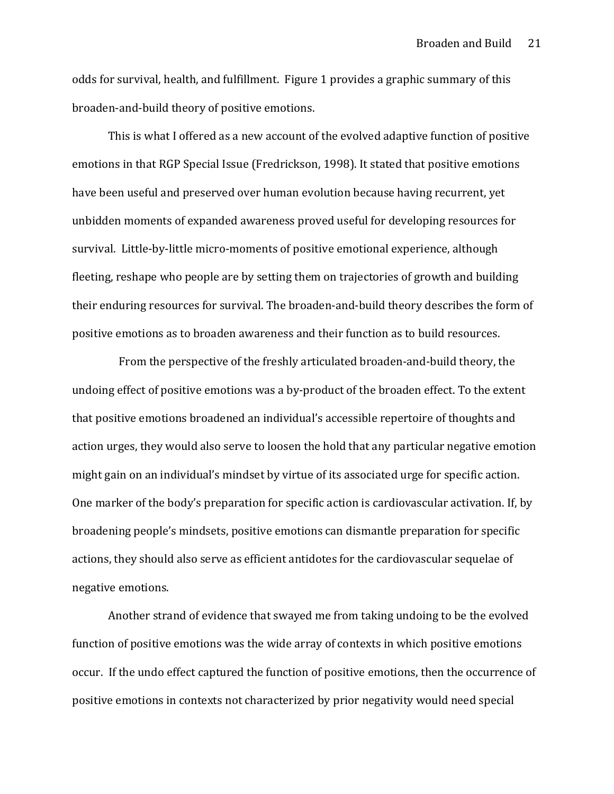odds for survival, health, and fulfillment. Figure 1 provides a graphic summary of this broaden-and-build theory of positive emotions.

This is what I offered as a new account of the evolved adaptive function of positive emotions in that RGP Special Issue (Fredrickson, 1998). It stated that positive emotions have been useful and preserved over human evolution because having recurrent, yet unbidden moments of expanded awareness proved useful for developing resources for survival. Little-by-little micro-moments of positive emotional experience, although fleeting, reshape who people are by setting them on trajectories of growth and building their enduring resources for survival. The broaden-and-build theory describes the form of positive emotions as to broaden awareness and their function as to build resources.

 From the perspective of the freshly articulated broaden-and-build theory, the undoing effect of positive emotions was a by-product of the broaden effect. To the extent that positive emotions broadened an individual's accessible repertoire of thoughts and action urges, they would also serve to loosen the hold that any particular negative emotion might gain on an individual's mindset by virtue of its associated urge for specific action. One marker of the body's preparation for specific action is cardiovascular activation. If, by broadening people's mindsets, positive emotions can dismantle preparation for specific actions, they should also serve as efficient antidotes for the cardiovascular sequelae of negative emotions.

Another strand of evidence that swayed me from taking undoing to be the evolved function of positive emotions was the wide array of contexts in which positive emotions occur. If the undo effect captured the function of positive emotions, then the occurrence of positive emotions in contexts not characterized by prior negativity would need special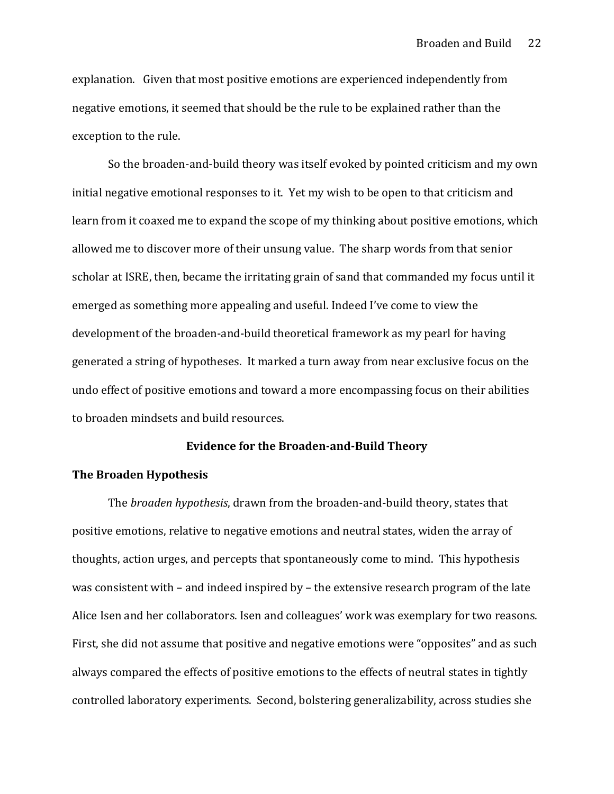explanation. Given that most positive emotions are experienced independently from negative emotions, it seemed that should be the rule to be explained rather than the exception to the rule.

So the broaden-and-build theory was itself evoked by pointed criticism and my own initial negative emotional responses to it. Yet my wish to be open to that criticism and learn from it coaxed me to expand the scope of my thinking about positive emotions, which allowed me to discover more of their unsung value. The sharp words from that senior scholar at ISRE, then, became the irritating grain of sand that commanded my focus until it emerged as something more appealing and useful. Indeed I've come to view the development of the broaden-and-build theoretical framework as my pearl for having generated a string of hypotheses. It marked a turn away from near exclusive focus on the undo effect of positive emotions and toward a more encompassing focus on their abilities to broaden mindsets and build resources.

### **Evidence for the Broaden-and-Build Theory**

# **The Broaden Hypothesis**

The *broaden hypothesis*, drawn from the broaden-and-build theory, states that positive emotions, relative to negative emotions and neutral states, widen the array of thoughts, action urges, and percepts that spontaneously come to mind. This hypothesis was consistent with – and indeed inspired by – the extensive research program of the late Alice Isen and her collaborators. Isen and colleagues' work was exemplary for two reasons. First, she did not assume that positive and negative emotions were "opposites" and as such always compared the effects of positive emotions to the effects of neutral states in tightly controlled laboratory experiments. Second, bolstering generalizability, across studies she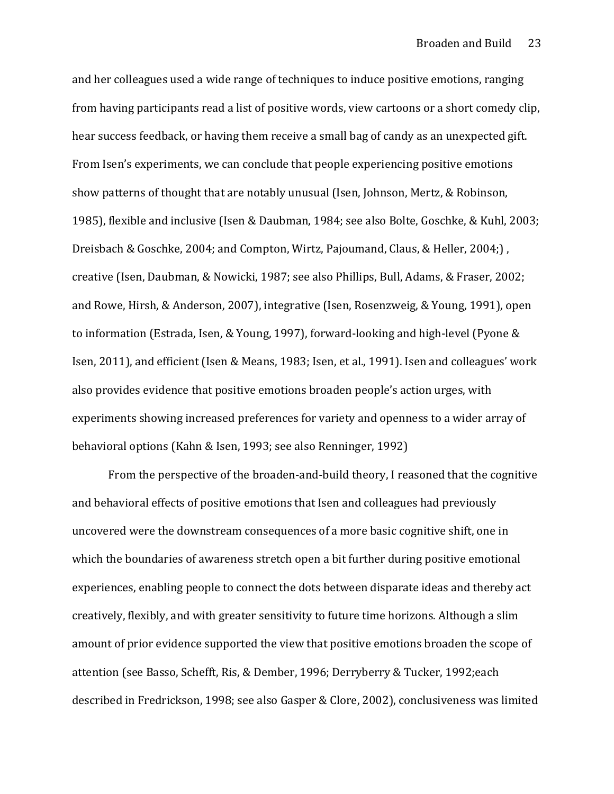and her colleagues used a wide range of techniques to induce positive emotions, ranging from having participants read a list of positive words, view cartoons or a short comedy clip, hear success feedback, or having them receive a small bag of candy as an unexpected gift. From Isen's experiments, we can conclude that people experiencing positive emotions show patterns of thought that are notably unusual (Isen, Johnson, Mertz, & Robinson, 1985), flexible and inclusive (Isen & Daubman, 1984; see also Bolte, Goschke, & Kuhl, 2003; Dreisbach & Goschke, 2004; and Compton, Wirtz, Pajoumand, Claus, & Heller, 2004;) , creative (Isen, Daubman, & Nowicki, 1987; see also Phillips, Bull, Adams, & Fraser, 2002; and Rowe, Hirsh, & Anderson, 2007), integrative (Isen, Rosenzweig, & Young, 1991), open to information (Estrada, Isen, & Young, 1997), forward-looking and high-level (Pyone & Isen, 2011), and efficient (Isen & Means, 1983; Isen, et al., 1991). Isen and colleagues' work also provides evidence that positive emotions broaden people's action urges, with experiments showing increased preferences for variety and openness to a wider array of behavioral options (Kahn & Isen, 1993; see also Renninger, 1992)

From the perspective of the broaden-and-build theory, I reasoned that the cognitive and behavioral effects of positive emotions that Isen and colleagues had previously uncovered were the downstream consequences of a more basic cognitive shift, one in which the boundaries of awareness stretch open a bit further during positive emotional experiences, enabling people to connect the dots between disparate ideas and thereby act creatively, flexibly, and with greater sensitivity to future time horizons. Although a slim amount of prior evidence supported the view that positive emotions broaden the scope of attention (see Basso, Schefft, Ris, & Dember, 1996; Derryberry & Tucker, 1992;each described in Fredrickson, 1998; see also Gasper & Clore, 2002), conclusiveness was limited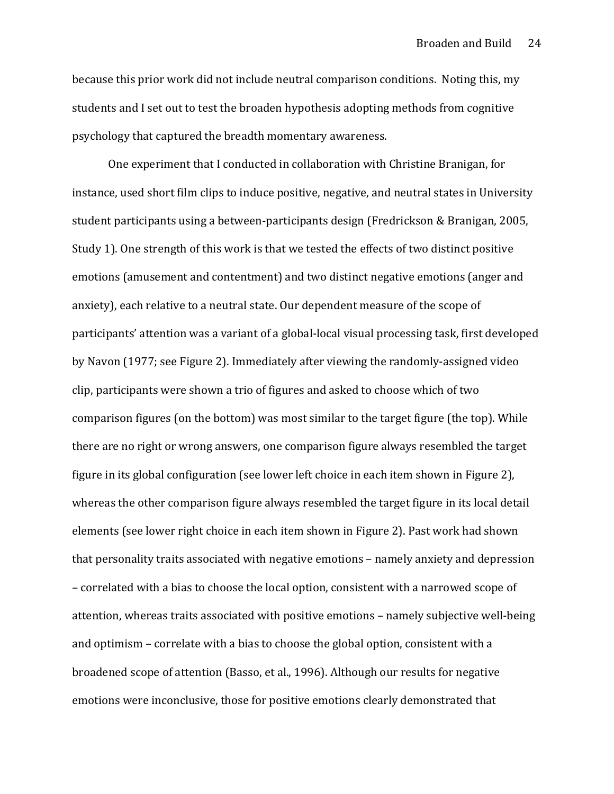because this prior work did not include neutral comparison conditions. Noting this, my students and I set out to test the broaden hypothesis adopting methods from cognitive psychology that captured the breadth momentary awareness.

One experiment that I conducted in collaboration with Christine Branigan, for instance, used short film clips to induce positive, negative, and neutral states in University student participants using a between-participants design (Fredrickson & Branigan, 2005, Study 1). One strength of this work is that we tested the effects of two distinct positive emotions (amusement and contentment) and two distinct negative emotions (anger and anxiety), each relative to a neutral state. Our dependent measure of the scope of participants' attention was a variant of a global-local visual processing task, first developed by Navon (1977; see Figure 2). Immediately after viewing the randomly-assigned video clip, participants were shown a trio of figures and asked to choose which of two comparison figures (on the bottom) was most similar to the target figure (the top). While there are no right or wrong answers, one comparison figure always resembled the target figure in its global configuration (see lower left choice in each item shown in Figure 2), whereas the other comparison figure always resembled the target figure in its local detail elements (see lower right choice in each item shown in Figure 2). Past work had shown that personality traits associated with negative emotions – namely anxiety and depression – correlated with a bias to choose the local option, consistent with a narrowed scope of attention, whereas traits associated with positive emotions – namely subjective well-being and optimism – correlate with a bias to choose the global option, consistent with a broadened scope of attention (Basso, et al., 1996). Although our results for negative emotions were inconclusive, those for positive emotions clearly demonstrated that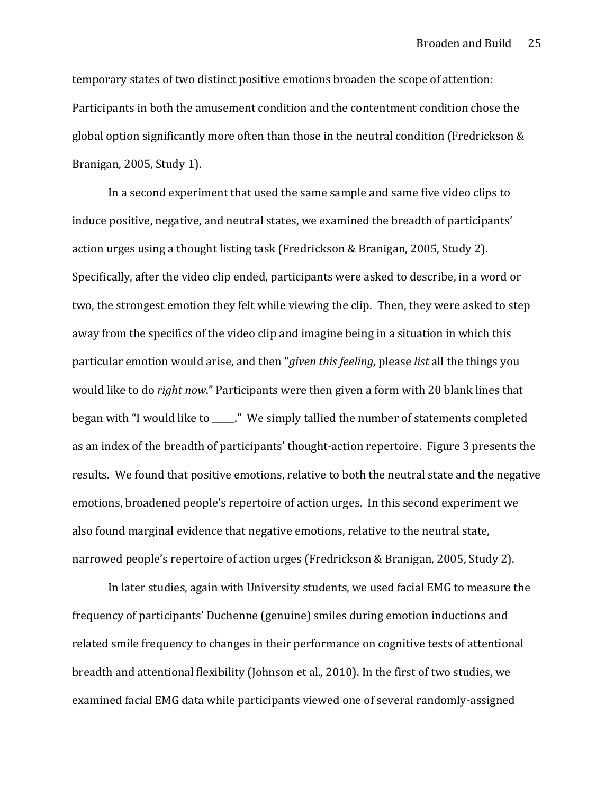temporary states of two distinct positive emotions broaden the scope of attention: Participants in both the amusement condition and the contentment condition chose the global option significantly more often than those in the neutral condition (Fredrickson & Branigan, 2005, Study 1).

In a second experiment that used the same sample and same five video clips to induce positive, negative, and neutral states, we examined the breadth of participants' action urges using a thought listing task (Fredrickson & Branigan, 2005, Study 2). Specifically, after the video clip ended, participants were asked to describe, in a word or two, the strongest emotion they felt while viewing the clip. Then, they were asked to step away from the specifics of the video clip and imagine being in a situation in which this particular emotion would arise, and then "*given this feeling*, please *list* all the things you would like to do *right now*." Participants were then given a form with 20 blank lines that began with "I would like to \_\_\_\_\_." We simply tallied the number of statements completed as an index of the breadth of participants' thought-action repertoire. Figure 3 presents the results. We found that positive emotions, relative to both the neutral state and the negative emotions, broadened people's repertoire of action urges. In this second experiment we also found marginal evidence that negative emotions, relative to the neutral state, narrowed people's repertoire of action urges (Fredrickson & Branigan, 2005, Study 2).

In later studies, again with University students, we used facial EMG to measure the frequency of participants' Duchenne (genuine) smiles during emotion inductions and related smile frequency to changes in their performance on cognitive tests of attentional breadth and attentional flexibility (Johnson et al., 2010). In the first of two studies, we examined facial EMG data while participants viewed one of several randomly-assigned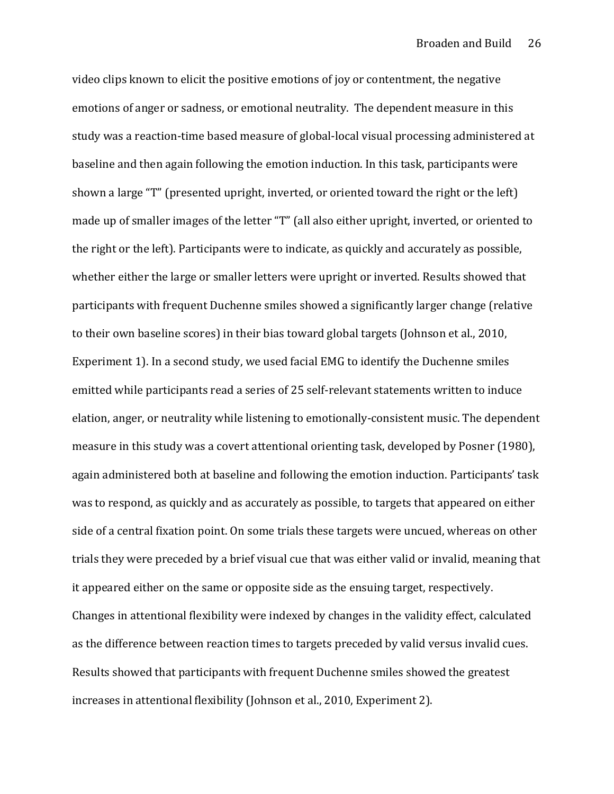video clips known to elicit the positive emotions of joy or contentment, the negative emotions of anger or sadness, or emotional neutrality. The dependent measure in this study was a reaction-time based measure of global-local visual processing administered at baseline and then again following the emotion induction. In this task, participants were shown a large "T" (presented upright, inverted, or oriented toward the right or the left) made up of smaller images of the letter "T" (all also either upright, inverted, or oriented to the right or the left). Participants were to indicate, as quickly and accurately as possible, whether either the large or smaller letters were upright or inverted. Results showed that participants with frequent Duchenne smiles showed a significantly larger change (relative to their own baseline scores) in their bias toward global targets (Johnson et al., 2010, Experiment 1). In a second study, we used facial EMG to identify the Duchenne smiles emitted while participants read a series of 25 self-relevant statements written to induce elation, anger, or neutrality while listening to emotionally-consistent music. The dependent measure in this study was a covert attentional orienting task, developed by Posner (1980), again administered both at baseline and following the emotion induction. Participants' task was to respond, as quickly and as accurately as possible, to targets that appeared on either side of a central fixation point. On some trials these targets were uncued, whereas on other trials they were preceded by a brief visual cue that was either valid or invalid, meaning that it appeared either on the same or opposite side as the ensuing target, respectively. Changes in attentional flexibility were indexed by changes in the validity effect, calculated as the difference between reaction times to targets preceded by valid versus invalid cues. Results showed that participants with frequent Duchenne smiles showed the greatest increases in attentional flexibility (Johnson et al., 2010, Experiment 2).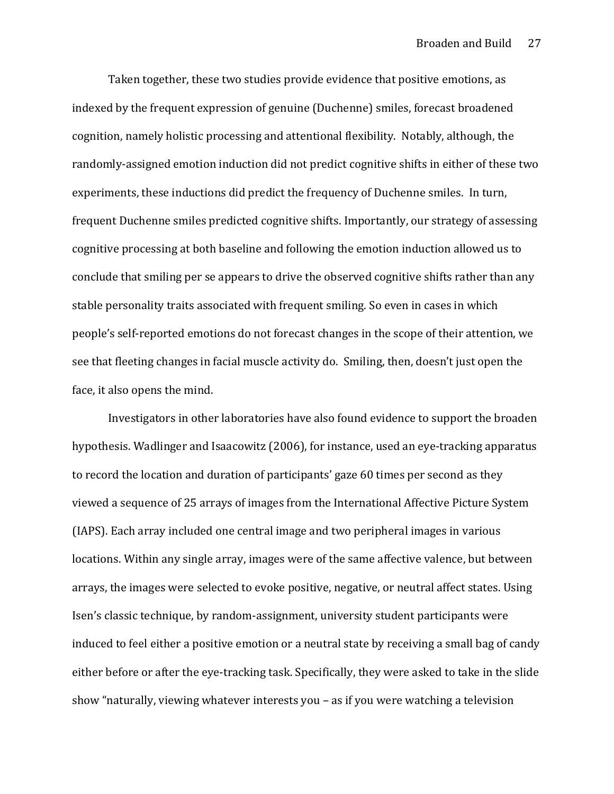Taken together, these two studies provide evidence that positive emotions, as indexed by the frequent expression of genuine (Duchenne) smiles, forecast broadened cognition, namely holistic processing and attentional flexibility. Notably, although, the randomly-assigned emotion induction did not predict cognitive shifts in either of these two experiments, these inductions did predict the frequency of Duchenne smiles. In turn, frequent Duchenne smiles predicted cognitive shifts. Importantly, our strategy of assessing cognitive processing at both baseline and following the emotion induction allowed us to conclude that smiling per se appears to drive the observed cognitive shifts rather than any stable personality traits associated with frequent smiling. So even in cases in which people's self-reported emotions do not forecast changes in the scope of their attention, we see that fleeting changes in facial muscle activity do. Smiling, then, doesn't just open the face, it also opens the mind.

Investigators in other laboratories have also found evidence to support the broaden hypothesis. Wadlinger and Isaacowitz (2006), for instance, used an eye-tracking apparatus to record the location and duration of participants' gaze 60 times per second as they viewed a sequence of 25 arrays of images from the International Affective Picture System (IAPS). Each array included one central image and two peripheral images in various locations. Within any single array, images were of the same affective valence, but between arrays, the images were selected to evoke positive, negative, or neutral affect states. Using Isen's classic technique, by random-assignment, university student participants were induced to feel either a positive emotion or a neutral state by receiving a small bag of candy either before or after the eye-tracking task. Specifically, they were asked to take in the slide show "naturally, viewing whatever interests you – as if you were watching a television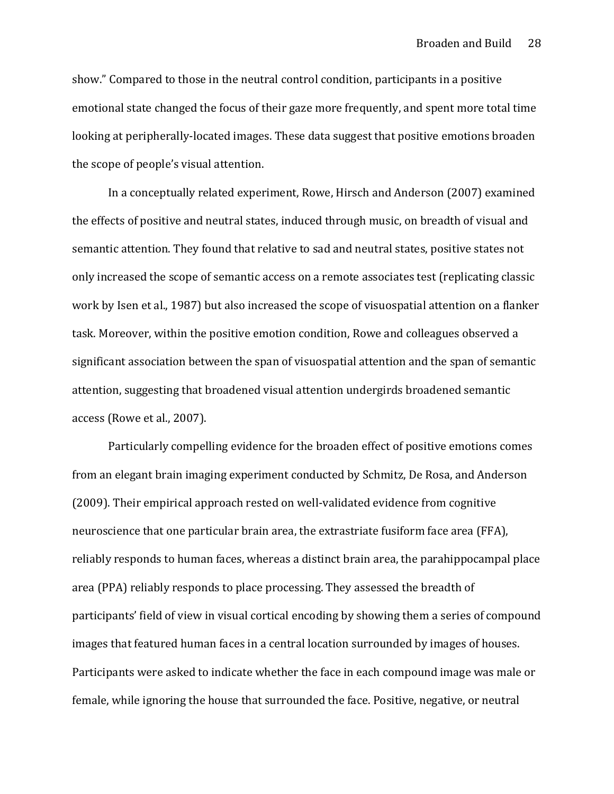show." Compared to those in the neutral control condition, participants in a positive emotional state changed the focus of their gaze more frequently, and spent more total time looking at peripherally-located images. These data suggest that positive emotions broaden the scope of people's visual attention.

In a conceptually related experiment, Rowe, Hirsch and Anderson (2007) examined the effects of positive and neutral states, induced through music, on breadth of visual and semantic attention. They found that relative to sad and neutral states, positive states not only increased the scope of semantic access on a remote associates test (replicating classic work by Isen et al., 1987) but also increased the scope of visuospatial attention on a flanker task. Moreover, within the positive emotion condition, Rowe and colleagues observed a significant association between the span of visuospatial attention and the span of semantic attention, suggesting that broadened visual attention undergirds broadened semantic access (Rowe et al., 2007).

Particularly compelling evidence for the broaden effect of positive emotions comes from an elegant brain imaging experiment conducted by Schmitz, De Rosa, and Anderson (2009). Their empirical approach rested on well-validated evidence from cognitive neuroscience that one particular brain area, the extrastriate fusiform face area (FFA), reliably responds to human faces, whereas a distinct brain area, the parahippocampal place area (PPA) reliably responds to place processing. They assessed the breadth of participants' field of view in visual cortical encoding by showing them a series of compound images that featured human faces in a central location surrounded by images of houses. Participants were asked to indicate whether the face in each compound image was male or female, while ignoring the house that surrounded the face. Positive, negative, or neutral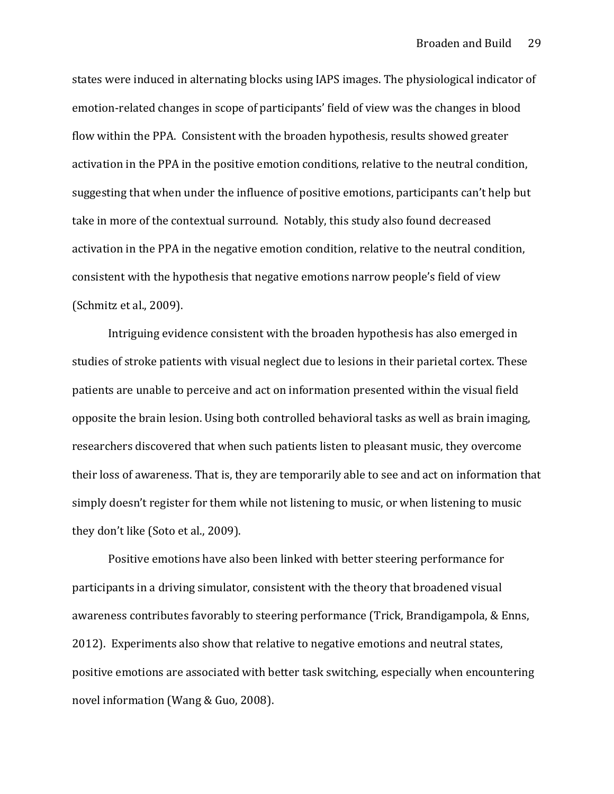states were induced in alternating blocks using IAPS images. The physiological indicator of emotion-related changes in scope of participants' field of view was the changes in blood flow within the PPA. Consistent with the broaden hypothesis, results showed greater activation in the PPA in the positive emotion conditions, relative to the neutral condition, suggesting that when under the influence of positive emotions, participants can't help but take in more of the contextual surround. Notably, this study also found decreased activation in the PPA in the negative emotion condition, relative to the neutral condition, consistent with the hypothesis that negative emotions narrow people's field of view (Schmitz et al., 2009).

Intriguing evidence consistent with the broaden hypothesis has also emerged in studies of stroke patients with visual neglect due to lesions in their parietal cortex. These patients are unable to perceive and act on information presented within the visual field opposite the brain lesion. Using both controlled behavioral tasks as well as brain imaging, researchers discovered that when such patients listen to pleasant music, they overcome their loss of awareness. That is, they are temporarily able to see and act on information that simply doesn't register for them while not listening to music, or when listening to music they don't like (Soto et al., 2009).

Positive emotions have also been linked with better steering performance for participants in a driving simulator, consistent with the theory that broadened visual awareness contributes favorably to steering performance (Trick, Brandigampola, & Enns, 2012). Experiments also show that relative to negative emotions and neutral states, positive emotions are associated with better task switching, especially when encountering novel information (Wang & Guo, 2008).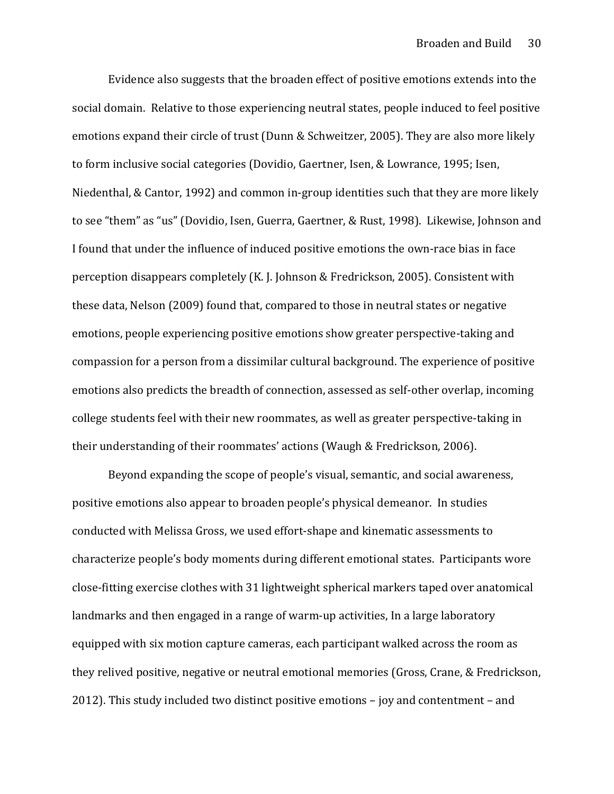Evidence also suggests that the broaden effect of positive emotions extends into the social domain. Relative to those experiencing neutral states, people induced to feel positive emotions expand their circle of trust (Dunn & Schweitzer, 2005). They are also more likely to form inclusive social categories (Dovidio, Gaertner, Isen, & Lowrance, 1995; Isen, Niedenthal, & Cantor, 1992) and common in-group identities such that they are more likely to see "them" as "us" (Dovidio, Isen, Guerra, Gaertner, & Rust, 1998). Likewise, Johnson and I found that under the influence of induced positive emotions the own-race bias in face perception disappears completely (K. J. Johnson & Fredrickson, 2005). Consistent with these data, Nelson (2009) found that, compared to those in neutral states or negative emotions, people experiencing positive emotions show greater perspective-taking and compassion for a person from a dissimilar cultural background. The experience of positive emotions also predicts the breadth of connection, assessed as self-other overlap, incoming college students feel with their new roommates, as well as greater perspective-taking in their understanding of their roommates' actions (Waugh & Fredrickson, 2006).

Beyond expanding the scope of people's visual, semantic, and social awareness, positive emotions also appear to broaden people's physical demeanor. In studies conducted with Melissa Gross, we used effort-shape and kinematic assessments to characterize people's body moments during different emotional states. Participants wore close-fitting exercise clothes with 31 lightweight spherical markers taped over anatomical landmarks and then engaged in a range of warm-up activities, In a large laboratory equipped with six motion capture cameras, each participant walked across the room as they relived positive, negative or neutral emotional memories (Gross, Crane, & Fredrickson, 2012). This study included two distinct positive emotions – joy and contentment – and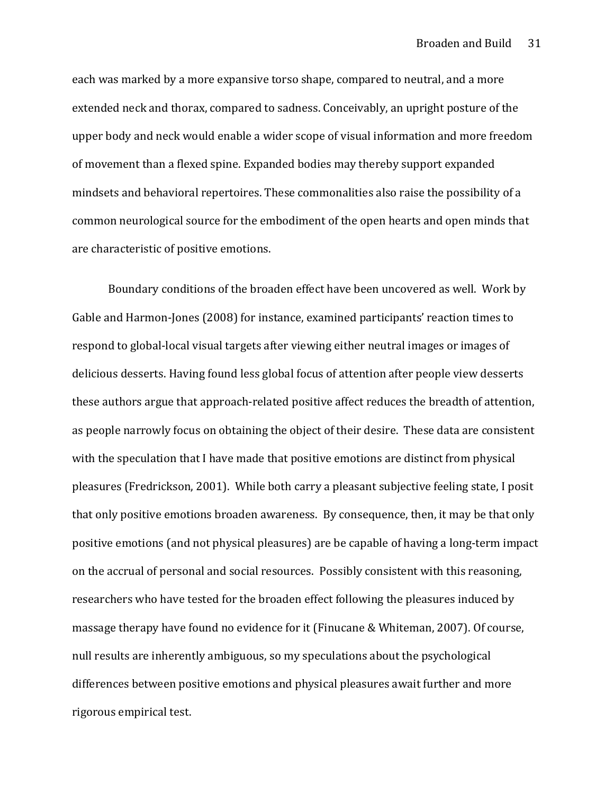each was marked by a more expansive torso shape, compared to neutral, and a more extended neck and thorax, compared to sadness. Conceivably, an upright posture of the upper body and neck would enable a wider scope of visual information and more freedom of movement than a flexed spine. Expanded bodies may thereby support expanded mindsets and behavioral repertoires. These commonalities also raise the possibility of a common neurological source for the embodiment of the open hearts and open minds that are characteristic of positive emotions.

Boundary conditions of the broaden effect have been uncovered as well. Work by Gable and Harmon-Jones (2008) for instance, examined participants' reaction times to respond to global-local visual targets after viewing either neutral images or images of delicious desserts. Having found less global focus of attention after people view desserts these authors argue that approach-related positive affect reduces the breadth of attention, as people narrowly focus on obtaining the object of their desire. These data are consistent with the speculation that I have made that positive emotions are distinct from physical pleasures (Fredrickson, 2001). While both carry a pleasant subjective feeling state, I posit that only positive emotions broaden awareness. By consequence, then, it may be that only positive emotions (and not physical pleasures) are be capable of having a long-term impact on the accrual of personal and social resources. Possibly consistent with this reasoning, researchers who have tested for the broaden effect following the pleasures induced by massage therapy have found no evidence for it (Finucane & Whiteman, 2007). Of course, null results are inherently ambiguous, so my speculations about the psychological differences between positive emotions and physical pleasures await further and more rigorous empirical test.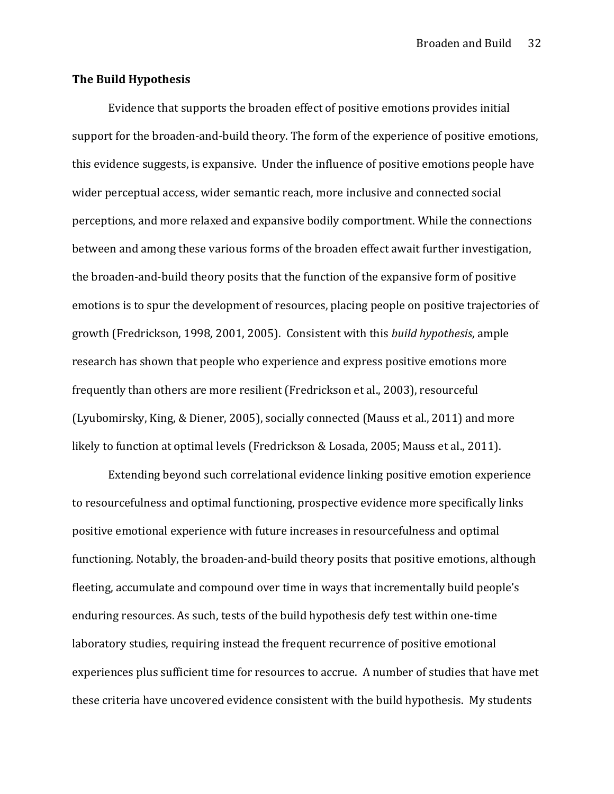# **The Build Hypothesis**

Evidence that supports the broaden effect of positive emotions provides initial support for the broaden-and-build theory. The form of the experience of positive emotions, this evidence suggests, is expansive. Under the influence of positive emotions people have wider perceptual access, wider semantic reach, more inclusive and connected social perceptions, and more relaxed and expansive bodily comportment. While the connections between and among these various forms of the broaden effect await further investigation, the broaden-and-build theory posits that the function of the expansive form of positive emotions is to spur the development of resources, placing people on positive trajectories of growth (Fredrickson, 1998, 2001, 2005). Consistent with this *build hypothesis*, ample research has shown that people who experience and express positive emotions more frequently than others are more resilient (Fredrickson et al., 2003), resourceful (Lyubomirsky, King, & Diener, 2005), socially connected (Mauss et al., 2011) and more likely to function at optimal levels (Fredrickson & Losada, 2005; Mauss et al., 2011).

Extending beyond such correlational evidence linking positive emotion experience to resourcefulness and optimal functioning, prospective evidence more specifically links positive emotional experience with future increases in resourcefulness and optimal functioning. Notably, the broaden-and-build theory posits that positive emotions, although fleeting, accumulate and compound over time in ways that incrementally build people's enduring resources. As such, tests of the build hypothesis defy test within one-time laboratory studies, requiring instead the frequent recurrence of positive emotional experiences plus sufficient time for resources to accrue. A number of studies that have met these criteria have uncovered evidence consistent with the build hypothesis. My students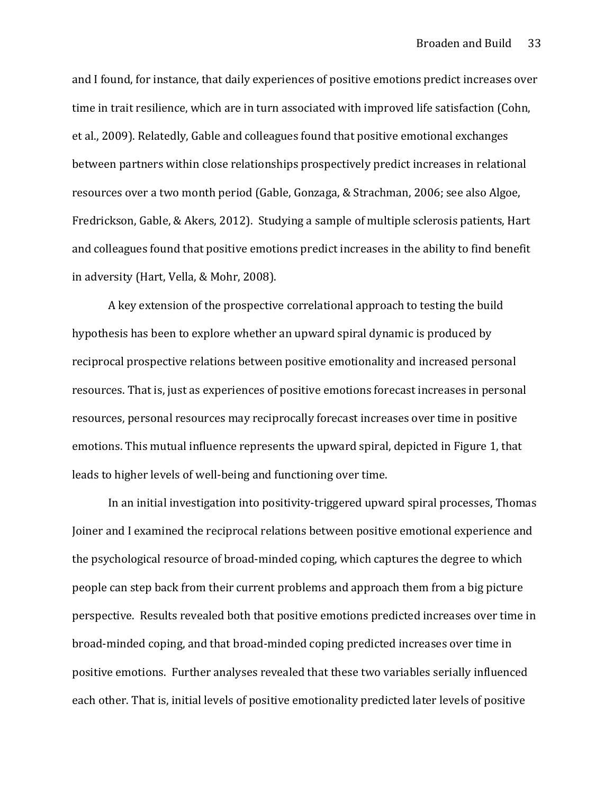and I found, for instance, that daily experiences of positive emotions predict increases over time in trait resilience, which are in turn associated with improved life satisfaction (Cohn, et al., 2009). Relatedly, Gable and colleagues found that positive emotional exchanges between partners within close relationships prospectively predict increases in relational resources over a two month period (Gable, Gonzaga, & Strachman, 2006; see also Algoe, Fredrickson, Gable, & Akers, 2012). Studying a sample of multiple sclerosis patients, Hart and colleagues found that positive emotions predict increases in the ability to find benefit in adversity (Hart, Vella, & Mohr, 2008).

A key extension of the prospective correlational approach to testing the build hypothesis has been to explore whether an upward spiral dynamic is produced by reciprocal prospective relations between positive emotionality and increased personal resources. That is, just as experiences of positive emotions forecast increases in personal resources, personal resources may reciprocally forecast increases over time in positive emotions. This mutual influence represents the upward spiral, depicted in Figure 1, that leads to higher levels of well-being and functioning over time.

In an initial investigation into positivity-triggered upward spiral processes, Thomas Joiner and I examined the reciprocal relations between positive emotional experience and the psychological resource of broad-minded coping, which captures the degree to which people can step back from their current problems and approach them from a big picture perspective. Results revealed both that positive emotions predicted increases over time in broad-minded coping, and that broad-minded coping predicted increases over time in positive emotions. Further analyses revealed that these two variables serially influenced each other. That is, initial levels of positive emotionality predicted later levels of positive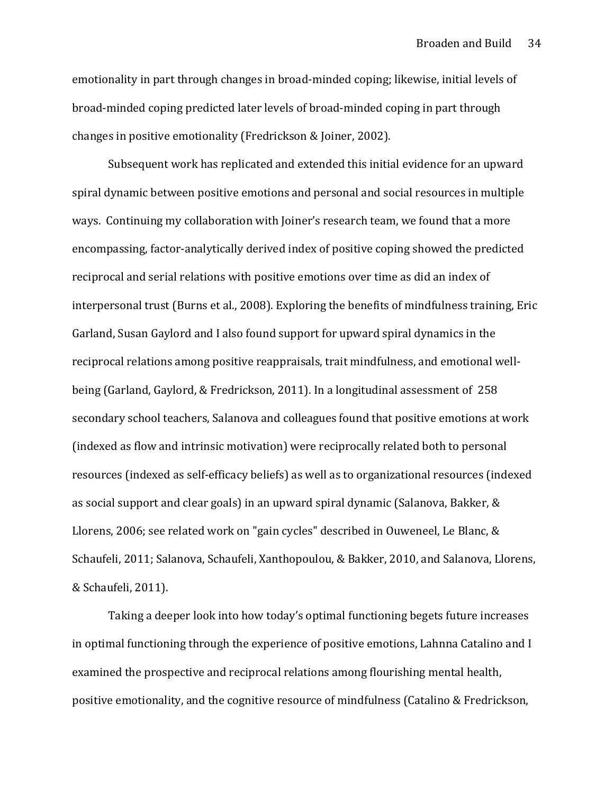emotionality in part through changes in broad-minded coping; likewise, initial levels of broad-minded coping predicted later levels of broad-minded coping in part through changes in positive emotionality (Fredrickson & Joiner, 2002).

Subsequent work has replicated and extended this initial evidence for an upward spiral dynamic between positive emotions and personal and social resources in multiple ways. Continuing my collaboration with Joiner's research team, we found that a more encompassing, factor-analytically derived index of positive coping showed the predicted reciprocal and serial relations with positive emotions over time as did an index of interpersonal trust (Burns et al., 2008). Exploring the benefits of mindfulness training, Eric Garland, Susan Gaylord and I also found support for upward spiral dynamics in the reciprocal relations among positive reappraisals, trait mindfulness, and emotional wellbeing (Garland, Gaylord, & Fredrickson, 2011). In a longitudinal assessment of 258 secondary school teachers, Salanova and colleagues found that positive emotions at work (indexed as flow and intrinsic motivation) were reciprocally related both to personal resources (indexed as self-efficacy beliefs) as well as to organizational resources (indexed as social support and clear goals) in an upward spiral dynamic (Salanova, Bakker, & Llorens, 2006; see related work on "gain cycles" described in Ouweneel, Le Blanc, & Schaufeli, 2011; Salanova, Schaufeli, Xanthopoulou, & Bakker, 2010, and Salanova, Llorens, & Schaufeli, 2011).

Taking a deeper look into how today's optimal functioning begets future increases in optimal functioning through the experience of positive emotions, Lahnna Catalino and I examined the prospective and reciprocal relations among flourishing mental health, positive emotionality, and the cognitive resource of mindfulness (Catalino & Fredrickson,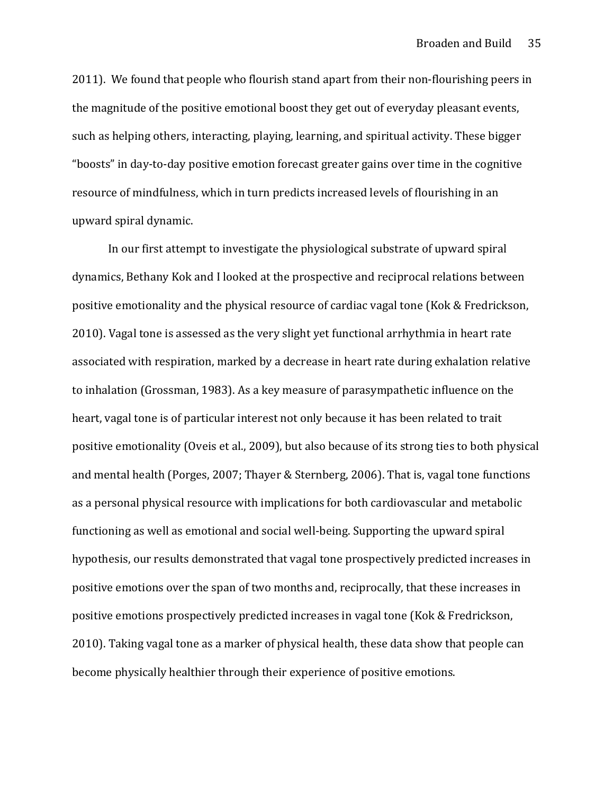2011). We found that people who flourish stand apart from their non-flourishing peers in the magnitude of the positive emotional boost they get out of everyday pleasant events, such as helping others, interacting, playing, learning, and spiritual activity. These bigger "boosts" in day-to-day positive emotion forecast greater gains over time in the cognitive resource of mindfulness, which in turn predicts increased levels of flourishing in an upward spiral dynamic.

In our first attempt to investigate the physiological substrate of upward spiral dynamics, Bethany Kok and I looked at the prospective and reciprocal relations between positive emotionality and the physical resource of cardiac vagal tone (Kok & Fredrickson, 2010). Vagal tone is assessed as the very slight yet functional arrhythmia in heart rate associated with respiration, marked by a decrease in heart rate during exhalation relative to inhalation (Grossman, 1983). As a key measure of parasympathetic influence on the heart, vagal tone is of particular interest not only because it has been related to trait positive emotionality (Oveis et al., 2009), but also because of its strong ties to both physical and mental health (Porges, 2007; Thayer & Sternberg, 2006). That is, vagal tone functions as a personal physical resource with implications for both cardiovascular and metabolic functioning as well as emotional and social well-being. Supporting the upward spiral hypothesis, our results demonstrated that vagal tone prospectively predicted increases in positive emotions over the span of two months and, reciprocally, that these increases in positive emotions prospectively predicted increases in vagal tone (Kok & Fredrickson, 2010). Taking vagal tone as a marker of physical health, these data show that people can become physically healthier through their experience of positive emotions.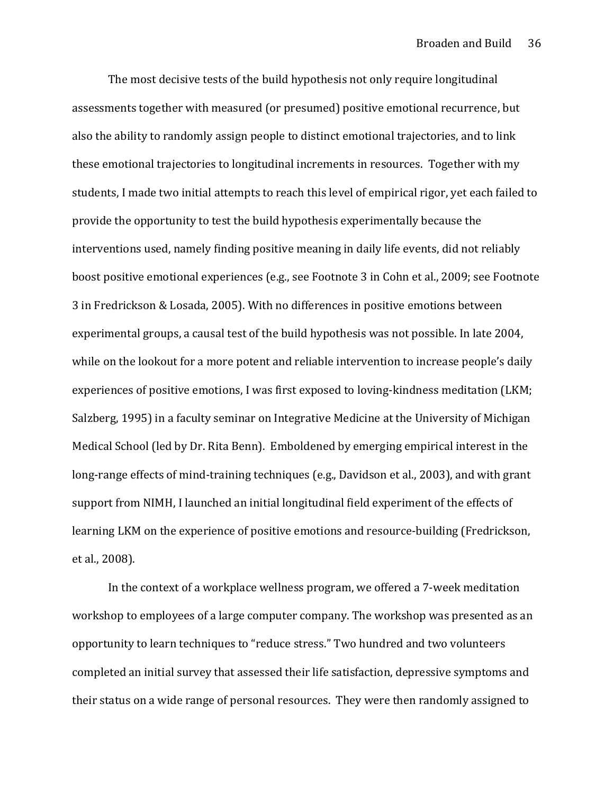The most decisive tests of the build hypothesis not only require longitudinal assessments together with measured (or presumed) positive emotional recurrence, but also the ability to randomly assign people to distinct emotional trajectories, and to link these emotional trajectories to longitudinal increments in resources. Together with my students, I made two initial attempts to reach this level of empirical rigor, yet each failed to provide the opportunity to test the build hypothesis experimentally because the interventions used, namely finding positive meaning in daily life events, did not reliably boost positive emotional experiences (e.g., see Footnote 3 in Cohn et al., 2009; see Footnote 3 in Fredrickson & Losada, 2005). With no differences in positive emotions between experimental groups, a causal test of the build hypothesis was not possible. In late 2004, while on the lookout for a more potent and reliable intervention to increase people's daily experiences of positive emotions, I was first exposed to loving-kindness meditation (LKM; Salzberg, 1995) in a faculty seminar on Integrative Medicine at the University of Michigan Medical School (led by Dr. Rita Benn). Emboldened by emerging empirical interest in the long-range effects of mind-training techniques (e.g., Davidson et al., 2003), and with grant support from NIMH, I launched an initial longitudinal field experiment of the effects of learning LKM on the experience of positive emotions and resource-building (Fredrickson, et al., 2008).

In the context of a workplace wellness program, we offered a 7-week meditation workshop to employees of a large computer company. The workshop was presented as an opportunity to learn techniques to "reduce stress." Two hundred and two volunteers completed an initial survey that assessed their life satisfaction, depressive symptoms and their status on a wide range of personal resources. They were then randomly assigned to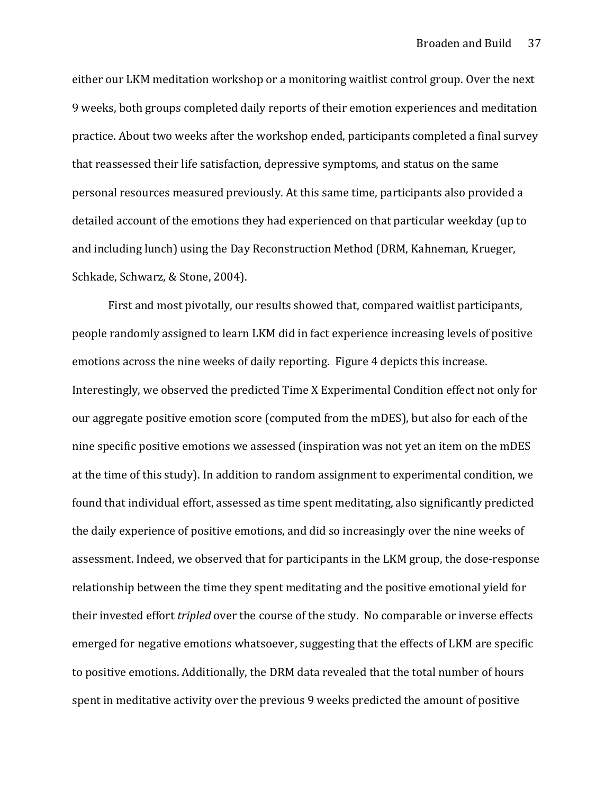either our LKM meditation workshop or a monitoring waitlist control group. Over the next 9 weeks, both groups completed daily reports of their emotion experiences and meditation practice. About two weeks after the workshop ended, participants completed a final survey that reassessed their life satisfaction, depressive symptoms, and status on the same personal resources measured previously. At this same time, participants also provided a detailed account of the emotions they had experienced on that particular weekday (up to and including lunch) using the Day Reconstruction Method (DRM, Kahneman, Krueger, Schkade, Schwarz, & Stone, 2004).

First and most pivotally, our results showed that, compared waitlist participants, people randomly assigned to learn LKM did in fact experience increasing levels of positive emotions across the nine weeks of daily reporting. Figure 4 depicts this increase. Interestingly, we observed the predicted Time X Experimental Condition effect not only for our aggregate positive emotion score (computed from the mDES), but also for each of the nine specific positive emotions we assessed (inspiration was not yet an item on the mDES at the time of this study). In addition to random assignment to experimental condition, we found that individual effort, assessed as time spent meditating, also significantly predicted the daily experience of positive emotions, and did so increasingly over the nine weeks of assessment. Indeed, we observed that for participants in the LKM group, the dose-response relationship between the time they spent meditating and the positive emotional yield for their invested effort *tripled* over the course of the study. No comparable or inverse effects emerged for negative emotions whatsoever, suggesting that the effects of LKM are specific to positive emotions. Additionally, the DRM data revealed that the total number of hours spent in meditative activity over the previous 9 weeks predicted the amount of positive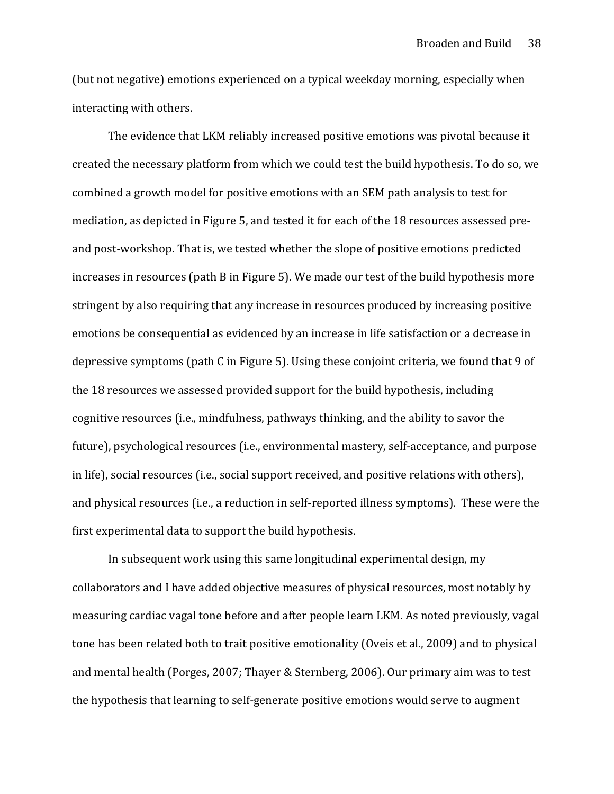(but not negative) emotions experienced on a typical weekday morning, especially when interacting with others.

The evidence that LKM reliably increased positive emotions was pivotal because it created the necessary platform from which we could test the build hypothesis. To do so, we combined a growth model for positive emotions with an SEM path analysis to test for mediation, as depicted in Figure 5, and tested it for each of the 18 resources assessed preand post-workshop. That is, we tested whether the slope of positive emotions predicted increases in resources (path B in Figure 5). We made our test of the build hypothesis more stringent by also requiring that any increase in resources produced by increasing positive emotions be consequential as evidenced by an increase in life satisfaction or a decrease in depressive symptoms (path C in Figure 5). Using these conjoint criteria, we found that 9 of the 18 resources we assessed provided support for the build hypothesis, including cognitive resources (i.e., mindfulness, pathways thinking, and the ability to savor the future), psychological resources (i.e., environmental mastery, self-acceptance, and purpose in life), social resources (i.e., social support received, and positive relations with others), and physical resources (i.e., a reduction in self-reported illness symptoms). These were the first experimental data to support the build hypothesis.

In subsequent work using this same longitudinal experimental design, my collaborators and I have added objective measures of physical resources, most notably by measuring cardiac vagal tone before and after people learn LKM. As noted previously, vagal tone has been related both to trait positive emotionality (Oveis et al., 2009) and to physical and mental health (Porges, 2007; Thayer & Sternberg, 2006). Our primary aim was to test the hypothesis that learning to self-generate positive emotions would serve to augment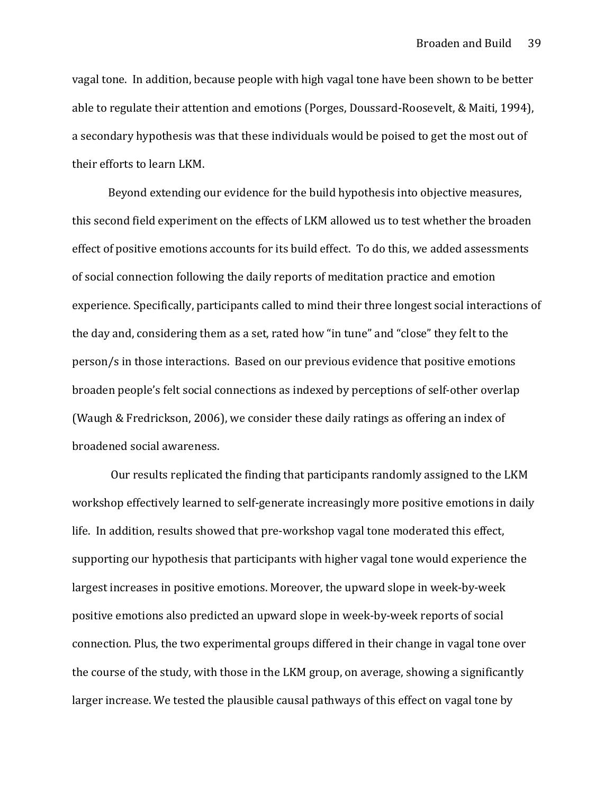vagal tone. In addition, because people with high vagal tone have been shown to be better able to regulate their attention and emotions (Porges, Doussard-Roosevelt, & Maiti, 1994), a secondary hypothesis was that these individuals would be poised to get the most out of their efforts to learn LKM.

Beyond extending our evidence for the build hypothesis into objective measures, this second field experiment on the effects of LKM allowed us to test whether the broaden effect of positive emotions accounts for its build effect. To do this, we added assessments of social connection following the daily reports of meditation practice and emotion experience. Specifically, participants called to mind their three longest social interactions of the day and, considering them as a set, rated how "in tune" and "close" they felt to the person/s in those interactions. Based on our previous evidence that positive emotions broaden people's felt social connections as indexed by perceptions of self-other overlap (Waugh & Fredrickson, 2006), we consider these daily ratings as offering an index of broadened social awareness.

Our results replicated the finding that participants randomly assigned to the LKM workshop effectively learned to self-generate increasingly more positive emotions in daily life. In addition, results showed that pre-workshop vagal tone moderated this effect, supporting our hypothesis that participants with higher vagal tone would experience the largest increases in positive emotions. Moreover, the upward slope in week-by-week positive emotions also predicted an upward slope in week-by-week reports of social connection. Plus, the two experimental groups differed in their change in vagal tone over the course of the study, with those in the LKM group, on average, showing a significantly larger increase. We tested the plausible causal pathways of this effect on vagal tone by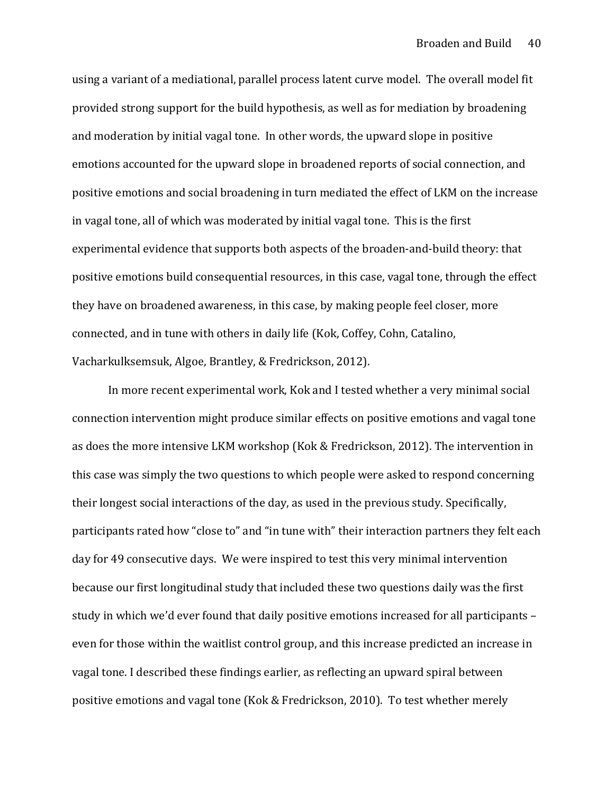using a variant of a mediational, parallel process latent curve model. The overall model fit provided strong support for the build hypothesis, as well as for mediation by broadening and moderation by initial vagal tone. In other words, the upward slope in positive emotions accounted for the upward slope in broadened reports of social connection, and positive emotions and social broadening in turn mediated the effect of LKM on the increase in vagal tone, all of which was moderated by initial vagal tone. This is the first experimental evidence that supports both aspects of the broaden-and-build theory: that positive emotions build consequential resources, in this case, vagal tone, through the effect they have on broadened awareness, in this case, by making people feel closer, more connected, and in tune with others in daily life (Kok, Coffey, Cohn, Catalino, Vacharkulksemsuk, Algoe, Brantley, & Fredrickson, 2012).

In more recent experimental work, Kok and I tested whether a very minimal social connection intervention might produce similar effects on positive emotions and vagal tone as does the more intensive LKM workshop (Kok & Fredrickson, 2012). The intervention in this case was simply the two questions to which people were asked to respond concerning their longest social interactions of the day, as used in the previous study. Specifically, participants rated how "close to" and "in tune with" their interaction partners they felt each day for 49 consecutive days. We were inspired to test this very minimal intervention because our first longitudinal study that included these two questions daily was the first study in which we'd ever found that daily positive emotions increased for all participants – even for those within the waitlist control group, and this increase predicted an increase in vagal tone. I described these findings earlier, as reflecting an upward spiral between positive emotions and vagal tone (Kok & Fredrickson, 2010). To test whether merely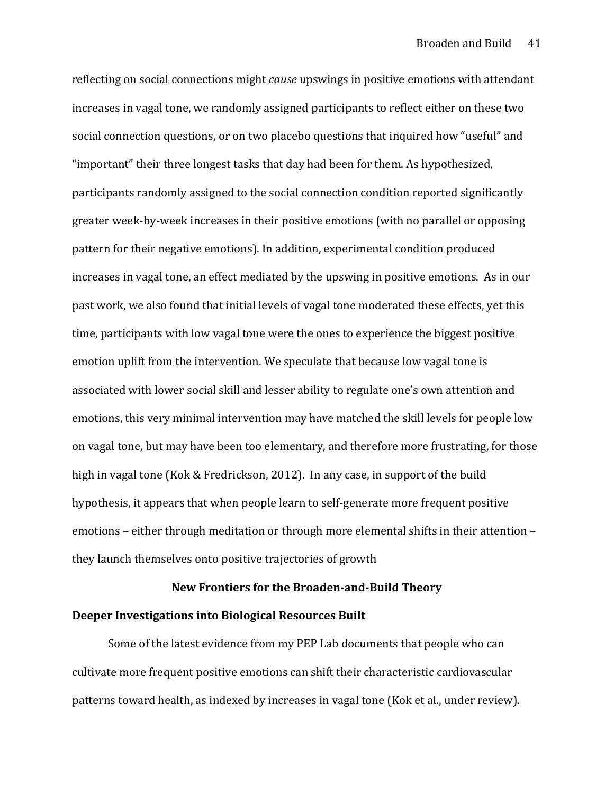reflecting on social connections might *cause* upswings in positive emotions with attendant increases in vagal tone, we randomly assigned participants to reflect either on these two social connection questions, or on two placebo questions that inquired how "useful" and "important" their three longest tasks that day had been for them. As hypothesized, participants randomly assigned to the social connection condition reported significantly greater week-by-week increases in their positive emotions (with no parallel or opposing pattern for their negative emotions). In addition, experimental condition produced increases in vagal tone, an effect mediated by the upswing in positive emotions. As in our past work, we also found that initial levels of vagal tone moderated these effects, yet this time, participants with low vagal tone were the ones to experience the biggest positive emotion uplift from the intervention. We speculate that because low vagal tone is associated with lower social skill and lesser ability to regulate one's own attention and emotions, this very minimal intervention may have matched the skill levels for people low on vagal tone, but may have been too elementary, and therefore more frustrating, for those high in vagal tone (Kok & Fredrickson, 2012). In any case, in support of the build hypothesis, it appears that when people learn to self-generate more frequent positive emotions – either through meditation or through more elemental shifts in their attention – they launch themselves onto positive trajectories of growth

# **New Frontiers for the Broaden-and-Build Theory**

### **Deeper Investigations into Biological Resources Built**

Some of the latest evidence from my PEP Lab documents that people who can cultivate more frequent positive emotions can shift their characteristic cardiovascular patterns toward health, as indexed by increases in vagal tone (Kok et al., under review).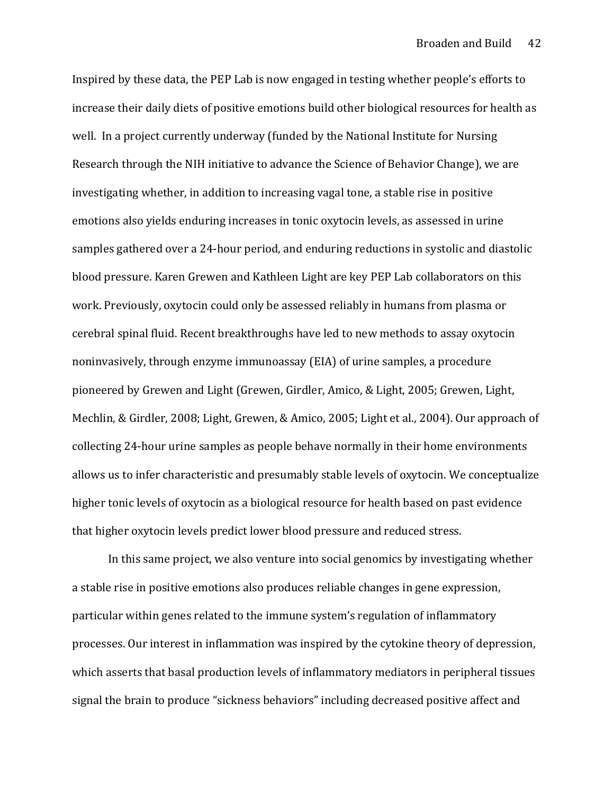Inspired by these data, the PEP Lab is now engaged in testing whether people's efforts to increase their daily diets of positive emotions build other biological resources for health as well. In a project currently underway (funded by the National Institute for Nursing Research through the NIH initiative to advance the Science of Behavior Change), we are investigating whether, in addition to increasing vagal tone, a stable rise in positive emotions also yields enduring increases in tonic oxytocin levels, as assessed in urine samples gathered over a 24-hour period, and enduring reductions in systolic and diastolic blood pressure. Karen Grewen and Kathleen Light are key PEP Lab collaborators on this work. Previously, oxytocin could only be assessed reliably in humans from plasma or cerebral spinal fluid. Recent breakthroughs have led to new methods to assay oxytocin noninvasively, through enzyme immunoassay (EIA) of urine samples, a procedure pioneered by Grewen and Light (Grewen, Girdler, Amico, & Light, 2005; Grewen, Light, Mechlin, & Girdler, 2008; Light, Grewen, & Amico, 2005; Light et al., 2004). Our approach of collecting 24-hour urine samples as people behave normally in their home environments allows us to infer characteristic and presumably stable levels of oxytocin. We conceptualize higher tonic levels of oxytocin as a biological resource for health based on past evidence that higher oxytocin levels predict lower blood pressure and reduced stress.

In this same project, we also venture into social genomics by investigating whether a stable rise in positive emotions also produces reliable changes in gene expression, particular within genes related to the immune system's regulation of inflammatory processes. Our interest in inflammation was inspired by the cytokine theory of depression, which asserts that basal production levels of inflammatory mediators in peripheral tissues signal the brain to produce "sickness behaviors" including decreased positive affect and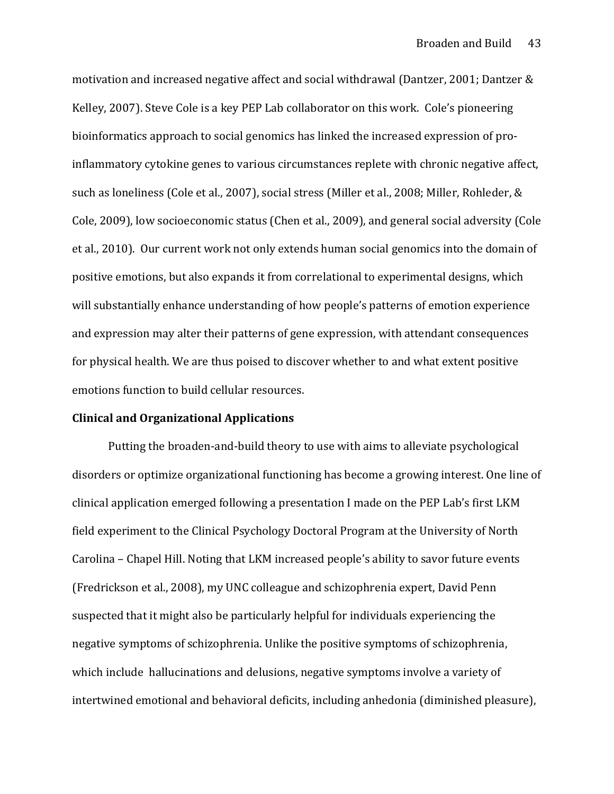motivation and increased negative affect and social withdrawal (Dantzer, 2001; Dantzer & Kelley, 2007). Steve Cole is a key PEP Lab collaborator on this work. Cole's pioneering bioinformatics approach to social genomics has linked the increased expression of proinflammatory cytokine genes to various circumstances replete with chronic negative affect, such as loneliness (Cole et al., 2007), social stress (Miller et al., 2008; Miller, Rohleder, & Cole, 2009), low socioeconomic status (Chen et al., 2009), and general social adversity (Cole et al., 2010). Our current work not only extends human social genomics into the domain of positive emotions, but also expands it from correlational to experimental designs, which will substantially enhance understanding of how people's patterns of emotion experience and expression may alter their patterns of gene expression, with attendant consequences for physical health. We are thus poised to discover whether to and what extent positive emotions function to build cellular resources.

### **Clinical and Organizational Applications**

Putting the broaden-and-build theory to use with aims to alleviate psychological disorders or optimize organizational functioning has become a growing interest. One line of clinical application emerged following a presentation I made on the PEP Lab's first LKM field experiment to the Clinical Psychology Doctoral Program at the University of North Carolina – Chapel Hill. Noting that LKM increased people's ability to savor future events (Fredrickson et al., 2008), my UNC colleague and schizophrenia expert, David Penn suspected that it might also be particularly helpful for individuals experiencing the negative symptoms of schizophrenia. Unlike the positive symptoms of schizophrenia, which include hallucinations and delusions, negative symptoms involve a variety of intertwined emotional and behavioral deficits, including anhedonia (diminished pleasure),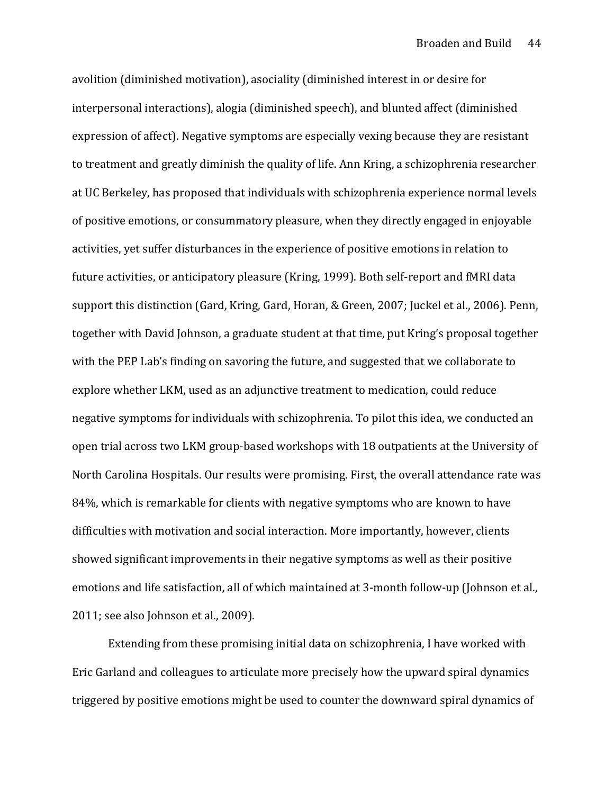avolition (diminished motivation), asociality (diminished interest in or desire for interpersonal interactions), alogia (diminished speech), and blunted affect (diminished expression of affect). Negative symptoms are especially vexing because they are resistant to treatment and greatly diminish the quality of life. Ann Kring, a schizophrenia researcher at UC Berkeley, has proposed that individuals with schizophrenia experience normal levels of positive emotions, or consummatory pleasure, when they directly engaged in enjoyable activities, yet suffer disturbances in the experience of positive emotions in relation to future activities, or anticipatory pleasure (Kring, 1999). Both self-report and fMRI data support this distinction (Gard, Kring, Gard, Horan, & Green, 2007; Juckel et al., 2006). Penn, together with David Johnson, a graduate student at that time, put Kring's proposal together with the PEP Lab's finding on savoring the future, and suggested that we collaborate to explore whether LKM, used as an adjunctive treatment to medication, could reduce negative symptoms for individuals with schizophrenia. To pilot this idea, we conducted an open trial across two LKM group-based workshops with 18 outpatients at the University of North Carolina Hospitals. Our results were promising. First, the overall attendance rate was 84%, which is remarkable for clients with negative symptoms who are known to have difficulties with motivation and social interaction. More importantly, however, clients showed significant improvements in their negative symptoms as well as their positive emotions and life satisfaction, all of which maintained at 3-month follow-up (Johnson et al., 2011; see also Johnson et al., 2009).

Extending from these promising initial data on schizophrenia, I have worked with Eric Garland and colleagues to articulate more precisely how the upward spiral dynamics triggered by positive emotions might be used to counter the downward spiral dynamics of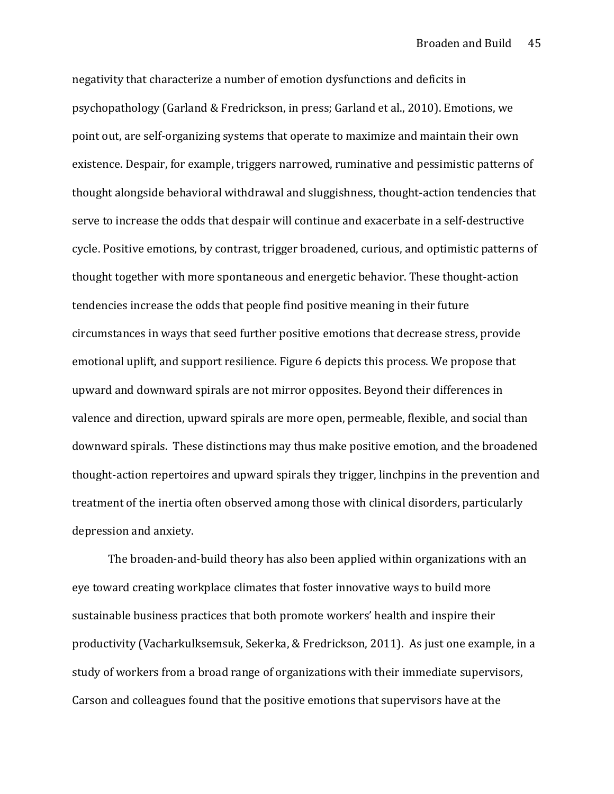negativity that characterize a number of emotion dysfunctions and deficits in psychopathology (Garland & Fredrickson, in press; Garland et al., 2010). Emotions, we point out, are self-organizing systems that operate to maximize and maintain their own existence. Despair, for example, triggers narrowed, ruminative and pessimistic patterns of thought alongside behavioral withdrawal and sluggishness, thought-action tendencies that serve to increase the odds that despair will continue and exacerbate in a self-destructive cycle. Positive emotions, by contrast, trigger broadened, curious, and optimistic patterns of thought together with more spontaneous and energetic behavior. These thought-action tendencies increase the odds that people find positive meaning in their future circumstances in ways that seed further positive emotions that decrease stress, provide emotional uplift, and support resilience. Figure 6 depicts this process. We propose that upward and downward spirals are not mirror opposites. Beyond their differences in valence and direction, upward spirals are more open, permeable, flexible, and social than downward spirals. These distinctions may thus make positive emotion, and the broadened thought-action repertoires and upward spirals they trigger, linchpins in the prevention and treatment of the inertia often observed among those with clinical disorders, particularly depression and anxiety.

The broaden-and-build theory has also been applied within organizations with an eye toward creating workplace climates that foster innovative ways to build more sustainable business practices that both promote workers' health and inspire their productivity (Vacharkulksemsuk, Sekerka, & Fredrickson, 2011). As just one example, in a study of workers from a broad range of organizations with their immediate supervisors, Carson and colleagues found that the positive emotions that supervisors have at the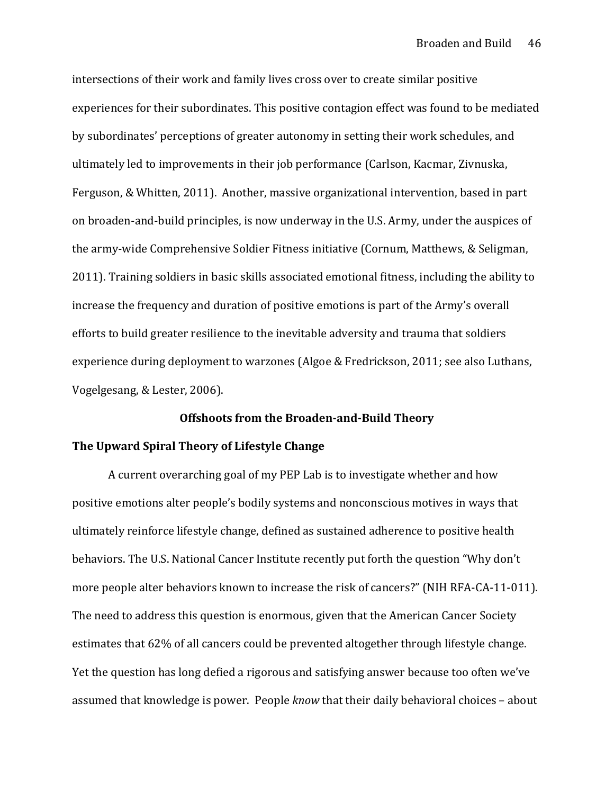intersections of their work and family lives cross over to create similar positive experiences for their subordinates. This positive contagion effect was found to be mediated by subordinates' perceptions of greater autonomy in setting their work schedules, and ultimately led to improvements in their job performance (Carlson, Kacmar, Zivnuska, Ferguson, & Whitten, 2011). Another, massive organizational intervention, based in part on broaden-and-build principles, is now underway in the U.S. Army, under the auspices of the army-wide Comprehensive Soldier Fitness initiative (Cornum, Matthews, & Seligman, 2011). Training soldiers in basic skills associated emotional fitness, including the ability to increase the frequency and duration of positive emotions is part of the Army's overall efforts to build greater resilience to the inevitable adversity and trauma that soldiers experience during deployment to warzones (Algoe & Fredrickson, 2011; see also Luthans, Vogelgesang, & Lester, 2006).

### **Offshoots from the Broaden-and-Build Theory**

## **The Upward Spiral Theory of Lifestyle Change**

A current overarching goal of my PEP Lab is to investigate whether and how positive emotions alter people's bodily systems and nonconscious motives in ways that ultimately reinforce lifestyle change, defined as sustained adherence to positive health behaviors. The U.S. National Cancer Institute recently put forth the question "Why don't more people alter behaviors known to increase the risk of cancers?" (NIH RFA-CA-11-011). The need to address this question is enormous, given that the American Cancer Society estimates that 62% of all cancers could be prevented altogether through lifestyle change. Yet the question has long defied a rigorous and satisfying answer because too often we've assumed that knowledge is power. People *know* that their daily behavioral choices – about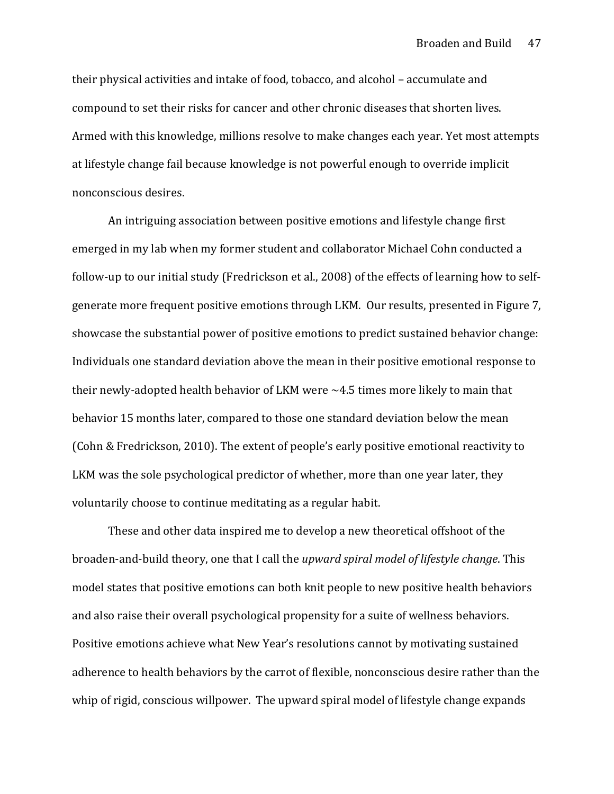their physical activities and intake of food, tobacco, and alcohol – accumulate and compound to set their risks for cancer and other chronic diseases that shorten lives. Armed with this knowledge, millions resolve to make changes each year. Yet most attempts at lifestyle change fail because knowledge is not powerful enough to override implicit nonconscious desires.

An intriguing association between positive emotions and lifestyle change first emerged in my lab when my former student and collaborator Michael Cohn conducted a follow-up to our initial study (Fredrickson et al., 2008) of the effects of learning how to selfgenerate more frequent positive emotions through LKM. Our results, presented in Figure 7, showcase the substantial power of positive emotions to predict sustained behavior change: Individuals one standard deviation above the mean in their positive emotional response to their newly-adopted health behavior of LKM were  $\sim$  4.5 times more likely to main that behavior 15 months later, compared to those one standard deviation below the mean (Cohn & Fredrickson, 2010). The extent of people's early positive emotional reactivity to LKM was the sole psychological predictor of whether, more than one year later, they voluntarily choose to continue meditating as a regular habit.

These and other data inspired me to develop a new theoretical offshoot of the broaden-and-build theory, one that I call the *upward spiral model of lifestyle change*. This model states that positive emotions can both knit people to new positive health behaviors and also raise their overall psychological propensity for a suite of wellness behaviors. Positive emotions achieve what New Year's resolutions cannot by motivating sustained adherence to health behaviors by the carrot of flexible, nonconscious desire rather than the whip of rigid, conscious willpower. The upward spiral model of lifestyle change expands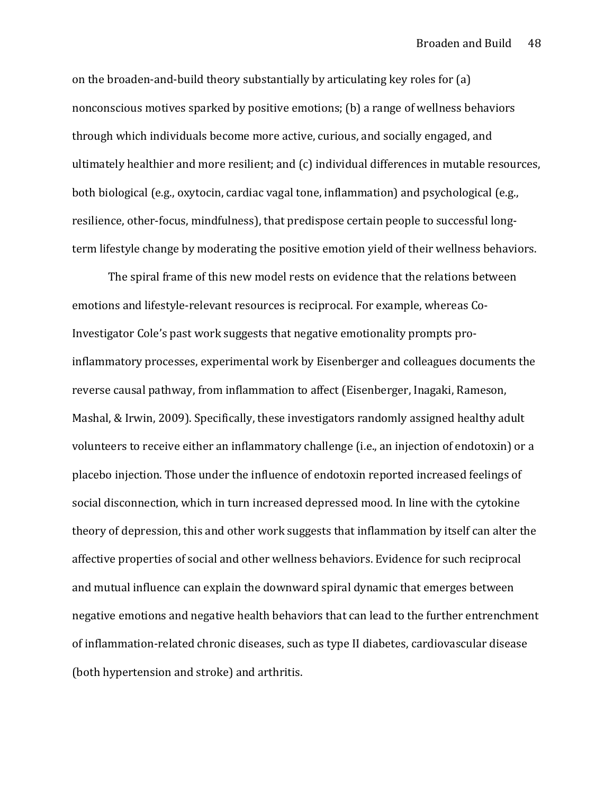on the broaden-and-build theory substantially by articulating key roles for (a) nonconscious motives sparked by positive emotions; (b) a range of wellness behaviors through which individuals become more active, curious, and socially engaged, and ultimately healthier and more resilient; and (c) individual differences in mutable resources, both biological (e.g., oxytocin, cardiac vagal tone, inflammation) and psychological (e.g., resilience, other-focus, mindfulness), that predispose certain people to successful longterm lifestyle change by moderating the positive emotion yield of their wellness behaviors.

The spiral frame of this new model rests on evidence that the relations between emotions and lifestyle-relevant resources is reciprocal. For example, whereas Co-Investigator Cole's past work suggests that negative emotionality prompts proinflammatory processes, experimental work by Eisenberger and colleagues documents the reverse causal pathway, from inflammation to affect (Eisenberger, Inagaki, Rameson, Mashal, & Irwin, 2009). Specifically, these investigators randomly assigned healthy adult volunteers to receive either an inflammatory challenge (i.e., an injection of endotoxin) or a placebo injection. Those under the influence of endotoxin reported increased feelings of social disconnection, which in turn increased depressed mood. In line with the cytokine theory of depression, this and other work suggests that inflammation by itself can alter the affective properties of social and other wellness behaviors. Evidence for such reciprocal and mutual influence can explain the downward spiral dynamic that emerges between negative emotions and negative health behaviors that can lead to the further entrenchment of inflammation-related chronic diseases, such as type II diabetes, cardiovascular disease (both hypertension and stroke) and arthritis.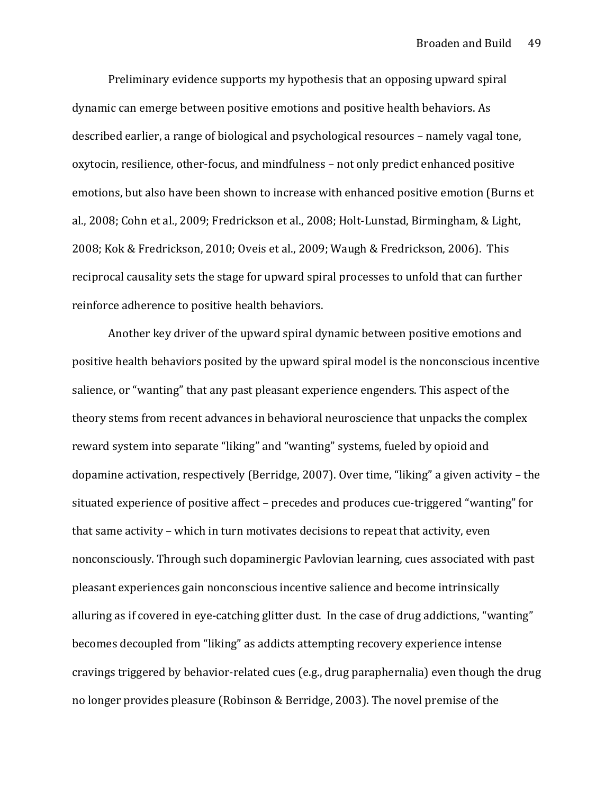Preliminary evidence supports my hypothesis that an opposing upward spiral dynamic can emerge between positive emotions and positive health behaviors. As described earlier, a range of biological and psychological resources – namely vagal tone, oxytocin, resilience, other-focus, and mindfulness – not only predict enhanced positive emotions, but also have been shown to increase with enhanced positive emotion (Burns et al., 2008; Cohn et al., 2009; Fredrickson et al., 2008; Holt-Lunstad, Birmingham, & Light, 2008; Kok & Fredrickson, 2010; Oveis et al., 2009; Waugh & Fredrickson, 2006). This reciprocal causality sets the stage for upward spiral processes to unfold that can further reinforce adherence to positive health behaviors.

Another key driver of the upward spiral dynamic between positive emotions and positive health behaviors posited by the upward spiral model is the nonconscious incentive salience, or "wanting" that any past pleasant experience engenders. This aspect of the theory stems from recent advances in behavioral neuroscience that unpacks the complex reward system into separate "liking" and "wanting" systems, fueled by opioid and dopamine activation, respectively (Berridge, 2007). Over time, "liking" a given activity – the situated experience of positive affect – precedes and produces cue-triggered "wanting" for that same activity – which in turn motivates decisions to repeat that activity, even nonconsciously. Through such dopaminergic Pavlovian learning, cues associated with past pleasant experiences gain nonconscious incentive salience and become intrinsically alluring as if covered in eye-catching glitter dust. In the case of drug addictions, "wanting" becomes decoupled from "liking" as addicts attempting recovery experience intense cravings triggered by behavior-related cues (e.g., drug paraphernalia) even though the drug no longer provides pleasure (Robinson & Berridge, 2003). The novel premise of the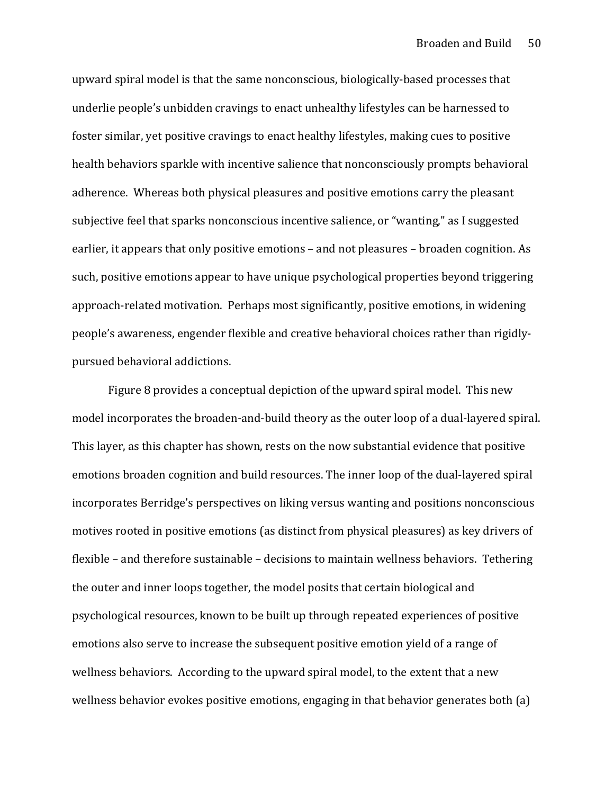upward spiral model is that the same nonconscious, biologically-based processes that underlie people's unbidden cravings to enact unhealthy lifestyles can be harnessed to foster similar, yet positive cravings to enact healthy lifestyles, making cues to positive health behaviors sparkle with incentive salience that nonconsciously prompts behavioral adherence. Whereas both physical pleasures and positive emotions carry the pleasant subjective feel that sparks nonconscious incentive salience, or "wanting," as I suggested earlier, it appears that only positive emotions – and not pleasures – broaden cognition. As such, positive emotions appear to have unique psychological properties beyond triggering approach-related motivation. Perhaps most significantly, positive emotions, in widening people's awareness, engender flexible and creative behavioral choices rather than rigidlypursued behavioral addictions.

Figure 8 provides a conceptual depiction of the upward spiral model. This new model incorporates the broaden-and-build theory as the outer loop of a dual-layered spiral. This layer, as this chapter has shown, rests on the now substantial evidence that positive emotions broaden cognition and build resources. The inner loop of the dual-layered spiral incorporates Berridge's perspectives on liking versus wanting and positions nonconscious motives rooted in positive emotions (as distinct from physical pleasures) as key drivers of flexible – and therefore sustainable – decisions to maintain wellness behaviors. Tethering the outer and inner loops together, the model posits that certain biological and psychological resources, known to be built up through repeated experiences of positive emotions also serve to increase the subsequent positive emotion yield of a range of wellness behaviors. According to the upward spiral model, to the extent that a new wellness behavior evokes positive emotions, engaging in that behavior generates both (a)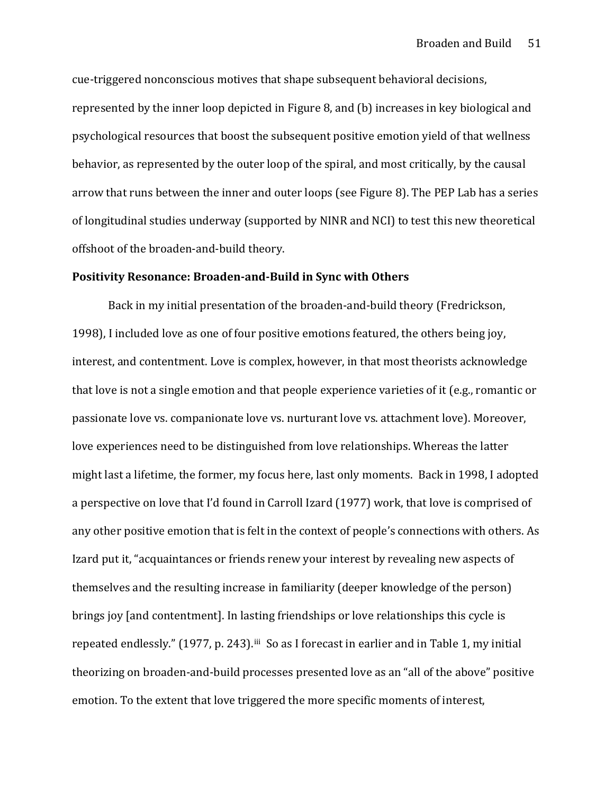cue-triggered nonconscious motives that shape subsequent behavioral decisions, represented by the inner loop depicted in Figure 8, and (b) increases in key biological and psychological resources that boost the subsequent positive emotion yield of that wellness behavior, as represented by the outer loop of the spiral, and most critically, by the causal arrow that runs between the inner and outer loops (see Figure 8). The PEP Lab has a series of longitudinal studies underway (supported by NINR and NCI) to test this new theoretical offshoot of the broaden-and-build theory.

## **Positivity Resonance: Broaden-and-Build in Sync with Others**

Back in my initial presentation of the broaden-and-build theory (Fredrickson, 1998), I included love as one of four positive emotions featured, the others being joy, interest, and contentment. Love is complex, however, in that most theorists acknowledge that love is not a single emotion and that people experience varieties of it (e.g., romantic or passionate love vs. companionate love vs. nurturant love vs. attachment love). Moreover, love experiences need to be distinguished from love relationships. Whereas the latter might last a lifetime, the former, my focus here, last only moments. Back in 1998, I adopted a perspective on love that I'd found in Carroll Izard (1977) work, that love is comprised of any other positive emotion that is felt in the context of people's connections with others. As Izard put it, "acquaintances or friends renew your interest by revealing new aspects of themselves and the resulting increase in familiarity (deeper knowledge of the person) brings joy [and contentment]. In lasting friendships or love relationships this cycle is repeated endlessly." (1977, p. 243).<sup>[iii](#page-85-0)</sup> So as I forecast in earlier and in Table 1, my initial theorizing on broaden-and-build processes presented love as an "all of the above" positive emotion. To the extent that love triggered the more specific moments of interest,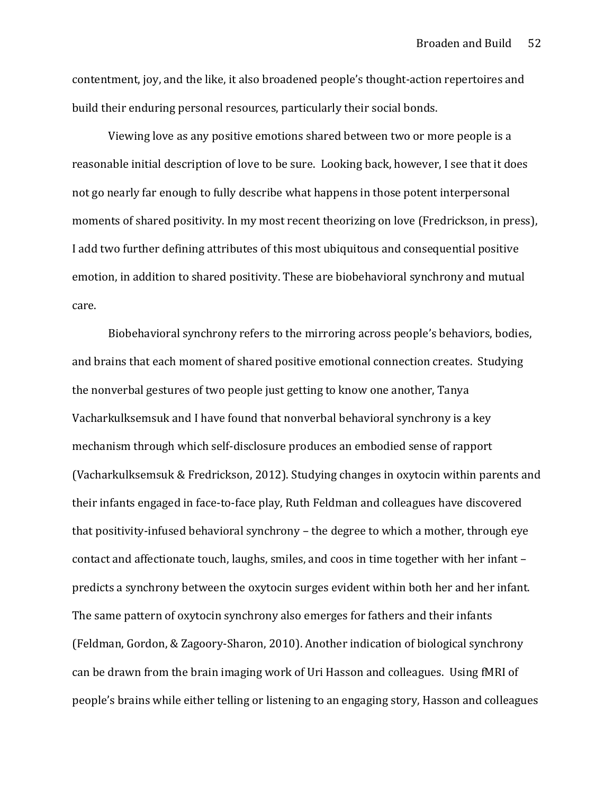contentment, joy, and the like, it also broadened people's thought-action repertoires and build their enduring personal resources, particularly their social bonds.

Viewing love as any positive emotions shared between two or more people is a reasonable initial description of love to be sure. Looking back, however, I see that it does not go nearly far enough to fully describe what happens in those potent interpersonal moments of shared positivity. In my most recent theorizing on love (Fredrickson, in press), I add two further defining attributes of this most ubiquitous and consequential positive emotion, in addition to shared positivity. These are biobehavioral synchrony and mutual care.

Biobehavioral synchrony refers to the mirroring across people's behaviors, bodies, and brains that each moment of shared positive emotional connection creates. Studying the nonverbal gestures of two people just getting to know one another, Tanya Vacharkulksemsuk and I have found that nonverbal behavioral synchrony is a key mechanism through which self-disclosure produces an embodied sense of rapport (Vacharkulksemsuk & Fredrickson, 2012). Studying changes in oxytocin within parents and their infants engaged in face-to-face play, Ruth Feldman and colleagues have discovered that positivity-infused behavioral synchrony – the degree to which a mother, through eye contact and affectionate touch, laughs, smiles, and coos in time together with her infant – predicts a synchrony between the oxytocin surges evident within both her and her infant. The same pattern of oxytocin synchrony also emerges for fathers and their infants (Feldman, Gordon, & Zagoory-Sharon, 2010). Another indication of biological synchrony can be drawn from the brain imaging work of Uri Hasson and colleagues. Using fMRI of people's brains while either telling or listening to an engaging story, Hasson and colleagues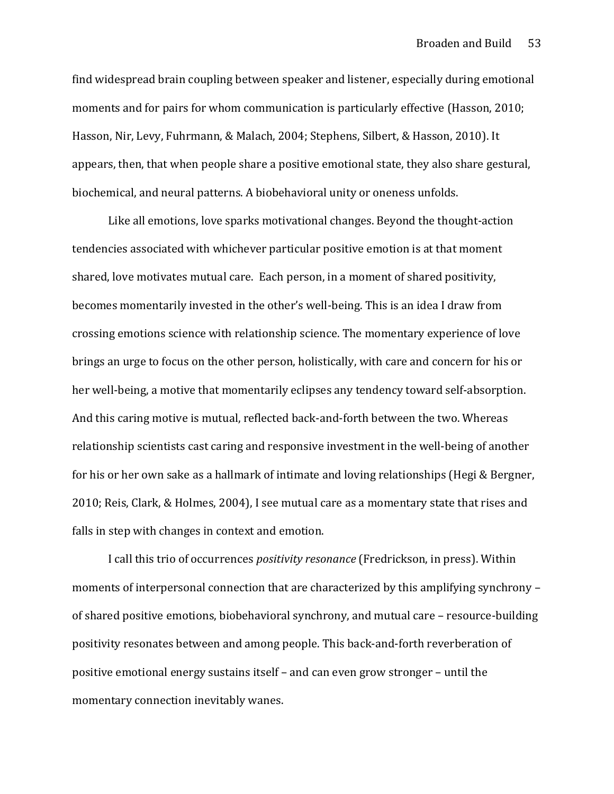find widespread brain coupling between speaker and listener, especially during emotional moments and for pairs for whom communication is particularly effective (Hasson, 2010; Hasson, Nir, Levy, Fuhrmann, & Malach, 2004; Stephens, Silbert, & Hasson, 2010). It appears, then, that when people share a positive emotional state, they also share gestural, biochemical, and neural patterns. A biobehavioral unity or oneness unfolds.

Like all emotions, love sparks motivational changes. Beyond the thought-action tendencies associated with whichever particular positive emotion is at that moment shared, love motivates mutual care. Each person, in a moment of shared positivity, becomes momentarily invested in the other's well-being. This is an idea I draw from crossing emotions science with relationship science. The momentary experience of love brings an urge to focus on the other person, holistically, with care and concern for his or her well-being, a motive that momentarily eclipses any tendency toward self-absorption. And this caring motive is mutual, reflected back-and-forth between the two. Whereas relationship scientists cast caring and responsive investment in the well-being of another for his or her own sake as a hallmark of intimate and loving relationships (Hegi & Bergner, 2010; Reis, Clark, & Holmes, 2004), I see mutual care as a momentary state that rises and falls in step with changes in context and emotion.

I call this trio of occurrences *positivity resonance* (Fredrickson, in press). Within moments of interpersonal connection that are characterized by this amplifying synchrony – of shared positive emotions, biobehavioral synchrony, and mutual care – resource-building positivity resonates between and among people. This back-and-forth reverberation of positive emotional energy sustains itself – and can even grow stronger – until the momentary connection inevitably wanes.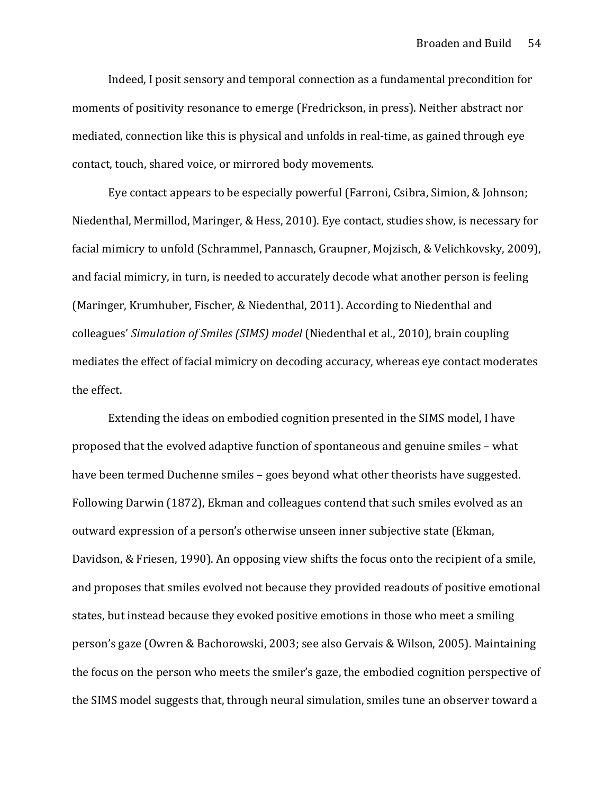Indeed, I posit sensory and temporal connection as a fundamental precondition for moments of positivity resonance to emerge (Fredrickson, in press). Neither abstract nor mediated, connection like this is physical and unfolds in real-time, as gained through eye contact, touch, shared voice, or mirrored body movements.

Eye contact appears to be especially powerful (Farroni, Csibra, Simion, & Johnson; Niedenthal, Mermillod, Maringer, & Hess, 2010). Eye contact, studies show, is necessary for facial mimicry to unfold (Schrammel, Pannasch, Graupner, Mojzisch, & Velichkovsky, 2009), and facial mimicry, in turn, is needed to accurately decode what another person is feeling (Maringer, Krumhuber, Fischer, & Niedenthal, 2011). According to Niedenthal and colleagues' *Simulation of Smiles (SIMS) model* (Niedenthal et al., 2010), brain coupling mediates the effect of facial mimicry on decoding accuracy, whereas eye contact moderates the effect.

Extending the ideas on embodied cognition presented in the SIMS model, I have proposed that the evolved adaptive function of spontaneous and genuine smiles – what have been termed Duchenne smiles – goes beyond what other theorists have suggested. Following Darwin (1872), Ekman and colleagues contend that such smiles evolved as an outward expression of a person's otherwise unseen inner subjective state (Ekman, Davidson, & Friesen, 1990). An opposing view shifts the focus onto the recipient of a smile, and proposes that smiles evolved not because they provided readouts of positive emotional states, but instead because they evoked positive emotions in those who meet a smiling person's gaze (Owren & Bachorowski, 2003; see also Gervais & Wilson, 2005). Maintaining the focus on the person who meets the smiler's gaze, the embodied cognition perspective of the SIMS model suggests that, through neural simulation, smiles tune an observer toward a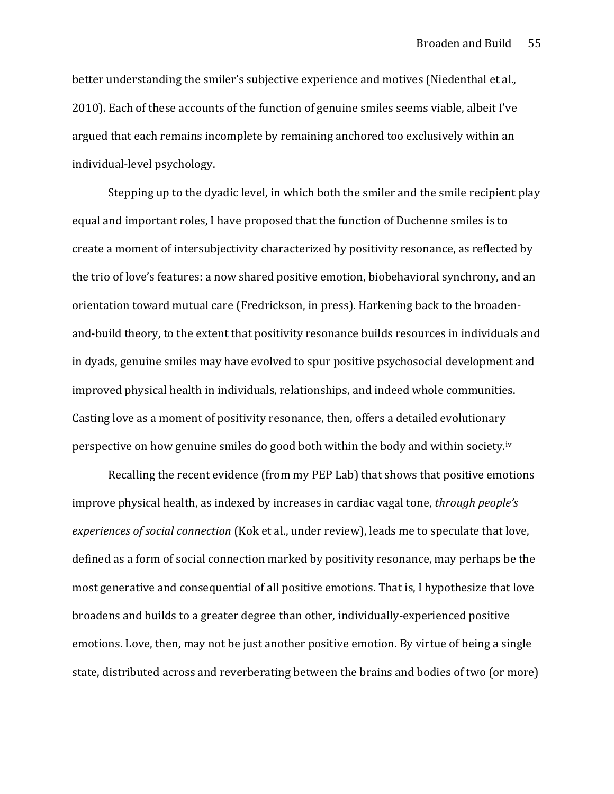better understanding the smiler's subjective experience and motives (Niedenthal et al., 2010). Each of these accounts of the function of genuine smiles seems viable, albeit I've argued that each remains incomplete by remaining anchored too exclusively within an individual-level psychology.

Stepping up to the dyadic level, in which both the smiler and the smile recipient play equal and important roles, I have proposed that the function of Duchenne smiles is to create a moment of intersubjectivity characterized by positivity resonance, as reflected by the trio of love's features: a now shared positive emotion, biobehavioral synchrony, and an orientation toward mutual care (Fredrickson, in press). Harkening back to the broadenand-build theory, to the extent that positivity resonance builds resources in individuals and in dyads, genuine smiles may have evolved to spur positive psychosocial development and improved physical health in individuals, relationships, and indeed whole communities. Casting love as a moment of positivity resonance, then, offers a detailed evolutionary perspective on how genuine smiles do good both within the body and within society.[iv](#page-85-1) 

Recalling the recent evidence (from my PEP Lab) that shows that positive emotions improve physical health, as indexed by increases in cardiac vagal tone, *through people's experiences of social connection* (Kok et al., under review), leads me to speculate that love, defined as a form of social connection marked by positivity resonance, may perhaps be the most generative and consequential of all positive emotions. That is, I hypothesize that love broadens and builds to a greater degree than other, individually-experienced positive emotions. Love, then, may not be just another positive emotion. By virtue of being a single state, distributed across and reverberating between the brains and bodies of two (or more)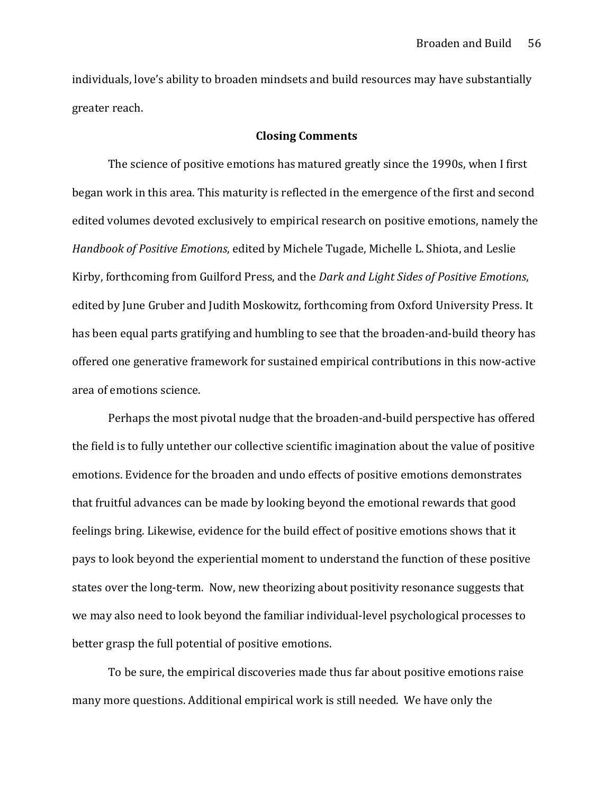individuals, love's ability to broaden mindsets and build resources may have substantially greater reach.

#### **Closing Comments**

The science of positive emotions has matured greatly since the 1990s, when I first began work in this area. This maturity is reflected in the emergence of the first and second edited volumes devoted exclusively to empirical research on positive emotions, namely the *Handbook of Positive Emotions*, edited by Michele Tugade, Michelle L. Shiota, and Leslie Kirby, forthcoming from Guilford Press, and the *Dark and Light Sides of Positive Emotions*, edited by June Gruber and Judith Moskowitz, forthcoming from Oxford University Press. It has been equal parts gratifying and humbling to see that the broaden-and-build theory has offered one generative framework for sustained empirical contributions in this now-active area of emotions science.

Perhaps the most pivotal nudge that the broaden-and-build perspective has offered the field is to fully untether our collective scientific imagination about the value of positive emotions. Evidence for the broaden and undo effects of positive emotions demonstrates that fruitful advances can be made by looking beyond the emotional rewards that good feelings bring. Likewise, evidence for the build effect of positive emotions shows that it pays to look beyond the experiential moment to understand the function of these positive states over the long-term. Now, new theorizing about positivity resonance suggests that we may also need to look beyond the familiar individual-level psychological processes to better grasp the full potential of positive emotions.

To be sure, the empirical discoveries made thus far about positive emotions raise many more questions. Additional empirical work is still needed. We have only the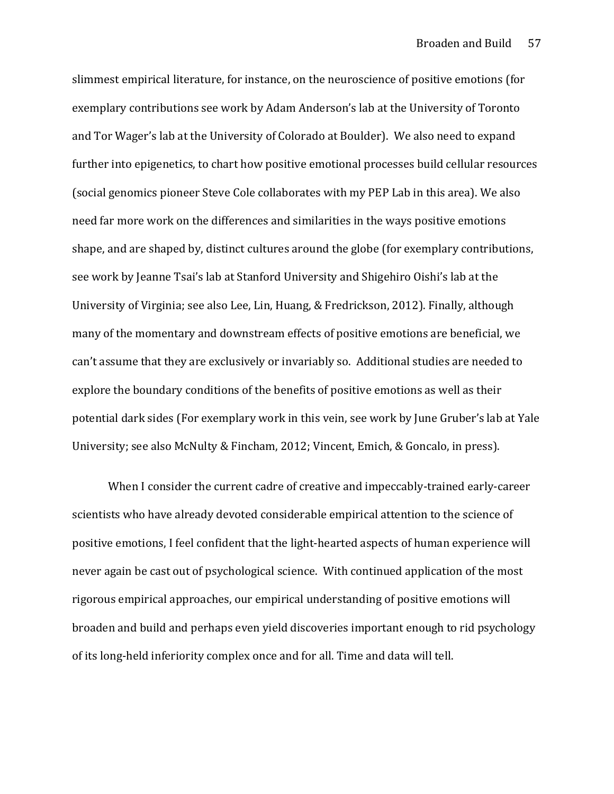slimmest empirical literature, for instance, on the neuroscience of positive emotions (for exemplary contributions see work by Adam Anderson's lab at the University of Toronto and Tor Wager's lab at the University of Colorado at Boulder). We also need to expand further into epigenetics, to chart how positive emotional processes build cellular resources (social genomics pioneer Steve Cole collaborates with my PEP Lab in this area). We also need far more work on the differences and similarities in the ways positive emotions shape, and are shaped by, distinct cultures around the globe (for exemplary contributions, see work by Jeanne Tsai's lab at Stanford University and Shigehiro Oishi's lab at the University of Virginia; see also Lee, Lin, Huang, & Fredrickson, 2012). Finally, although many of the momentary and downstream effects of positive emotions are beneficial, we can't assume that they are exclusively or invariably so. Additional studies are needed to explore the boundary conditions of the benefits of positive emotions as well as their potential dark sides (For exemplary work in this vein, see work by June Gruber's lab at Yale University; see also McNulty & Fincham, 2012; Vincent, Emich, & Goncalo, in press).

When I consider the current cadre of creative and impeccably-trained early-career scientists who have already devoted considerable empirical attention to the science of positive emotions, I feel confident that the light-hearted aspects of human experience will never again be cast out of psychological science. With continued application of the most rigorous empirical approaches, our empirical understanding of positive emotions will broaden and build and perhaps even yield discoveries important enough to rid psychology of its long-held inferiority complex once and for all. Time and data will tell.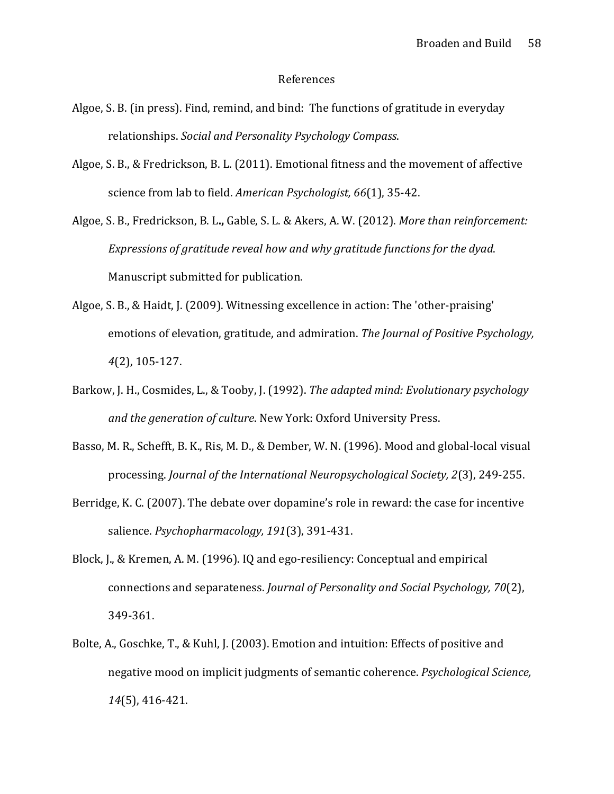### References

- Algoe, S. B. (in press). Find, remind, and bind: The functions of gratitude in everyday relationships. *Social and Personality Psychology Compass*.
- Algoe, S. B., & Fredrickson, B. L. (2011). Emotional fitness and the movement of affective science from lab to field. *American Psychologist, 66*(1), 35-42.

Algoe, S. B., Fredrickson, B. L**.,** Gable, S. L. & Akers, A. W. (2012). *More than reinforcement: Expressions of gratitude reveal how and why gratitude functions for the dyad*. Manuscript submitted for publication.

- Algoe, S. B., & Haidt, J. (2009). Witnessing excellence in action: The 'other-praising' emotions of elevation, gratitude, and admiration. *The Journal of Positive Psychology, 4*(2), 105-127.
- Barkow, J. H., Cosmides, L., & Tooby, J. (1992). *The adapted mind: Evolutionary psychology and the generation of culture*. New York: Oxford University Press.
- Basso, M. R., Schefft, B. K., Ris, M. D., & Dember, W. N. (1996). Mood and global-local visual processing. *Journal of the International Neuropsychological Society, 2*(3), 249-255.
- Berridge, K. C. (2007). The debate over dopamine's role in reward: the case for incentive salience. *Psychopharmacology, 191*(3), 391-431.
- Block, J., & Kremen, A. M. (1996). IQ and ego-resiliency: Conceptual and empirical connections and separateness. *Journal of Personality and Social Psychology, 70*(2), 349-361.
- Bolte, A., Goschke, T., & Kuhl, J. (2003). Emotion and intuition: Effects of positive and negative mood on implicit judgments of semantic coherence. *Psychological Science, 14*(5), 416-421.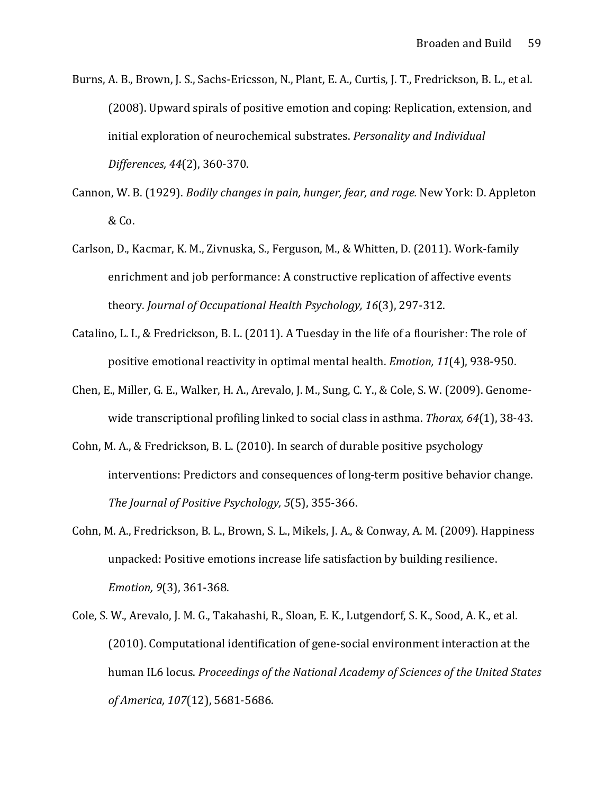- Burns, A. B., Brown, J. S., Sachs-Ericsson, N., Plant, E. A., Curtis, J. T., Fredrickson, B. L., et al. (2008). Upward spirals of positive emotion and coping: Replication, extension, and initial exploration of neurochemical substrates. *Personality and Individual Differences, 44*(2), 360-370.
- Cannon, W. B. (1929). *Bodily changes in pain, hunger, fear, and rage.* New York: D. Appleton & Co.
- Carlson, D., Kacmar, K. M., Zivnuska, S., Ferguson, M., & Whitten, D. (2011). Work-family enrichment and job performance: A constructive replication of affective events theory. *Journal of Occupational Health Psychology, 16*(3), 297-312.
- Catalino, L. I., & Fredrickson, B. L. (2011). A Tuesday in the life of a flourisher: The role of positive emotional reactivity in optimal mental health. *Emotion, 11*(4), 938-950.
- Chen, E., Miller, G. E., Walker, H. A., Arevalo, J. M., Sung, C. Y., & Cole, S. W. (2009). Genomewide transcriptional profiling linked to social class in asthma. *Thorax, 64*(1), 38-43.
- Cohn, M. A., & Fredrickson, B. L. (2010). In search of durable positive psychology interventions: Predictors and consequences of long-term positive behavior change. *The Journal of Positive Psychology, 5*(5), 355-366.
- Cohn, M. A., Fredrickson, B. L., Brown, S. L., Mikels, J. A., & Conway, A. M. (2009). Happiness unpacked: Positive emotions increase life satisfaction by building resilience. *Emotion, 9*(3), 361-368.
- Cole, S. W., Arevalo, J. M. G., Takahashi, R., Sloan, E. K., Lutgendorf, S. K., Sood, A. K., et al. (2010). Computational identification of gene-social environment interaction at the human IL6 locus. *Proceedings of the National Academy of Sciences of the United States of America, 107*(12), 5681-5686.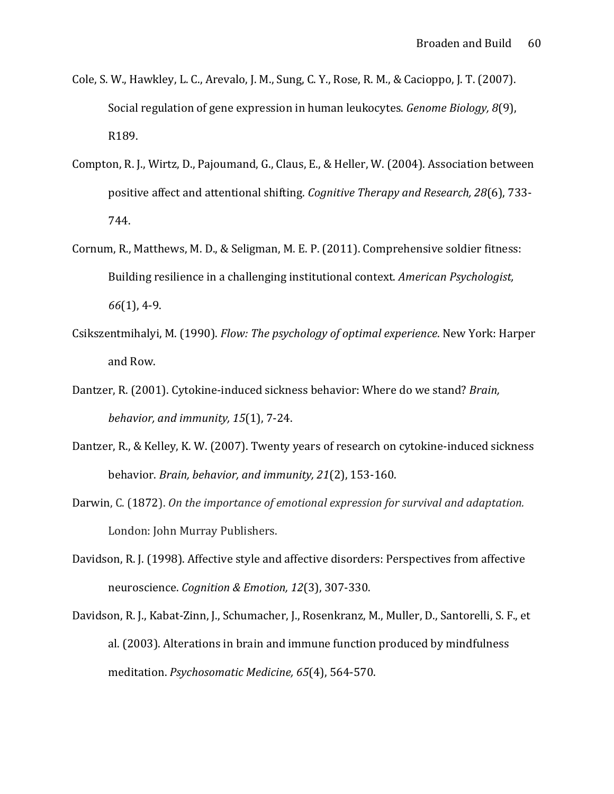- Cole, S. W., Hawkley, L. C., Arevalo, J. M., Sung, C. Y., Rose, R. M., & Cacioppo, J. T. (2007). Social regulation of gene expression in human leukocytes. *Genome Biology, 8*(9), R189.
- Compton, R. J., Wirtz, D., Pajoumand, G., Claus, E., & Heller, W. (2004). Association between positive affect and attentional shifting. *Cognitive Therapy and Research, 28*(6), 733- 744.
- Cornum, R., Matthews, M. D., & Seligman, M. E. P. (2011). Comprehensive soldier fitness: Building resilience in a challenging institutional context. *American Psychologist, 66*(1), 4-9.
- Csikszentmihalyi, M. (1990). *Flow: The psychology of optimal experience*. New York: Harper and Row.
- Dantzer, R. (2001). Cytokine-induced sickness behavior: Where do we stand? *Brain, behavior, and immunity, 15*(1), 7-24.
- Dantzer, R., & Kelley, K. W. (2007). Twenty years of research on cytokine-induced sickness behavior. *Brain, behavior, and immunity, 21*(2), 153-160.
- Darwin, C. (1872). *On the importance of emotional expression for survival and adaptation.* London: John Murray Publishers.
- Davidson, R. J. (1998). Affective style and affective disorders: Perspectives from affective neuroscience. *Cognition & Emotion, 12*(3), 307-330.
- Davidson, R. J., Kabat-Zinn, J., Schumacher, J., Rosenkranz, M., Muller, D., Santorelli, S. F., et al. (2003). Alterations in brain and immune function produced by mindfulness meditation. *Psychosomatic Medicine, 65*(4), 564-570.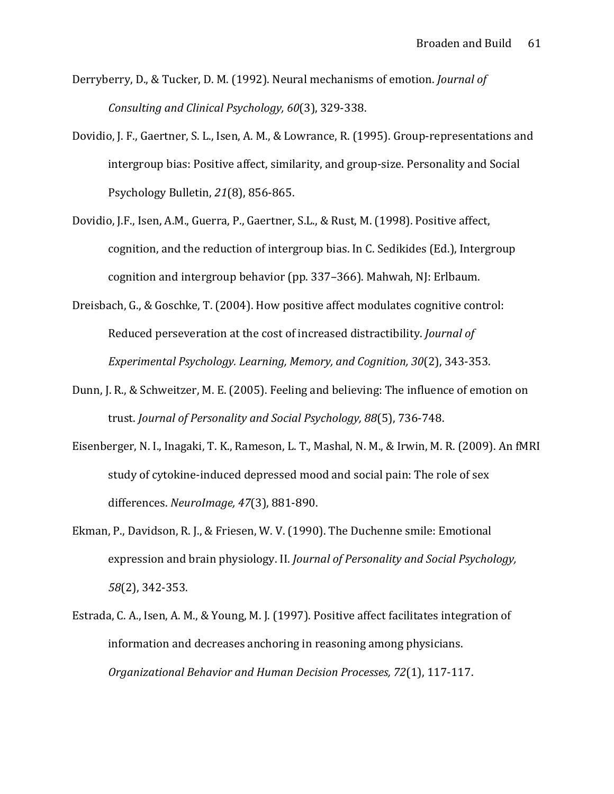- Derryberry, D., & Tucker, D. M. (1992). Neural mechanisms of emotion. *Journal of Consulting and Clinical Psychology, 60*(3), 329-338.
- Dovidio, J. F., Gaertner, S. L., Isen, A. M., & Lowrance, R. (1995). Group-representations and intergroup bias: Positive affect, similarity, and group-size. Personality and Social Psychology Bulletin, *21*(8), 856-865.
- Dovidio, J.F., Isen, A.M., Guerra, P., Gaertner, S.L., & Rust, M. (1998). Positive affect, cognition, and the reduction of intergroup bias. In C. Sedikides (Ed.), Intergroup cognition and intergroup behavior (pp. 337–366). Mahwah, NJ: Erlbaum.
- Dreisbach, G., & Goschke, T. (2004). How positive affect modulates cognitive control: Reduced perseveration at the cost of increased distractibility. *Journal of Experimental Psychology. Learning, Memory, and Cognition, 30*(2), 343-353.
- Dunn, J. R., & Schweitzer, M. E. (2005). Feeling and believing: The influence of emotion on trust. *Journal of Personality and Social Psychology, 88*(5), 736-748.
- Eisenberger, N. I., Inagaki, T. K., Rameson, L. T., Mashal, N. M., & Irwin, M. R. (2009). An fMRI study of cytokine-induced depressed mood and social pain: The role of sex differences. *NeuroImage, 47*(3), 881-890.
- Ekman, P., Davidson, R. J., & Friesen, W. V. (1990). The Duchenne smile: Emotional expression and brain physiology. II. *Journal of Personality and Social Psychology, 58*(2), 342-353.
- Estrada, C. A., Isen, A. M., & Young, M. J. (1997). Positive affect facilitates integration of information and decreases anchoring in reasoning among physicians. *Organizational Behavior and Human Decision Processes, 72*(1), 117-117.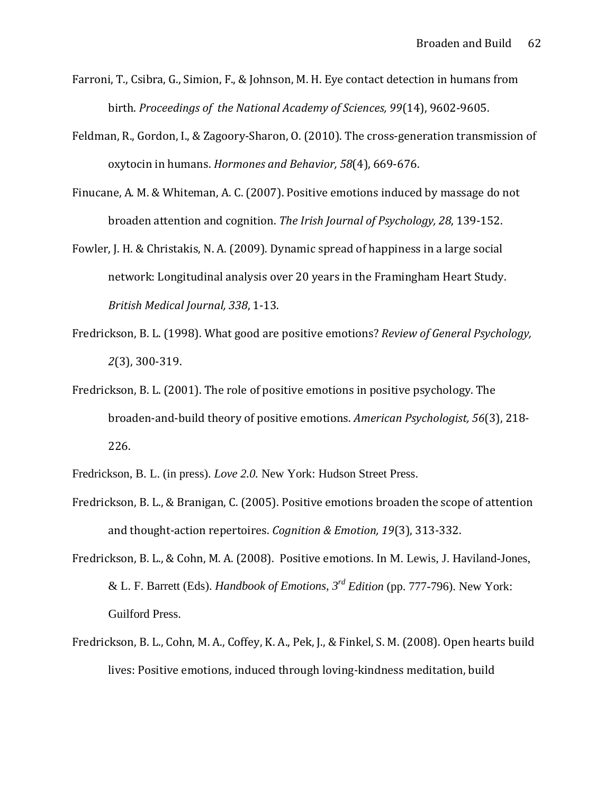- Farroni, T., Csibra, G., Simion, F., & Johnson, M. H. Eye contact detection in humans from birth. *Proceedings of the National Academy of Sciences, 99*(14), 9602-9605.
- Feldman, R., Gordon, I., & Zagoory-Sharon, O. (2010). The cross-generation transmission of oxytocin in humans. *Hormones and Behavior, 58*(4), 669-676.
- Finucane, A. M. & Whiteman, A. C. (2007). Positive emotions induced by massage do not broaden attention and cognition. *The Irish Journal of Psychology, 28*, 139-152.
- Fowler, J. H. & Christakis, N. A. (2009). Dynamic spread of happiness in a large social network: Longitudinal analysis over 20 years in the Framingham Heart Study. *British Medical Journal, 338*, 1-13.
- Fredrickson, B. L. (1998). What good are positive emotions? *Review of General Psychology, 2*(3), 300-319.
- Fredrickson, B. L. (2001). The role of positive emotions in positive psychology. The broaden-and-build theory of positive emotions. *American Psychologist, 56*(3), 218- 226.
- Fredrickson, B. L. (in press). *Love 2.0.* New York: Hudson Street Press.
- Fredrickson, B. L., & Branigan, C. (2005). Positive emotions broaden the scope of attention and thought-action repertoires. *Cognition & Emotion, 19*(3), 313-332.
- Fredrickson, B. L., & Cohn, M. A. (2008). Positive emotions. In M. Lewis, J. Haviland-Jones, & L. F. Barrett (Eds). *Handbook of Emotions, 3rd Edition* (pp. 777-796). New York: Guilford Press.
- Fredrickson, B. L., Cohn, M. A., Coffey, K. A., Pek, J., & Finkel, S. M. (2008). Open hearts build lives: Positive emotions, induced through loving-kindness meditation, build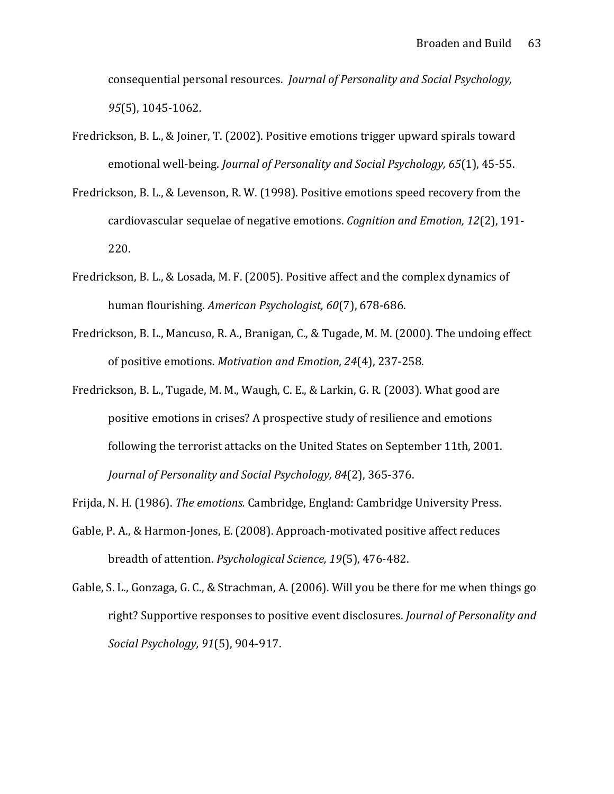consequential personal resources. *Journal of Personality and Social Psychology, 95*(5), 1045-1062.

- Fredrickson, B. L., & Joiner, T. (2002). Positive emotions trigger upward spirals toward emotional well-being. *Journal of Personality and Social Psychology, 65*(1), 45-55.
- Fredrickson, B. L., & Levenson, R. W. (1998). Positive emotions speed recovery from the cardiovascular sequelae of negative emotions. *Cognition and Emotion, 12*(2), 191- 220.
- Fredrickson, B. L., & Losada, M. F. (2005). Positive affect and the complex dynamics of human flourishing. *American Psychologist, 60*(7), 678-686.
- Fredrickson, B. L., Mancuso, R. A., Branigan, C., & Tugade, M. M. (2000). The undoing effect of positive emotions. *Motivation and Emotion, 24*(4), 237-258.
- Fredrickson, B. L., Tugade, M. M., Waugh, C. E., & Larkin, G. R. (2003). What good are positive emotions in crises? A prospective study of resilience and emotions following the terrorist attacks on the United States on September 11th, 2001. *Journal of Personality and Social Psychology, 84*(2), 365-376.

Frijda, N. H. (1986). *The emotions.* Cambridge, England: Cambridge University Press.

- Gable, P. A., & Harmon-Jones, E. (2008). Approach-motivated positive affect reduces breadth of attention. *Psychological Science, 19*(5), 476-482.
- Gable, S. L., Gonzaga, G. C., & Strachman, A. (2006). Will you be there for me when things go right? Supportive responses to positive event disclosures. *Journal of Personality and Social Psychology, 91*(5), 904-917.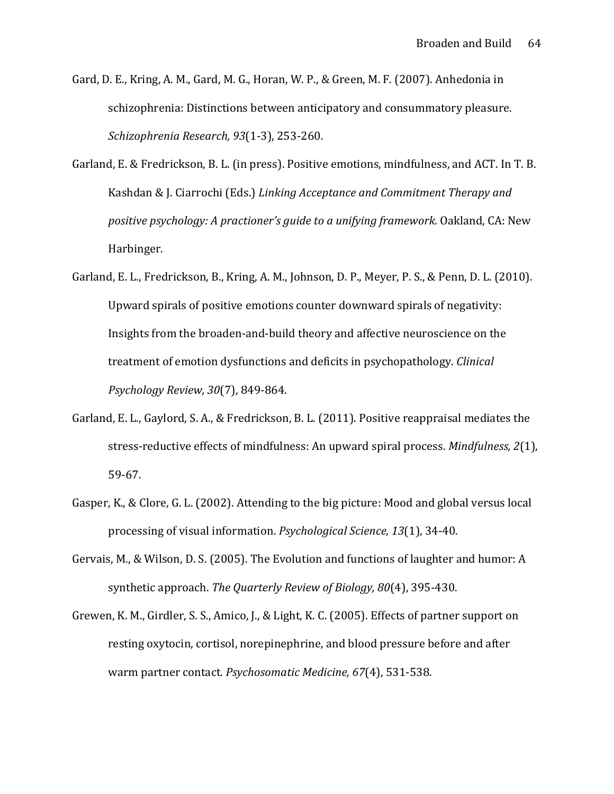- Gard, D. E., Kring, A. M., Gard, M. G., Horan, W. P., & Green, M. F. (2007). Anhedonia in schizophrenia: Distinctions between anticipatory and consummatory pleasure. *Schizophrenia Research, 93*(1-3), 253-260.
- Garland, E. & Fredrickson, B. L. (in press). Positive emotions, mindfulness, and ACT. In T. B. Kashdan & J. Ciarrochi (Eds.) *Linking Acceptance and Commitment Therapy and positive psychology: A practioner's guide to a unifying framework.* Oakland, CA: New Harbinger.
- Garland, E. L., Fredrickson, B., Kring, A. M., Johnson, D. P., Meyer, P. S., & Penn, D. L. (2010). Upward spirals of positive emotions counter downward spirals of negativity: Insights from the broaden-and-build theory and affective neuroscience on the treatment of emotion dysfunctions and deficits in psychopathology. *Clinical Psychology Review, 30*(7), 849-864.
- Garland, E. L., Gaylord, S. A., & Fredrickson, B. L. (2011). Positive reappraisal mediates the stress-reductive effects of mindfulness: An upward spiral process. *Mindfulness, 2*(1), 59-67.
- Gasper, K., & Clore, G. L. (2002). Attending to the big picture: Mood and global versus local processing of visual information. *Psychological Science, 13*(1), 34-40.
- Gervais, M., & Wilson, D. S. (2005). The Evolution and functions of laughter and humor: A synthetic approach. *The Quarterly Review of Biology, 80*(4), 395-430.
- Grewen, K. M., Girdler, S. S., Amico, J., & Light, K. C. (2005). Effects of partner support on resting oxytocin, cortisol, norepinephrine, and blood pressure before and after warm partner contact. *Psychosomatic Medicine, 67*(4), 531-538.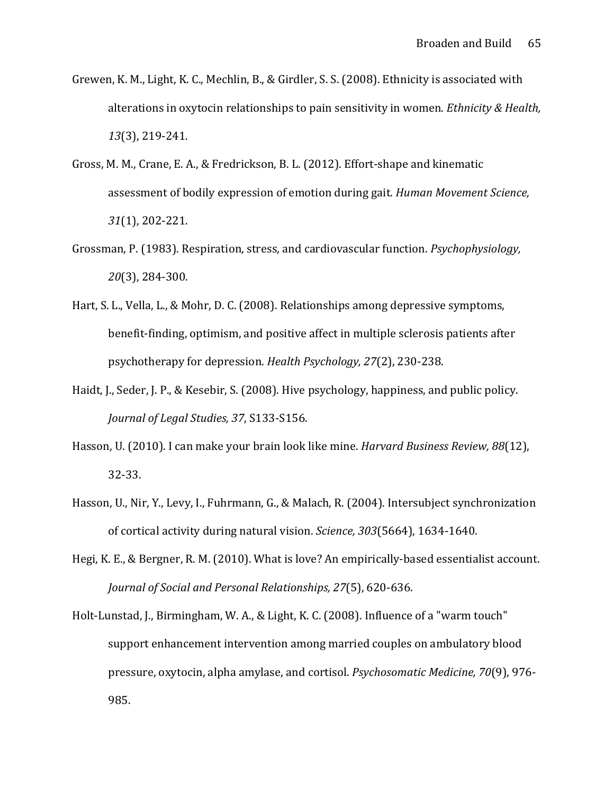- Grewen, K. M., Light, K. C., Mechlin, B., & Girdler, S. S. (2008). Ethnicity is associated with alterations in oxytocin relationships to pain sensitivity in women. *Ethnicity & Health, 13*(3), 219-241.
- Gross, M. M., Crane, E. A., & Fredrickson, B. L. (2012). Effort-shape and kinematic assessment of bodily expression of emotion during gait. *Human Movement Science, 31*(1), 202-221.
- Grossman, P. (1983). Respiration, stress, and cardiovascular function. *Psychophysiology, 20*(3), 284-300.
- Hart, S. L., Vella, L., & Mohr, D. C. (2008). Relationships among depressive symptoms, benefit-finding, optimism, and positive affect in multiple sclerosis patients after psychotherapy for depression. *Health Psychology, 27*(2), 230-238.
- Haidt, I., Seder, J. P., & Kesebir, S. (2008). Hive psychology, happiness, and public policy. *Journal of Legal Studies, 37*, S133-S156.
- Hasson, U. (2010). I can make your brain look like mine. *Harvard Business Review, 88*(12), 32-33.
- Hasson, U., Nir, Y., Levy, I., Fuhrmann, G., & Malach, R. (2004). Intersubject synchronization of cortical activity during natural vision. *Science, 303*(5664), 1634-1640.
- Hegi, K. E., & Bergner, R. M. (2010). What is love? An empirically-based essentialist account. *Journal of Social and Personal Relationships, 27*(5), 620-636.

Holt-Lunstad, J., Birmingham, W. A., & Light, K. C. (2008). Influence of a "warm touch" support enhancement intervention among married couples on ambulatory blood pressure, oxytocin, alpha amylase, and cortisol. *Psychosomatic Medicine, 70*(9), 976- 985.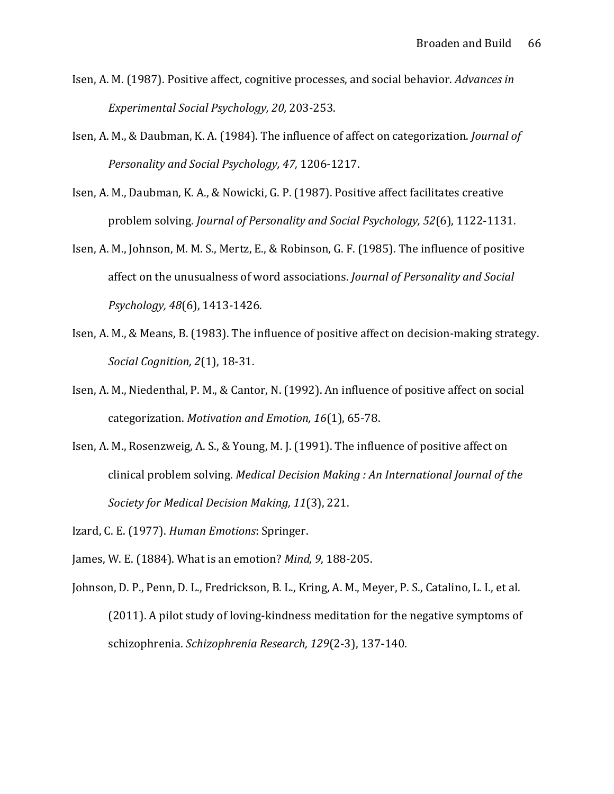- Isen, A. M. (1987). Positive affect, cognitive processes, and social behavior. *Advances in Experimental Social Psychology, 20,* 203-253.
- Isen, A. M., & Daubman, K. A. (1984). The influence of affect on categorization. *Journal of Personality and Social Psychology, 47,* 1206-1217.
- Isen, A. M., Daubman, K. A., & Nowicki, G. P. (1987). Positive affect facilitates creative problem solving. *Journal of Personality and Social Psychology, 52*(6), 1122-1131.
- Isen, A. M., Johnson, M. M. S., Mertz, E., & Robinson, G. F. (1985). The influence of positive affect on the unusualness of word associations. *Journal of Personality and Social Psychology, 48*(6), 1413-1426.
- Isen, A. M., & Means, B. (1983). The influence of positive affect on decision-making strategy. *Social Cognition, 2*(1), 18-31.
- Isen, A. M., Niedenthal, P. M., & Cantor, N. (1992). An influence of positive affect on social categorization. *Motivation and Emotion, 16*(1), 65-78.
- Isen, A. M., Rosenzweig, A. S., & Young, M. J. (1991). The influence of positive affect on clinical problem solving. *Medical Decision Making : An International Journal of the Society for Medical Decision Making, 11*(3), 221.
- Izard, C. E. (1977). *Human Emotions*: Springer.
- James, W. E. (1884). What is an emotion? *Mind, 9*, 188-205.
- Johnson, D. P., Penn, D. L., Fredrickson, B. L., Kring, A. M., Meyer, P. S., Catalino, L. I., et al. (2011). A pilot study of loving-kindness meditation for the negative symptoms of schizophrenia. *Schizophrenia Research, 129*(2-3), 137-140.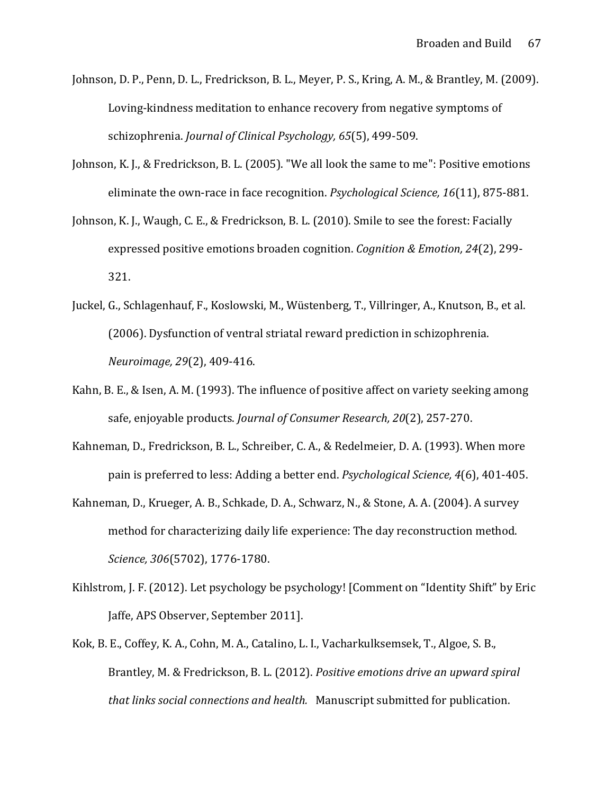- Johnson, D. P., Penn, D. L., Fredrickson, B. L., Meyer, P. S., Kring, A. M., & Brantley, M. (2009). Loving-kindness meditation to enhance recovery from negative symptoms of schizophrenia. *Journal of Clinical Psychology, 65*(5), 499-509.
- Johnson, K. J., & Fredrickson, B. L. (2005). "We all look the same to me": Positive emotions eliminate the own-race in face recognition. *Psychological Science, 16*(11), 875-881.
- Johnson, K. J., Waugh, C. E., & Fredrickson, B. L. (2010). Smile to see the forest: Facially expressed positive emotions broaden cognition. *Cognition & Emotion, 24*(2), 299- 321.
- Juckel, G., Schlagenhauf, F., Koslowski, M., Wüstenberg, T., Villringer, A., Knutson, B., et al. (2006). Dysfunction of ventral striatal reward prediction in schizophrenia. *Neuroimage, 29*(2), 409-416.
- Kahn, B. E., & Isen, A. M. (1993). The influence of positive affect on variety seeking among safe, enjoyable products. *Journal of Consumer Research, 20*(2), 257-270.
- Kahneman, D., Fredrickson, B. L., Schreiber, C. A., & Redelmeier, D. A. (1993). When more pain is preferred to less: Adding a better end. *Psychological Science, 4*(6), 401-405.
- Kahneman, D., Krueger, A. B., Schkade, D. A., Schwarz, N., & Stone, A. A. (2004). A survey method for characterizing daily life experience: The day reconstruction method. *Science, 306*(5702), 1776-1780.
- Kihlstrom, J. F. (2012). Let psychology be psychology! [Comment on "Identity Shift" by Eric Jaffe, APS Observer, September 2011].
- Kok, B. E., Coffey, K. A., Cohn, M. A., Catalino, L. I., Vacharkulksemsek, T., Algoe, S. B., Brantley, M. & Fredrickson, B. L. (2012). *Positive emotions drive an upward spiral that links social connections and health.* Manuscript submitted for publication.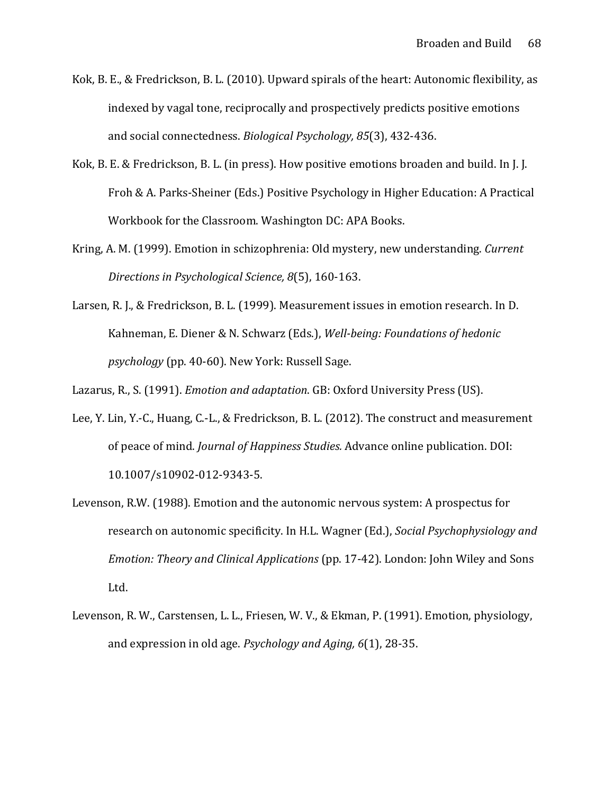- Kok, B. E., & Fredrickson, B. L. (2010). Upward spirals of the heart: Autonomic flexibility, as indexed by vagal tone, reciprocally and prospectively predicts positive emotions and social connectedness. *Biological Psychology, 85*(3), 432-436.
- Kok, B. E. & Fredrickson, B. L. (in press). How positive emotions broaden and build. In J. J. Froh & A. Parks-Sheiner (Eds.) Positive Psychology in Higher Education: A Practical Workbook for the Classroom. Washington DC: APA Books.
- Kring, A. M. (1999). Emotion in schizophrenia: Old mystery, new understanding. *Current Directions in Psychological Science, 8*(5), 160-163.
- Larsen, R. J., & Fredrickson, B. L. (1999). Measurement issues in emotion research. In D. Kahneman, E. Diener & N. Schwarz (Eds.), *Well-being: Foundations of hedonic psychology* (pp. 40-60). New York: Russell Sage.

Lazarus, R., S. (1991). *Emotion and adaptation*. GB: Oxford University Press (US).

- Lee, Y. Lin, Y.-C., Huang, C.-L., & Fredrickson, B. L. (2012). The construct and measurement of peace of mind. *Journal of Happiness Studies.* Advance online publication. DOI: 10.1007/s10902-012-9343-5.
- Levenson, R.W. (1988). Emotion and the autonomic nervous system: A prospectus for research on autonomic specificity. In H.L. Wagner (Ed.), *Social Psychophysiology and Emotion: Theory and Clinical Applications* (pp. 17-42). London: John Wiley and Sons Ltd.
- Levenson, R. W., Carstensen, L. L., Friesen, W. V., & Ekman, P. (1991). Emotion, physiology, and expression in old age. *Psychology and Aging, 6*(1), 28-35.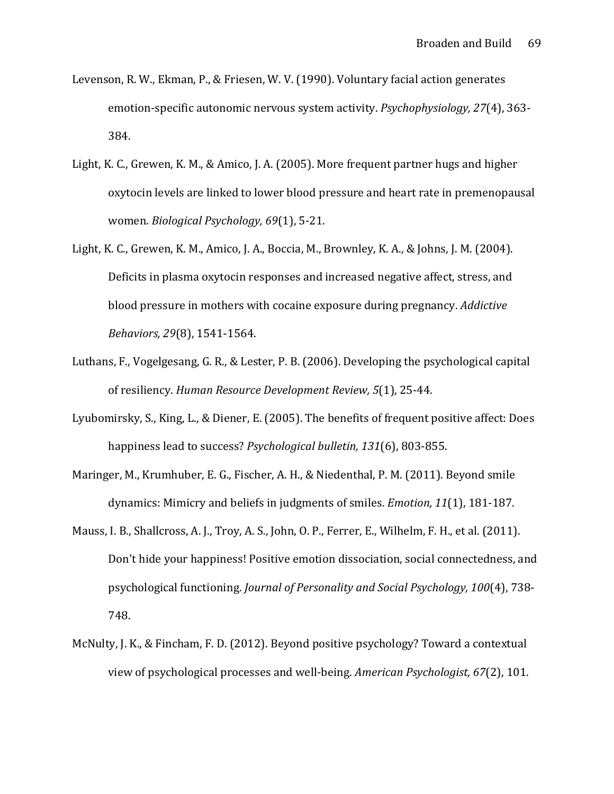- Levenson, R. W., Ekman, P., & Friesen, W. V. (1990). Voluntary facial action generates emotion-specific autonomic nervous system activity. *Psychophysiology, 27*(4), 363- 384.
- Light, K. C., Grewen, K. M., & Amico, J. A. (2005). More frequent partner hugs and higher oxytocin levels are linked to lower blood pressure and heart rate in premenopausal women. *Biological Psychology, 69*(1), 5-21.
- Light, K. C., Grewen, K. M., Amico, J. A., Boccia, M., Brownley, K. A., & Johns, J. M. (2004). Deficits in plasma oxytocin responses and increased negative affect, stress, and blood pressure in mothers with cocaine exposure during pregnancy. *Addictive Behaviors, 29*(8), 1541-1564.
- Luthans, F., Vogelgesang, G. R., & Lester, P. B. (2006). Developing the psychological capital of resiliency. *Human Resource Development Review, 5*(1), 25-44.
- Lyubomirsky, S., King, L., & Diener, E. (2005). The benefits of frequent positive affect: Does happiness lead to success? *Psychological bulletin, 131*(6), 803-855.
- Maringer, M., Krumhuber, E. G., Fischer, A. H., & Niedenthal, P. M. (2011). Beyond smile dynamics: Mimicry and beliefs in judgments of smiles. *Emotion, 11*(1), 181-187.
- Mauss, I. B., Shallcross, A. J., Troy, A. S., John, O. P., Ferrer, E., Wilhelm, F. H., et al. (2011). Don't hide your happiness! Positive emotion dissociation, social connectedness, and psychological functioning. *Journal of Personality and Social Psychology, 100*(4), 738- 748.
- McNulty, J. K., & Fincham, F. D. (2012). Beyond positive psychology? Toward a contextual view of psychological processes and well-being. *American Psychologist, 67*(2), 101.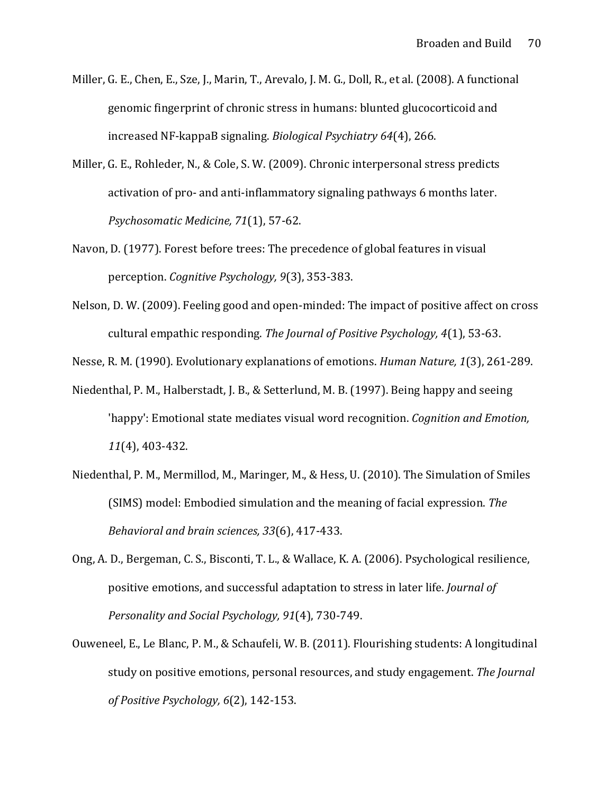- Miller, G. E., Chen, E., Sze, J., Marin, T., Arevalo, J. M. G., Doll, R., et al. (2008). A functional genomic fingerprint of chronic stress in humans: blunted glucocorticoid and increased NF-kappaB signaling. *Biological Psychiatry 64*(4), 266.
- Miller, G. E., Rohleder, N., & Cole, S. W. (2009). Chronic interpersonal stress predicts activation of pro- and anti-inflammatory signaling pathways 6 months later. *Psychosomatic Medicine, 71*(1), 57-62.
- Navon, D. (1977). Forest before trees: The precedence of global features in visual perception. *Cognitive Psychology, 9*(3), 353-383.
- Nelson, D. W. (2009). Feeling good and open-minded: The impact of positive affect on cross cultural empathic responding. *The Journal of Positive Psychology, 4*(1), 53-63.

Nesse, R. M. (1990). Evolutionary explanations of emotions. *Human Nature, 1*(3), 261-289.

- Niedenthal, P. M., Halberstadt, J. B., & Setterlund, M. B. (1997). Being happy and seeing 'happy': Emotional state mediates visual word recognition. *Cognition and Emotion, 11*(4), 403-432.
- Niedenthal, P. M., Mermillod, M., Maringer, M., & Hess, U. (2010). The Simulation of Smiles (SIMS) model: Embodied simulation and the meaning of facial expression. *The Behavioral and brain sciences, 33*(6), 417-433.
- Ong, A. D., Bergeman, C. S., Bisconti, T. L., & Wallace, K. A. (2006). Psychological resilience, positive emotions, and successful adaptation to stress in later life. *Journal of Personality and Social Psychology, 91*(4), 730-749.
- Ouweneel, E., Le Blanc, P. M., & Schaufeli, W. B. (2011). Flourishing students: A longitudinal study on positive emotions, personal resources, and study engagement. *The Journal of Positive Psychology, 6*(2), 142-153.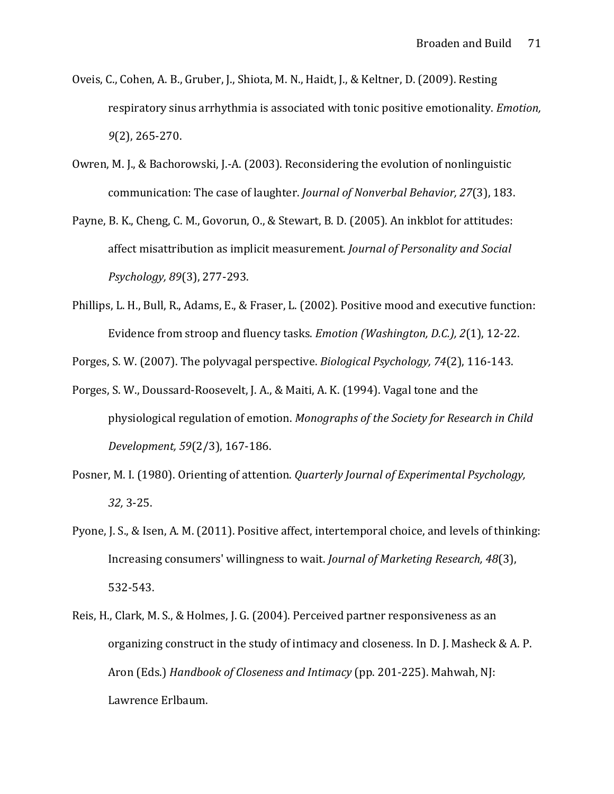- Oveis, C., Cohen, A. B., Gruber, J., Shiota, M. N., Haidt, J., & Keltner, D. (2009). Resting respiratory sinus arrhythmia is associated with tonic positive emotionality. *Emotion, 9*(2), 265-270.
- Owren, M. J., & Bachorowski, J.-A. (2003). Reconsidering the evolution of nonlinguistic communication: The case of laughter. *Journal of Nonverbal Behavior, 27*(3), 183.
- Payne, B. K., Cheng, C. M., Govorun, O., & Stewart, B. D. (2005). An inkblot for attitudes: affect misattribution as implicit measurement. *Journal of Personality and Social Psychology, 89*(3), 277-293.
- Phillips, L. H., Bull, R., Adams, E., & Fraser, L. (2002). Positive mood and executive function: Evidence from stroop and fluency tasks. *Emotion (Washington, D.C.), 2*(1), 12-22.

Porges, S. W. (2007). The polyvagal perspective. *Biological Psychology, 74*(2), 116-143.

- Porges, S. W., Doussard-Roosevelt, J. A., & Maiti, A. K. (1994). Vagal tone and the physiological regulation of emotion. *Monographs of the Society for Research in Child Development, 59*(2/3), 167-186.
- Posner, M. I. (1980). Orienting of attention. *Quarterly Journal of Experimental Psychology, 32,* 3-25.
- Pyone, J. S., & Isen, A. M. (2011). Positive affect, intertemporal choice, and levels of thinking: Increasing consumers' willingness to wait. *Journal of Marketing Research, 48*(3), 532-543.
- Reis, H., Clark, M. S., & Holmes, J. G. (2004). Perceived partner responsiveness as an organizing construct in the study of intimacy and closeness. In D. J. Masheck & A. P. Aron (Eds.) *Handbook of Closeness and Intimacy* (pp. 201-225). Mahwah, NJ: Lawrence Erlbaum.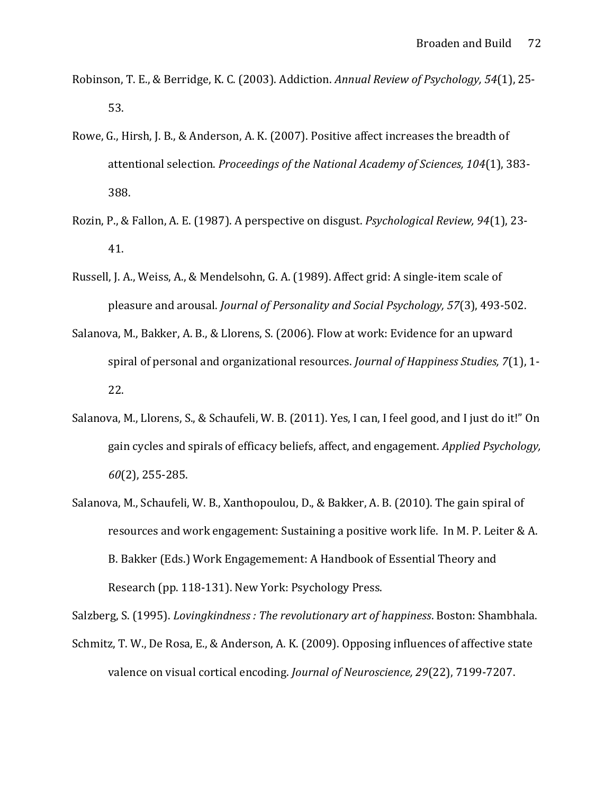- Robinson, T. E., & Berridge, K. C. (2003). Addiction. *Annual Review of Psychology, 54*(1), 25- 53.
- Rowe, G., Hirsh, J. B., & Anderson, A. K. (2007). Positive affect increases the breadth of attentional selection. *Proceedings of the National Academy of Sciences, 104*(1), 383- 388.
- Rozin, P., & Fallon, A. E. (1987). A perspective on disgust. *Psychological Review, 94*(1), 23- 41.
- Russell, J. A., Weiss, A., & Mendelsohn, G. A. (1989). Affect grid: A single-item scale of pleasure and arousal. *Journal of Personality and Social Psychology, 57*(3), 493-502.
- Salanova, M., Bakker, A. B., & Llorens, S. (2006). Flow at work: Evidence for an upward spiral of personal and organizational resources. *Journal of Happiness Studies, 7*(1), 1- 22.
- Salanova, M., Llorens, S., & Schaufeli, W. B. (2011). Yes, I can, I feel good, and I just do it!" On gain cycles and spirals of efficacy beliefs, affect, and engagement. *Applied Psychology, 60*(2), 255-285.
- Salanova, M., Schaufeli, W. B., Xanthopoulou, D., & Bakker, A. B. (2010). The gain spiral of resources and work engagement: Sustaining a positive work life. In M. P. Leiter & A. B. Bakker (Eds.) Work Engagemement: A Handbook of Essential Theory and Research (pp. 118-131). New York: Psychology Press.

Salzberg, S. (1995). *Lovingkindness : The revolutionary art of happiness*. Boston: Shambhala.

Schmitz, T. W., De Rosa, E., & Anderson, A. K. (2009). Opposing influences of affective state valence on visual cortical encoding. *Journal of Neuroscience, 29*(22), 7199-7207.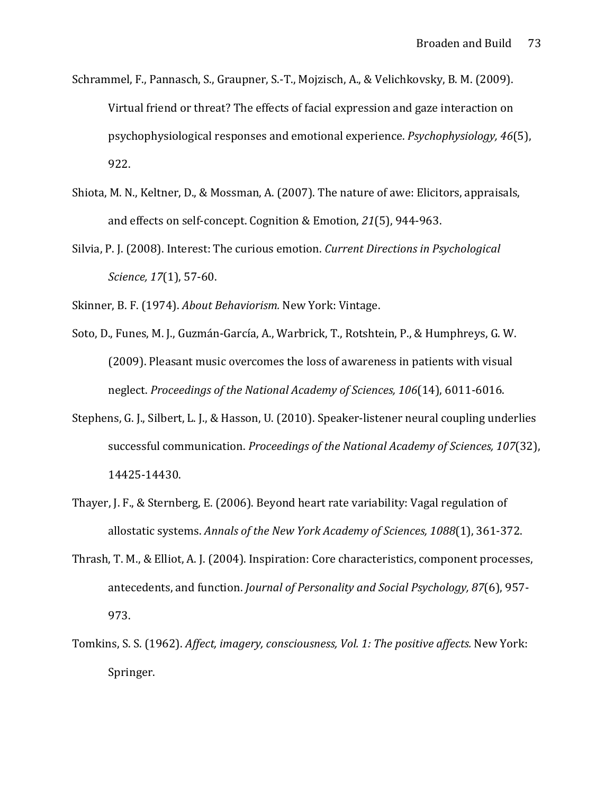- Schrammel, F., Pannasch, S., Graupner, S.-T., Mojzisch, A., & Velichkovsky, B. M. (2009). Virtual friend or threat? The effects of facial expression and gaze interaction on psychophysiological responses and emotional experience. *Psychophysiology, 46*(5), 922.
- Shiota, M. N., Keltner, D., & Mossman, A. (2007). The nature of awe: Elicitors, appraisals, and effects on self-concept. Cognition & Emotion, *21*(5), 944-963.
- Silvia, P. J. (2008). Interest: The curious emotion. *Current Directions in Psychological Science, 17*(1), 57-60.
- Skinner, B. F. (1974). *About Behaviorism.* New York: Vintage.
- Soto, D., Funes, M. J., Guzmán-García, A., Warbrick, T., Rotshtein, P., & Humphreys, G. W. (2009). Pleasant music overcomes the loss of awareness in patients with visual neglect. *Proceedings of the National Academy of Sciences, 106*(14), 6011-6016.
- Stephens, G. J., Silbert, L. J., & Hasson, U. (2010). Speaker-listener neural coupling underlies successful communication. *Proceedings of the National Academy of Sciences, 107*(32), 14425-14430.
- Thayer, J. F., & Sternberg, E. (2006). Beyond heart rate variability: Vagal regulation of allostatic systems. *Annals of the New York Academy of Sciences, 1088*(1), 361-372.
- Thrash, T. M., & Elliot, A. J. (2004). Inspiration: Core characteristics, component processes, antecedents, and function. *Journal of Personality and Social Psychology, 87*(6), 957- 973.
- Tomkins, S. S. (1962). *Affect, imagery, consciousness, Vol. 1: The positive affects.* New York: Springer.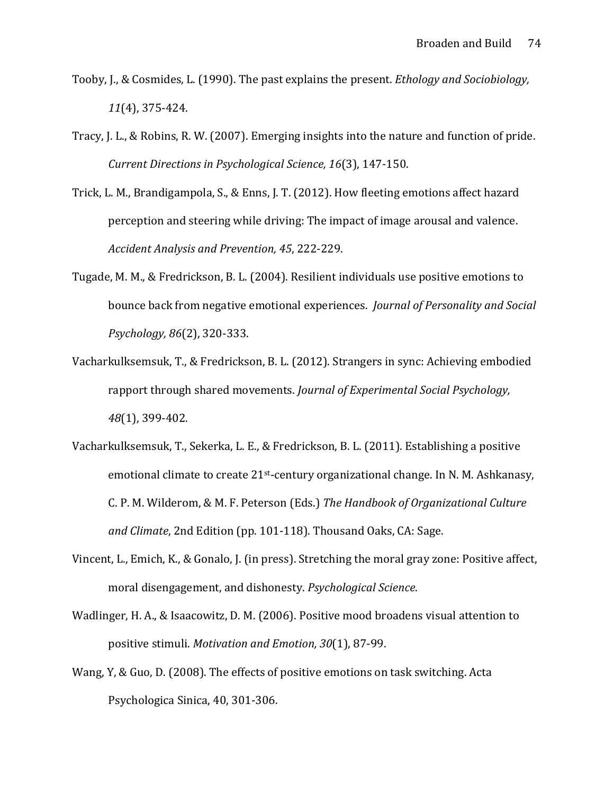- Tooby, J., & Cosmides, L. (1990). The past explains the present. *Ethology and Sociobiology, 11*(4), 375-424.
- Tracy, J. L., & Robins, R. W. (2007). Emerging insights into the nature and function of pride. *Current Directions in Psychological Science, 16*(3), 147-150.
- Trick, L. M., Brandigampola, S., & Enns, J. T. (2012). How fleeting emotions affect hazard perception and steering while driving: The impact of image arousal and valence. *Accident Analysis and Prevention, 45*, 222-229.
- Tugade, M. M., & Fredrickson, B. L. (2004). Resilient individuals use positive emotions to bounce back from negative emotional experiences. *Journal of Personality and Social Psychology, 86*(2), 320-333.
- Vacharkulksemsuk, T., & Fredrickson, B. L. (2012). Strangers in sync: Achieving embodied rapport through shared movements. *Journal of Experimental Social Psychology, 48*(1), 399-402.
- Vacharkulksemsuk, T., Sekerka, L. E., & Fredrickson, B. L. (2011). Establishing a positive emotional climate to create 21st-century organizational change. In N. M. Ashkanasy, C. P. M. Wilderom, & M. F. Peterson (Eds.) *The Handbook of Organizational Culture and Climate*, 2nd Edition (pp. 101-118). Thousand Oaks, CA: Sage.
- Vincent, L., Emich, K., & Gonalo, J. (in press). Stretching the moral gray zone: Positive affect, moral disengagement, and dishonesty. *Psychological Science*.
- Wadlinger, H. A., & Isaacowitz, D. M. (2006). Positive mood broadens visual attention to positive stimuli. *Motivation and Emotion, 30*(1), 87-99.
- Wang, Y, & Guo, D. (2008). The effects of positive emotions on task switching. Acta Psychologica Sinica, 40, 301-306.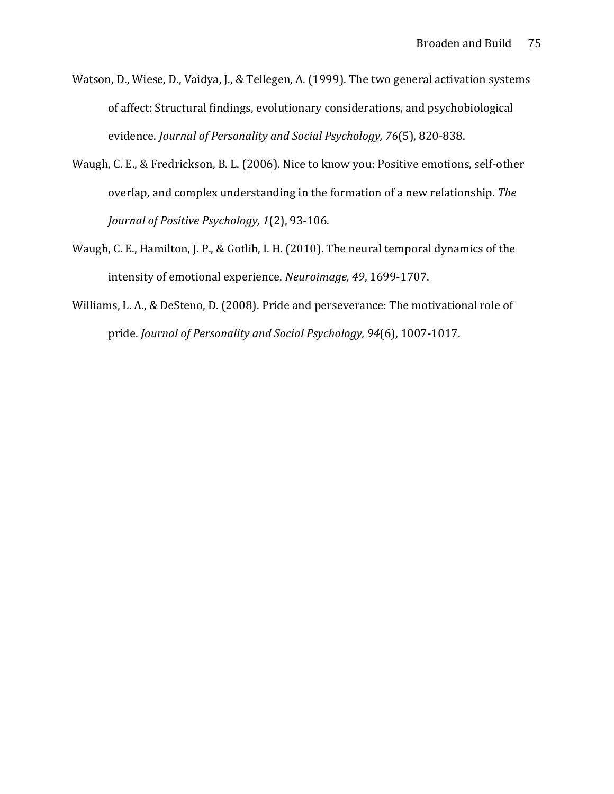- Watson, D., Wiese, D., Vaidya, J., & Tellegen, A. (1999). The two general activation systems of affect: Structural findings, evolutionary considerations, and psychobiological evidence. *Journal of Personality and Social Psychology, 76*(5), 820-838.
- Waugh, C. E., & Fredrickson, B. L. (2006). Nice to know you: Positive emotions, self-other overlap, and complex understanding in the formation of a new relationship. *The Journal of Positive Psychology, 1*(2), 93-106.
- Waugh, C. E., Hamilton, J. P., & Gotlib, I. H. (2010). The neural temporal dynamics of the intensity of emotional experience. *Neuroimage, 49*, 1699-1707.
- Williams, L. A., & DeSteno, D. (2008). Pride and perseverance: The motivational role of pride. *Journal of Personality and Social Psychology, 94*(6), 1007-1017.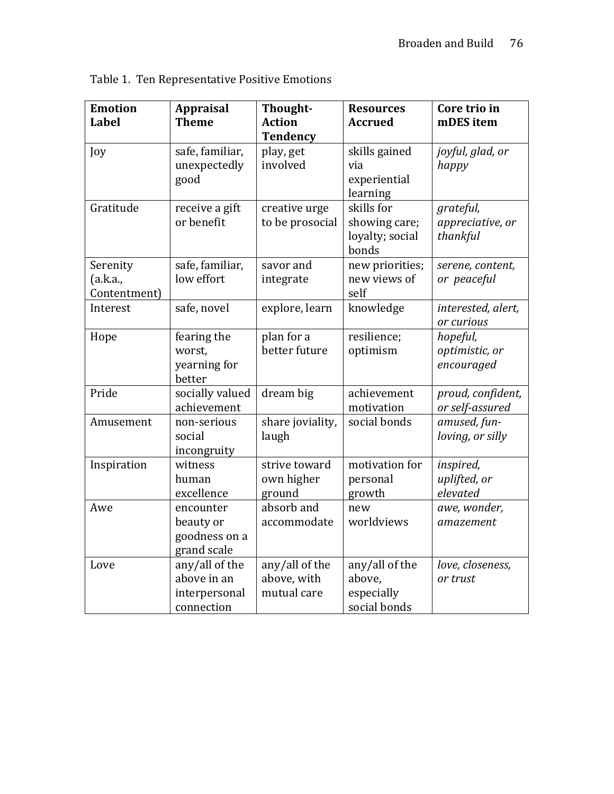| <b>Emotion</b><br><b>Label</b>       | <b>Appraisal</b><br><b>Theme</b>                             | Thought-<br><b>Action</b>                    | <b>Resources</b><br><b>Accrued</b>                      | Core trio in<br>mDES item                 |
|--------------------------------------|--------------------------------------------------------------|----------------------------------------------|---------------------------------------------------------|-------------------------------------------|
|                                      |                                                              | <b>Tendency</b>                              |                                                         |                                           |
| Joy                                  | safe, familiar,<br>unexpectedly<br>good                      | play, get<br>involved                        | skills gained<br>via<br>experiential<br>learning        | joyful, glad, or<br>happy                 |
| Gratitude                            | receive a gift<br>or benefit                                 | creative urge<br>to be prosocial             | skills for<br>showing care;<br>loyalty; social<br>bonds | grateful,<br>appreciative, or<br>thankful |
| Serenity<br>(a.k.a.,<br>Contentment) | safe, familiar,<br>low effort                                | savor and<br>integrate                       | new priorities;<br>new views of<br>self                 | serene, content,<br>or peaceful           |
| Interest                             | safe, novel                                                  | explore, learn                               | knowledge                                               | interested, alert,<br>or curious          |
| Hope                                 | fearing the<br>worst,<br>yearning for<br>better              | plan for a<br>better future                  | resilience;<br>optimism                                 | hopeful,<br>optimistic, or<br>encouraged  |
| Pride                                | socially valued<br>achievement                               | dream big                                    | achievement<br>motivation                               | proud, confident,<br>or self-assured      |
| Amusement                            | non-serious<br>social<br>incongruity                         | share joviality,<br>laugh                    | social bonds                                            | amused, fun-<br>loving, or silly          |
| Inspiration                          | witness<br>human<br>excellence                               | strive toward<br>own higher<br>ground        | motivation for<br>personal<br>growth                    | inspired,<br>uplifted, or<br>elevated     |
| Awe                                  | encounter<br>beauty or<br>goodness on a<br>grand scale       | absorb and<br>accommodate                    | new<br>worldviews                                       | awe, wonder,<br>amazement                 |
| Love                                 | any/all of the<br>above in an<br>interpersonal<br>connection | any/all of the<br>above, with<br>mutual care | any/all of the<br>above,<br>especially<br>social bonds  | love, closeness,<br>or trust              |

Table 1. Ten Representative Positive Emotions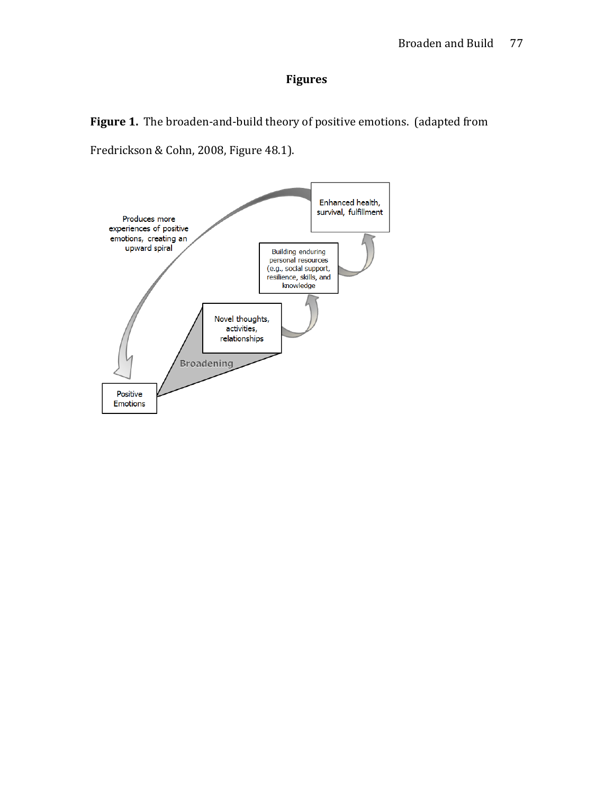## **Figures**

**Figure 1.** The broaden-and-build theory of positive emotions. (adapted from Fredrickson & Cohn, 2008, Figure 48.1).

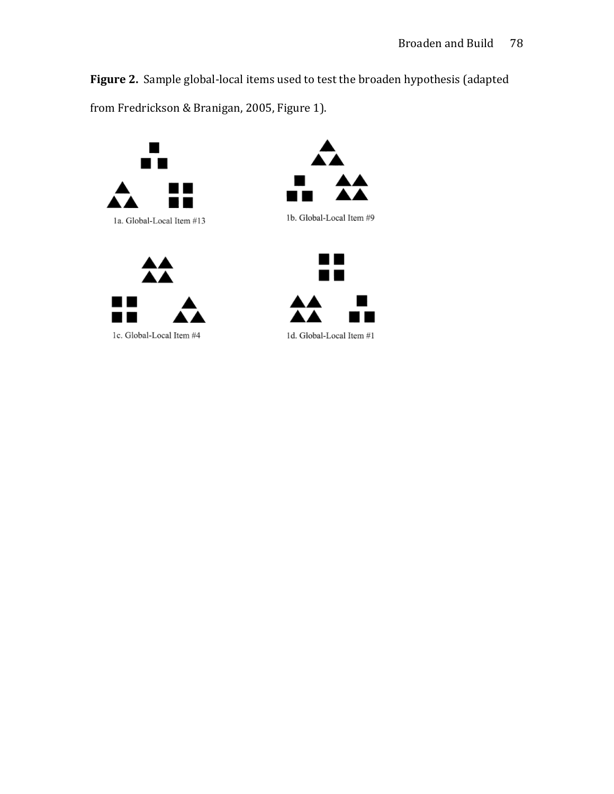**Figure 2.** Sample global-local items used to test the broaden hypothesis (adapted from Fredrickson & Branigan, 2005, Figure 1).

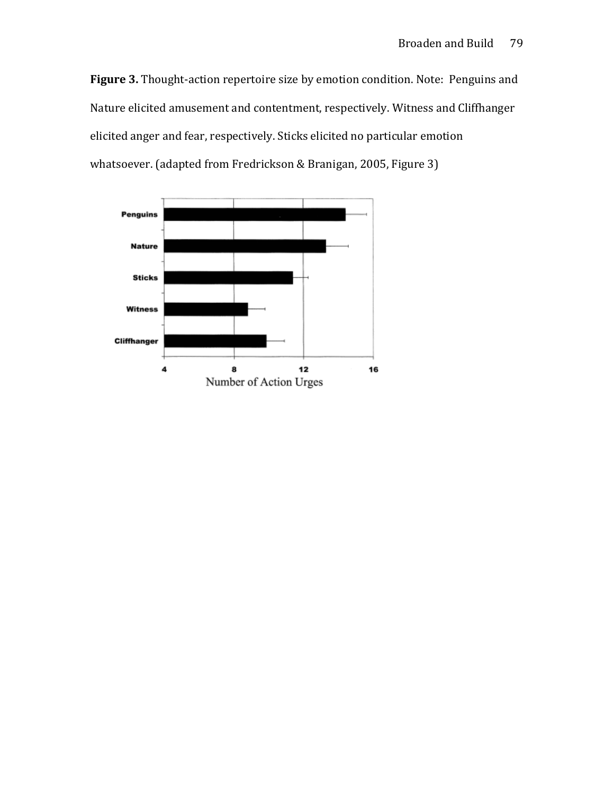**Figure 3.** Thought-action repertoire size by emotion condition. Note: Penguins and Nature elicited amusement and contentment, respectively. Witness and Cliffhanger elicited anger and fear, respectively. Sticks elicited no particular emotion whatsoever. (adapted from Fredrickson & Branigan, 2005, Figure 3)

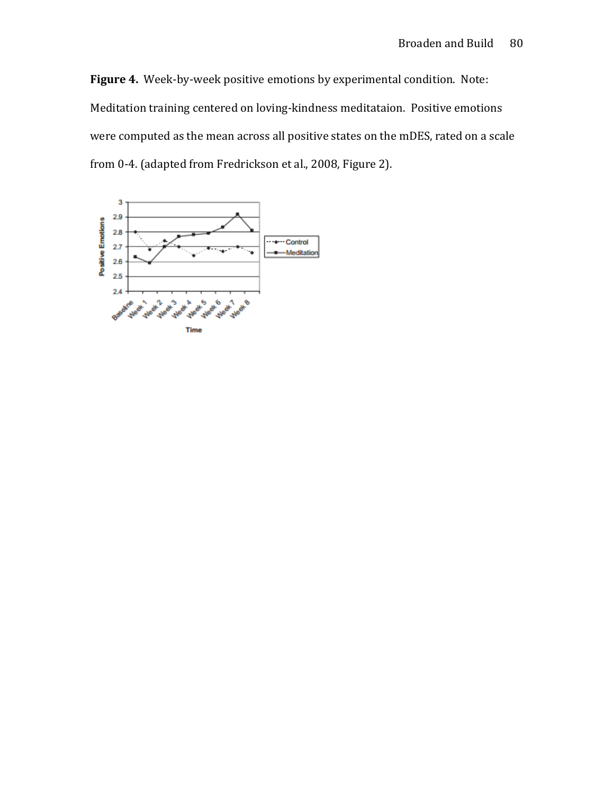**Figure 4.** Week-by-week positive emotions by experimental condition. Note: Meditation training centered on loving-kindness meditataion. Positive emotions were computed as the mean across all positive states on the mDES, rated on a scale from 0-4. (adapted from Fredrickson et al., 2008, Figure 2).

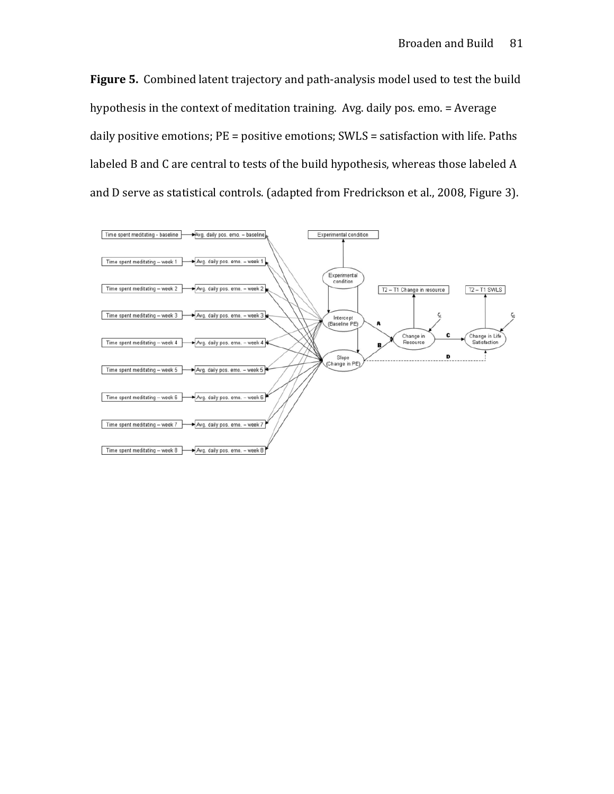**Figure 5.** Combined latent trajectory and path-analysis model used to test the build hypothesis in the context of meditation training. Avg. daily pos. emo. = Average daily positive emotions; PE = positive emotions; SWLS = satisfaction with life. Paths labeled B and C are central to tests of the build hypothesis, whereas those labeled A and D serve as statistical controls. (adapted from Fredrickson et al., 2008, Figure 3).

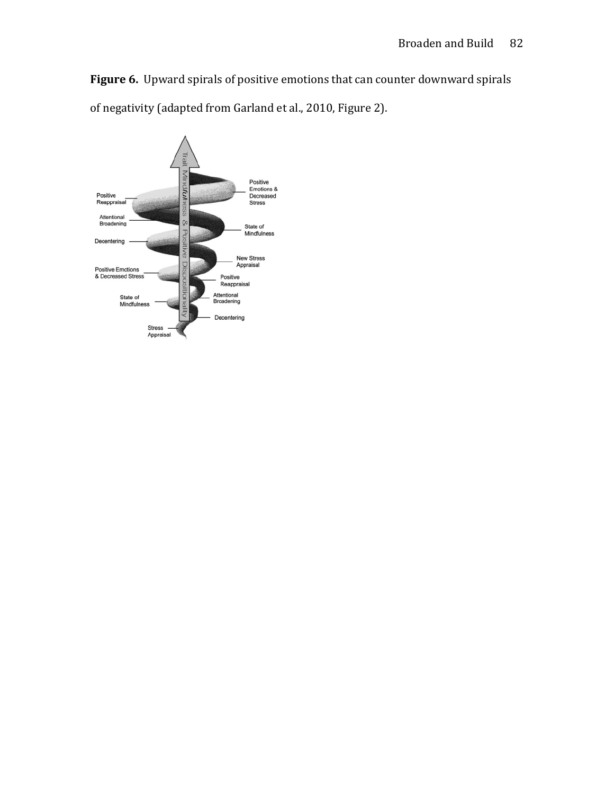Figure 6. Upward spirals of positive emotions that can counter downward spirals of negativity (adapted from Garland et al., 2010, Figure 2).

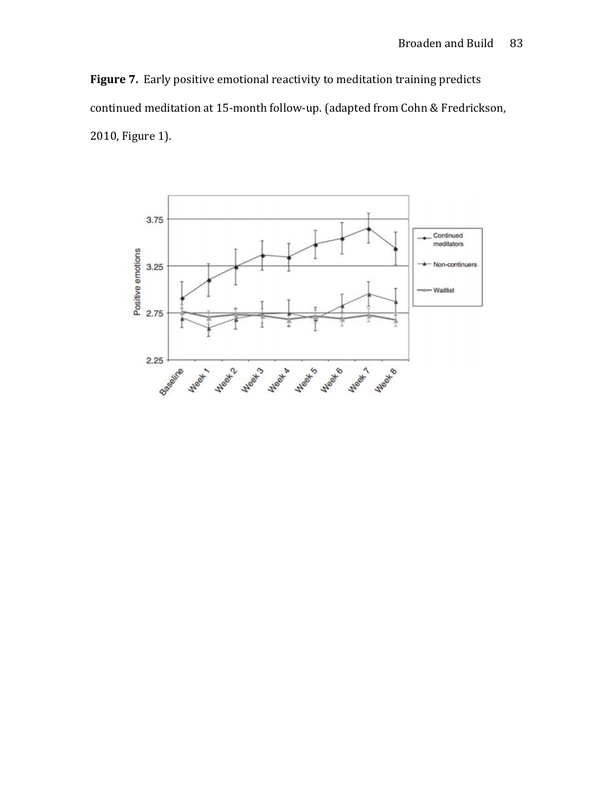**Figure 7.** Early positive emotional reactivity to meditation training predicts continued meditation at 15-month follow-up. (adapted from Cohn & Fredrickson, 2010, Figure 1).

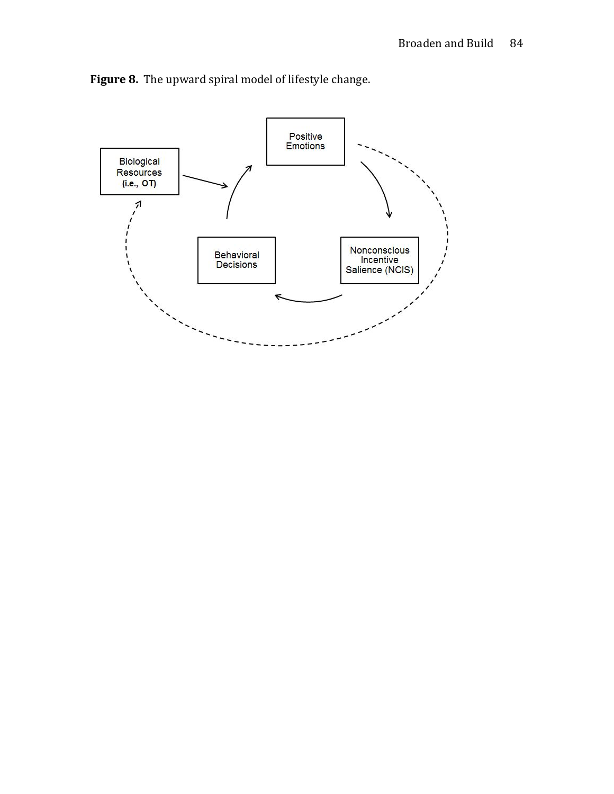

**Figure 8.** The upward spiral model of lifestyle change.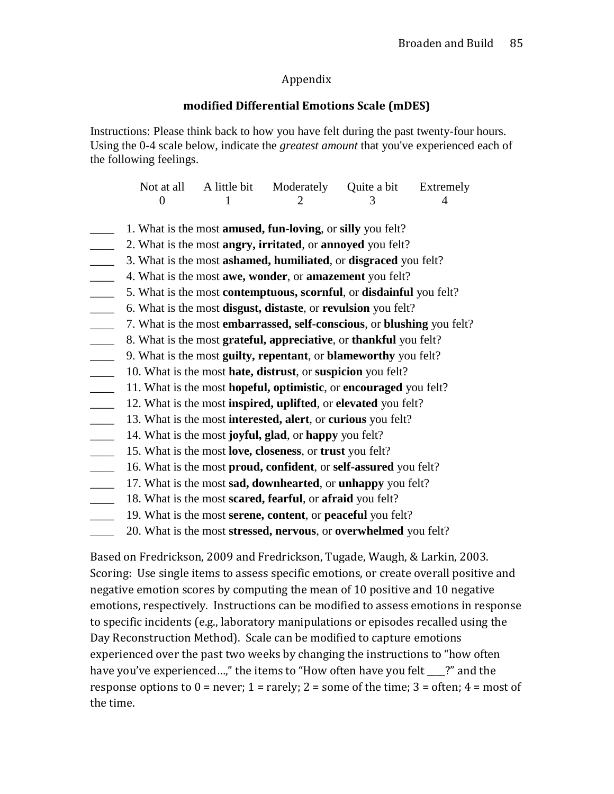## Appendix

## **modified Differential Emotions Scale (mDES)**

Instructions: Please think back to how you have felt during the past twenty-four hours. Using the 0-4 scale below, indicate the *greatest amount* that you've experienced each of the following feelings.

|                             | Not at all                                                                           | A little bit | Moderately                                                       | Quite a bit | Extremely |  |  |  |  |
|-----------------------------|--------------------------------------------------------------------------------------|--------------|------------------------------------------------------------------|-------------|-----------|--|--|--|--|
|                             | 0                                                                                    |              | 2                                                                | 3           | 4         |  |  |  |  |
|                             | 1. What is the most <b>amused, fun-loving</b> , or silly you felt?                   |              |                                                                  |             |           |  |  |  |  |
|                             | 2. What is the most angry, irritated, or annoyed you felt?                           |              |                                                                  |             |           |  |  |  |  |
| $\sim$                      | 3. What is the most ashamed, humiliated, or disgraced you felt?                      |              |                                                                  |             |           |  |  |  |  |
|                             | 4. What is the most awe, wonder, or amazement you felt?                              |              |                                                                  |             |           |  |  |  |  |
| $\mathcal{L}^{\text{max}}$  | 5. What is the most contemptuous, scornful, or disdainful you felt?                  |              |                                                                  |             |           |  |  |  |  |
| $\overline{\phantom{a}}$    | 6. What is the most <b>disgust</b> , <b>distaste</b> , or <b>revulsion</b> you felt? |              |                                                                  |             |           |  |  |  |  |
|                             | 7. What is the most <b>embarrassed</b> , self-conscious, or blushing you felt?       |              |                                                                  |             |           |  |  |  |  |
| $\mathcal{L}_{\mathcal{A}}$ | 8. What is the most grateful, appreciative, or thankful you felt?                    |              |                                                                  |             |           |  |  |  |  |
| $\overline{\phantom{a}}$    | 9. What is the most guilty, repentant, or blameworthy you felt?                      |              |                                                                  |             |           |  |  |  |  |
|                             | 10. What is the most hate, distrust, or suspicion you felt?                          |              |                                                                  |             |           |  |  |  |  |
| $\mathbb{R}^n$              | 11. What is the most hopeful, optimistic, or encouraged you felt?                    |              |                                                                  |             |           |  |  |  |  |
| $\overline{\phantom{a}}$    | 12. What is the most inspired, uplifted, or elevated you felt?                       |              |                                                                  |             |           |  |  |  |  |
| $\overline{\phantom{a}}$    | 13. What is the most <b>interested</b> , alert, or curious you felt?                 |              |                                                                  |             |           |  |  |  |  |
| $\mathcal{L}^{\mathcal{L}}$ | 14. What is the most joyful, glad, or happy you felt?                                |              |                                                                  |             |           |  |  |  |  |
| $\overline{\phantom{a}}$    | 15. What is the most <b>love, closeness</b> , or <b>trust</b> you felt?              |              |                                                                  |             |           |  |  |  |  |
|                             | 16. What is the most <b>proud, confident</b> , or <b>self-assured</b> you felt?      |              |                                                                  |             |           |  |  |  |  |
| $\mathcal{L}^{\mathcal{L}}$ | 17. What is the most sad, downhearted, or unhappy you felt?                          |              |                                                                  |             |           |  |  |  |  |
|                             | 18. What is the most scared, fearful, or afraid you felt?                            |              |                                                                  |             |           |  |  |  |  |
|                             | 19. What is the most serene, content, or peaceful you felt?                          |              |                                                                  |             |           |  |  |  |  |
|                             |                                                                                      |              | 20. What is the most stressed, nervous, or overwhelmed you felt? |             |           |  |  |  |  |

Based on Fredrickson, 2009 and Fredrickson, Tugade, Waugh, & Larkin, 2003. Scoring: Use single items to assess specific emotions, or create overall positive and negative emotion scores by computing the mean of 10 positive and 10 negative emotions, respectively. Instructions can be modified to assess emotions in response to specific incidents (e.g., laboratory manipulations or episodes recalled using the Day Reconstruction Method). Scale can be modified to capture emotions experienced over the past two weeks by changing the instructions to "how often have you've experienced...," the items to "How often have you felt \_\_\_?" and the response options to  $0 =$  never;  $1 =$  rarely;  $2 =$  some of the time;  $3 =$  often;  $4 =$  most of the time.